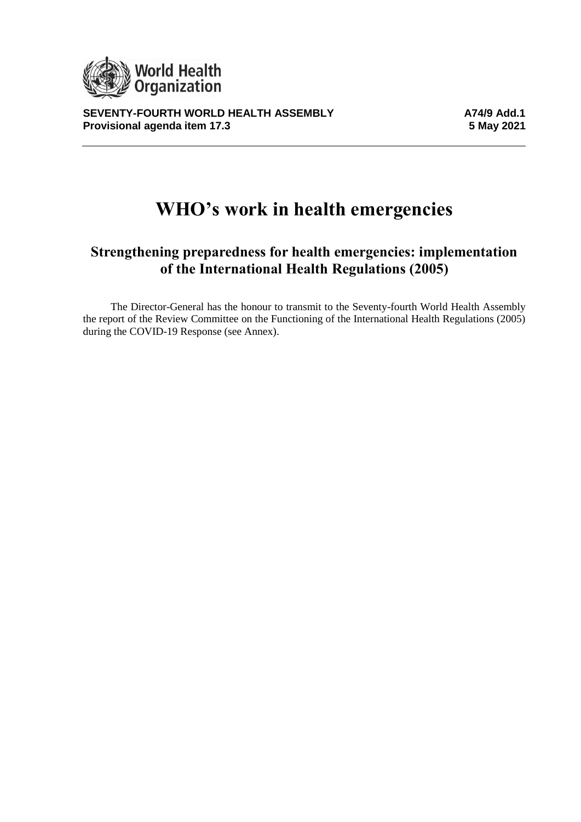

**SEVENTY-FOURTH WORLD HEALTH ASSEMBLY**<br>Provisional agenda item 17.3 **Alternative State State 17.3 Provisional agenda item 17.3** 

# **WHO's work in health emergencies**

## **Strengthening preparedness for health emergencies: implementation of the International Health Regulations (2005)**

The Director-General has the honour to transmit to the Seventy-fourth World Health Assembly the report of the Review Committee on the Functioning of the International Health Regulations (2005) during the COVID-19 Response (see Annex).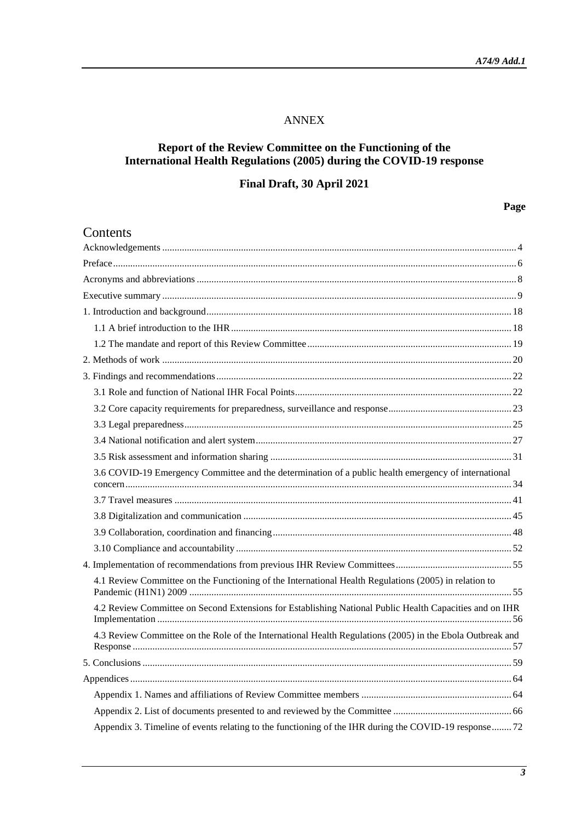#### ANNEX

#### **Report of the Review Committee on the Functioning of the International Health Regulations (2005) during the COVID-19 response**

## **Final Draft, 30 April 2021**

## **Page**

| Contents                                                                                                  |
|-----------------------------------------------------------------------------------------------------------|
|                                                                                                           |
|                                                                                                           |
|                                                                                                           |
|                                                                                                           |
|                                                                                                           |
|                                                                                                           |
|                                                                                                           |
|                                                                                                           |
|                                                                                                           |
|                                                                                                           |
|                                                                                                           |
|                                                                                                           |
|                                                                                                           |
|                                                                                                           |
| 3.6 COVID-19 Emergency Committee and the determination of a public health emergency of international      |
|                                                                                                           |
|                                                                                                           |
|                                                                                                           |
|                                                                                                           |
|                                                                                                           |
| 4.1 Review Committee on the Functioning of the International Health Regulations (2005) in relation to     |
| 4.2 Review Committee on Second Extensions for Establishing National Public Health Capacities and on IHR   |
| 4.3 Review Committee on the Role of the International Health Regulations (2005) in the Ebola Outbreak and |
|                                                                                                           |
|                                                                                                           |
|                                                                                                           |
|                                                                                                           |
| Appendix 3. Timeline of events relating to the functioning of the IHR during the COVID-19 response72      |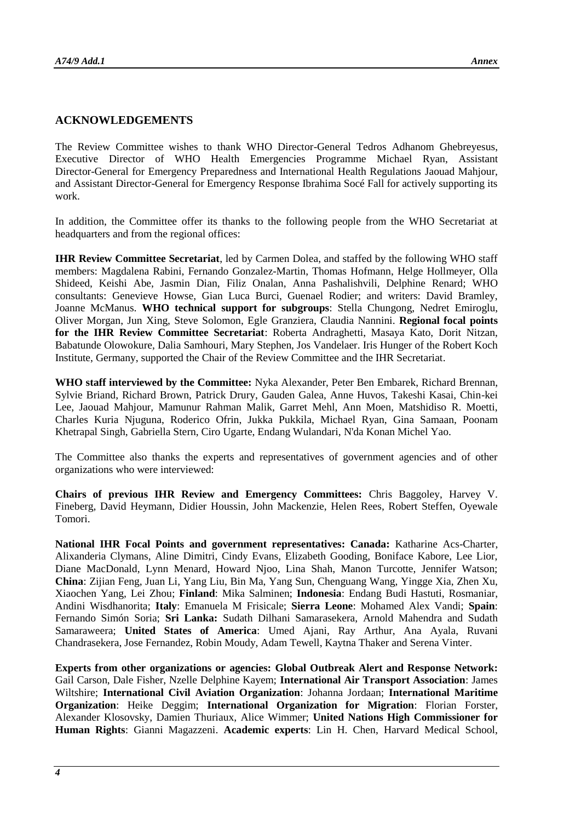#### **ACKNOWLEDGEMENTS**

The Review Committee wishes to thank WHO Director-General Tedros Adhanom Ghebreyesus, Executive Director of WHO Health Emergencies Programme Michael Ryan, Assistant Director-General for Emergency Preparedness and International Health Regulations Jaouad Mahjour, and Assistant Director-General for Emergency Response Ibrahima Socé Fall for actively supporting its work.

In addition, the Committee offer its thanks to the following people from the WHO Secretariat at headquarters and from the regional offices:

**IHR Review Committee Secretariat**, led by Carmen Dolea, and staffed by the following WHO staff members: Magdalena Rabini, Fernando Gonzalez-Martin, Thomas Hofmann, Helge Hollmeyer, Olla Shideed, Keishi Abe, Jasmin Dian, Filiz Onalan, Anna Pashalishvili, Delphine Renard; WHO consultants: Genevieve Howse, Gian Luca Burci, Guenael Rodier; and writers: David Bramley, Joanne McManus. **WHO technical support for subgroups**: Stella Chungong, Nedret Emiroglu, Oliver Morgan, Jun Xing, Steve Solomon, Egle Granziera, Claudia Nannini. **Regional focal points for the IHR Review Committee Secretariat**: Roberta Andraghetti, Masaya Kato, Dorit Nitzan, Babatunde Olowokure, Dalia Samhouri, Mary Stephen, Jos Vandelaer. Iris Hunger of the Robert Koch Institute, Germany, supported the Chair of the Review Committee and the IHR Secretariat.

**WHO staff interviewed by the Committee:** Nyka Alexander, Peter Ben Embarek, Richard Brennan, Sylvie Briand, Richard Brown, Patrick Drury, Gauden Galea, Anne Huvos, Takeshi Kasai, Chin-kei Lee, Jaouad Mahjour, Mamunur Rahman Malik, Garret Mehl, Ann Moen, Matshidiso R. Moetti, Charles Kuria Njuguna, Roderico Ofrin, Jukka Pukkila, Michael Ryan, Gina Samaan, Poonam Khetrapal Singh, Gabriella Stern, Ciro Ugarte, Endang Wulandari, N'da Konan Michel Yao.

The Committee also thanks the experts and representatives of government agencies and of other organizations who were interviewed:

**Chairs of previous IHR Review and Emergency Committees:** Chris Baggoley, Harvey V. Fineberg, David Heymann, Didier Houssin, John Mackenzie, Helen Rees, Robert Steffen, Oyewale Tomori.

**National IHR Focal Points and government representatives: Canada:** Katharine Acs-Charter, Alixanderia Clymans, Aline Dimitri, Cindy Evans, Elizabeth Gooding, Boniface Kabore, Lee Lior, Diane MacDonald, Lynn Menard, Howard Njoo, Lina Shah, Manon Turcotte, Jennifer Watson; **China**: Zijian Feng, Juan Li, Yang Liu, Bin Ma, Yang Sun, Chenguang Wang, Yingge Xia, Zhen Xu, Xiaochen Yang, Lei Zhou; **Finland**: Mika Salminen; **Indonesia**: Endang Budi Hastuti, Rosmaniar, Andini Wisdhanorita; **Italy**: Emanuela M Frisicale; **Sierra Leone**: Mohamed Alex Vandi; **Spain**: Fernando Simón Soria; **Sri Lanka:** Sudath Dilhani Samarasekera, Arnold Mahendra and Sudath Samaraweera; **United States of America**: Umed Ajani, Ray Arthur, Ana Ayala, Ruvani Chandrasekera, Jose Fernandez, Robin Moudy, Adam Tewell, Kaytna Thaker and Serena Vinter.

**Experts from other organizations or agencies: Global Outbreak Alert and Response Network:** Gail Carson, Dale Fisher, Nzelle Delphine Kayem; **International Air Transport Association**: James Wiltshire; **International Civil Aviation Organization**: Johanna Jordaan; **International Maritime Organization**: Heike Deggim; **International Organization for Migration**: Florian Forster, Alexander Klosovsky, Damien Thuriaux, Alice Wimmer; **United Nations High Commissioner for Human Rights**: Gianni Magazzeni. **Academic experts**: Lin H. Chen, Harvard Medical School,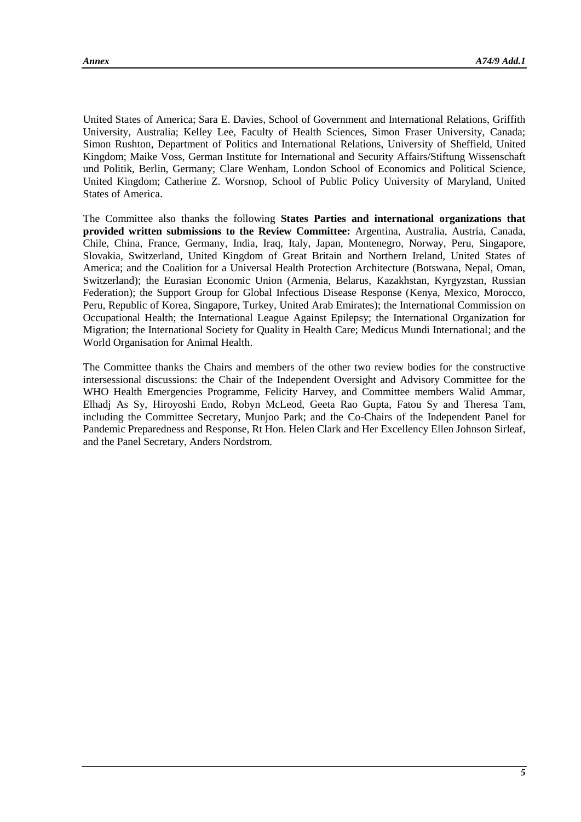United States of America; Sara E. Davies, School of Government and International Relations, Griffith University, Australia; Kelley Lee, Faculty of Health Sciences, Simon Fraser University, Canada; Simon Rushton, Department of Politics and International Relations, University of Sheffield, United Kingdom; Maike Voss, German Institute for International and Security Affairs/Stiftung Wissenschaft und Politik, Berlin, Germany; Clare Wenham, London School of Economics and Political Science, United Kingdom; Catherine Z. Worsnop, School of Public Policy University of Maryland, United States of America.

The Committee also thanks the following **States Parties and international organizations that provided written submissions to the Review Committee:** Argentina, Australia, Austria, Canada, Chile, China, France, Germany, India, Iraq, Italy, Japan, Montenegro, Norway, Peru, Singapore, Slovakia, Switzerland, United Kingdom of Great Britain and Northern Ireland, United States of America; and the Coalition for a Universal Health Protection Architecture (Botswana, Nepal, Oman, Switzerland); the Eurasian Economic Union (Armenia, Belarus, Kazakhstan, Kyrgyzstan, Russian Federation); the Support Group for Global Infectious Disease Response (Kenya, Mexico, Morocco, Peru, Republic of Korea, Singapore, Turkey, United Arab Emirates); the International Commission on Occupational Health; the International League Against Epilepsy; the International Organization for Migration; the International Society for Quality in Health Care; Medicus Mundi International; and the World Organisation for Animal Health.

The Committee thanks the Chairs and members of the other two review bodies for the constructive intersessional discussions: the Chair of the Independent Oversight and Advisory Committee for the WHO Health Emergencies Programme, Felicity Harvey, and Committee members Walid Ammar, Elhadj As Sy, Hiroyoshi Endo, Robyn McLeod, Geeta Rao Gupta, Fatou Sy and Theresa Tam, including the Committee Secretary, Munjoo Park; and the Co-Chairs of the Independent Panel for Pandemic Preparedness and Response, Rt Hon. Helen Clark and Her Excellency Ellen Johnson Sirleaf, and the Panel Secretary, Anders Nordstrom.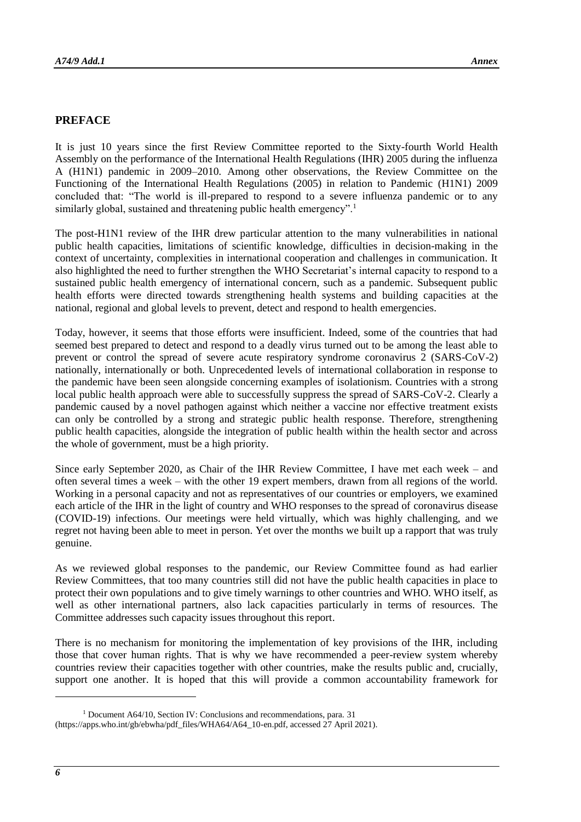#### **PREFACE**

It is just 10 years since the first Review Committee reported to the Sixty-fourth World Health Assembly on the performance of the International Health Regulations (IHR) 2005 during the influenza A (H1N1) pandemic in 2009–2010. Among other observations, the Review Committee on the Functioning of the International Health Regulations (2005) in relation to Pandemic (H1N1) 2009 concluded that: "The world is ill-prepared to respond to a severe influenza pandemic or to any similarly global, sustained and threatening public health emergency".<sup>1</sup>

The post-H1N1 review of the IHR drew particular attention to the many vulnerabilities in national public health capacities, limitations of scientific knowledge, difficulties in decision-making in the context of uncertainty, complexities in international cooperation and challenges in communication. It also highlighted the need to further strengthen the WHO Secretariat's internal capacity to respond to a sustained public health emergency of international concern, such as a pandemic. Subsequent public health efforts were directed towards strengthening health systems and building capacities at the national, regional and global levels to prevent, detect and respond to health emergencies.

Today, however, it seems that those efforts were insufficient. Indeed, some of the countries that had seemed best prepared to detect and respond to a deadly virus turned out to be among the least able to prevent or control the spread of severe acute respiratory syndrome coronavirus 2 (SARS-CoV-2) nationally, internationally or both. Unprecedented levels of international collaboration in response to the pandemic have been seen alongside concerning examples of isolationism. Countries with a strong local public health approach were able to successfully suppress the spread of SARS-CoV-2. Clearly a pandemic caused by a novel pathogen against which neither a vaccine nor effective treatment exists can only be controlled by a strong and strategic public health response. Therefore, strengthening public health capacities, alongside the integration of public health within the health sector and across the whole of government, must be a high priority.

Since early September 2020, as Chair of the IHR Review Committee, I have met each week – and often several times a week – with the other 19 expert members, drawn from all regions of the world. Working in a personal capacity and not as representatives of our countries or employers, we examined each article of the IHR in the light of country and WHO responses to the spread of coronavirus disease (COVID-19) infections. Our meetings were held virtually, which was highly challenging, and we regret not having been able to meet in person. Yet over the months we built up a rapport that was truly genuine.

As we reviewed global responses to the pandemic, our Review Committee found as had earlier Review Committees, that too many countries still did not have the public health capacities in place to protect their own populations and to give timely warnings to other countries and WHO. WHO itself, as well as other international partners, also lack capacities particularly in terms of resources. The Committee addresses such capacity issues throughout this report.

There is no mechanism for monitoring the implementation of key provisions of the IHR, including those that cover human rights. That is why we have recommended a peer-review system whereby countries review their capacities together with other countries, make the results public and, crucially, support one another. It is hoped that this will provide a common accountability framework for

1

<sup>1</sup> Document A64/10, Section IV: Conclusions and recommendations, para. 31

[<sup>\(</sup>https://apps.who.int/gb/ebwha/pdf\\_files/WHA64/A64\\_10-en.pdf,](https://apps.who.int/gb/ebwha/pdf_files/WHA64/A64_10-en.pdf) accessed 27 April 2021).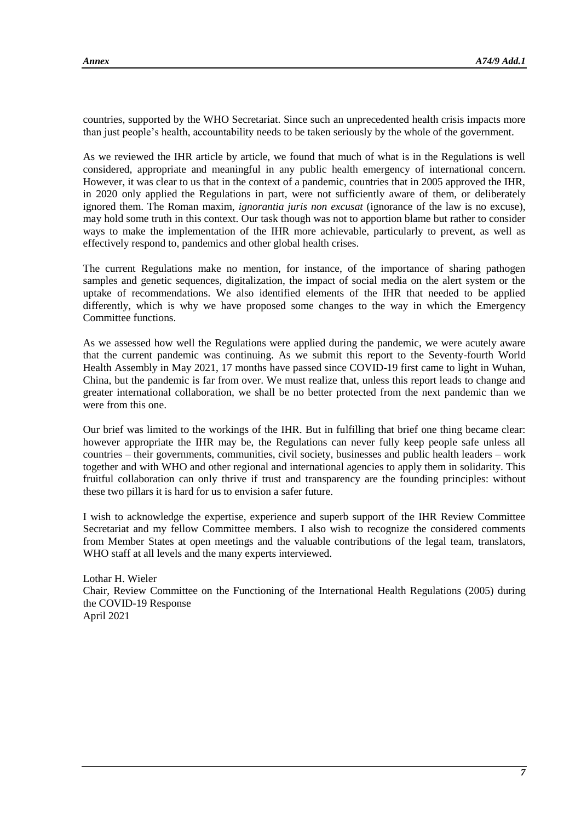countries, supported by the WHO Secretariat. Since such an unprecedented health crisis impacts more than just people's health, accountability needs to be taken seriously by the whole of the government.

As we reviewed the IHR article by article, we found that much of what is in the Regulations is well considered, appropriate and meaningful in any public health emergency of international concern. However, it was clear to us that in the context of a pandemic, countries that in 2005 approved the IHR, in 2020 only applied the Regulations in part, were not sufficiently aware of them, or deliberately ignored them. The Roman maxim, *ignorantia juris non excusat* (ignorance of the law is no excuse), may hold some truth in this context. Our task though was not to apportion blame but rather to consider ways to make the implementation of the IHR more achievable, particularly to prevent, as well as effectively respond to, pandemics and other global health crises.

The current Regulations make no mention, for instance, of the importance of sharing pathogen samples and genetic sequences, digitalization, the impact of social media on the alert system or the uptake of recommendations. We also identified elements of the IHR that needed to be applied differently, which is why we have proposed some changes to the way in which the Emergency Committee functions.

As we assessed how well the Regulations were applied during the pandemic, we were acutely aware that the current pandemic was continuing. As we submit this report to the Seventy-fourth World Health Assembly in May 2021, 17 months have passed since COVID-19 first came to light in Wuhan, China, but the pandemic is far from over. We must realize that, unless this report leads to change and greater international collaboration, we shall be no better protected from the next pandemic than we were from this one.

Our brief was limited to the workings of the IHR. But in fulfilling that brief one thing became clear: however appropriate the IHR may be, the Regulations can never fully keep people safe unless all countries – their governments, communities, civil society, businesses and public health leaders – work together and with WHO and other regional and international agencies to apply them in solidarity. This fruitful collaboration can only thrive if trust and transparency are the founding principles: without these two pillars it is hard for us to envision a safer future.

I wish to acknowledge the expertise, experience and superb support of the IHR Review Committee Secretariat and my fellow Committee members. I also wish to recognize the considered comments from Member States at open meetings and the valuable contributions of the legal team, translators, WHO staff at all levels and the many experts interviewed.

Lothar H. Wieler Chair, Review Committee on the Functioning of the International Health Regulations (2005) during the COVID-19 Response April 2021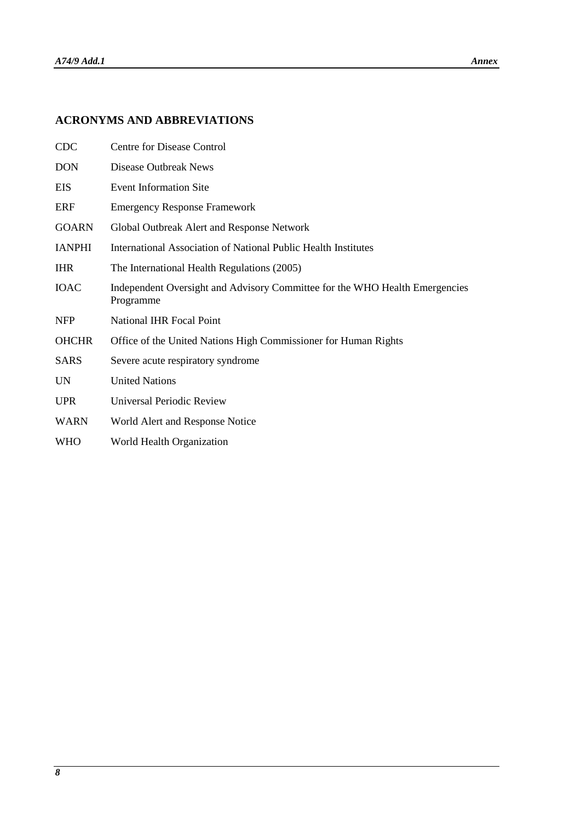## **ACRONYMS AND ABBREVIATIONS**

| <b>CDC</b>    | <b>Centre for Disease Control</b>                                                        |
|---------------|------------------------------------------------------------------------------------------|
| <b>DON</b>    | Disease Outbreak News                                                                    |
| EIS           | <b>Event Information Site</b>                                                            |
| <b>ERF</b>    | <b>Emergency Response Framework</b>                                                      |
| <b>GOARN</b>  | Global Outbreak Alert and Response Network                                               |
| <b>IANPHI</b> | International Association of National Public Health Institutes                           |
| <b>IHR</b>    | The International Health Regulations (2005)                                              |
| <b>IOAC</b>   | Independent Oversight and Advisory Committee for the WHO Health Emergencies<br>Programme |
| <b>NFP</b>    | <b>National IHR Focal Point</b>                                                          |
| <b>OHCHR</b>  | Office of the United Nations High Commissioner for Human Rights                          |
| <b>SARS</b>   | Severe acute respiratory syndrome                                                        |
| <b>UN</b>     | <b>United Nations</b>                                                                    |
| <b>UPR</b>    | Universal Periodic Review                                                                |
| <b>WARN</b>   | World Alert and Response Notice                                                          |
| <b>WHO</b>    | World Health Organization                                                                |
|               |                                                                                          |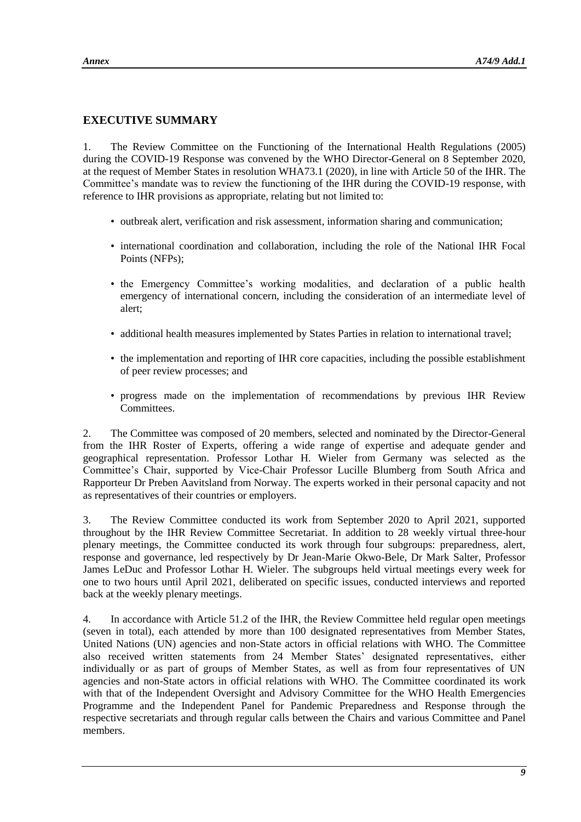## **EXECUTIVE SUMMARY**

1. The Review Committee on the Functioning of the International Health Regulations (2005) during the COVID-19 Response was convened by the WHO Director-General on 8 September 2020, at the request of Member States in resolution WHA73.1 (2020), in line with Article 50 of the IHR. The Committee's mandate was to review the functioning of the IHR during the COVID-19 response, with reference to IHR provisions as appropriate, relating but not limited to:

- outbreak alert, verification and risk assessment, information sharing and communication;
- international coordination and collaboration, including the role of the National IHR Focal Points (NFPs);
- the Emergency Committee's working modalities, and declaration of a public health emergency of international concern, including the consideration of an intermediate level of alert;
- additional health measures implemented by States Parties in relation to international travel;
- the implementation and reporting of IHR core capacities, including the possible establishment of peer review processes; and
- progress made on the implementation of recommendations by previous IHR Review Committees.

2. The Committee was composed of 20 members, selected and nominated by the Director-General from the IHR Roster of Experts, offering a wide range of expertise and adequate gender and geographical representation. Professor Lothar H. Wieler from Germany was selected as the Committee's Chair, supported by Vice-Chair Professor Lucille Blumberg from South Africa and Rapporteur Dr Preben Aavitsland from Norway. The experts worked in their personal capacity and not as representatives of their countries or employers.

3. The Review Committee conducted its work from September 2020 to April 2021, supported throughout by the IHR Review Committee Secretariat. In addition to 28 weekly virtual three-hour plenary meetings, the Committee conducted its work through four subgroups: preparedness, alert, response and governance, led respectively by Dr Jean-Marie Okwo-Bele, Dr Mark Salter, Professor James LeDuc and Professor Lothar H. Wieler. The subgroups held virtual meetings every week for one to two hours until April 2021, deliberated on specific issues, conducted interviews and reported back at the weekly plenary meetings.

4. In accordance with Article 51.2 of the IHR, the Review Committee held regular open meetings (seven in total), each attended by more than 100 designated representatives from Member States, United Nations (UN) agencies and non-State actors in official relations with WHO. The Committee also received written statements from 24 Member States' designated representatives, either individually or as part of groups of Member States, as well as from four representatives of UN agencies and non-State actors in official relations with WHO. The Committee coordinated its work with that of the Independent Oversight and Advisory Committee for the WHO Health Emergencies Programme and the Independent Panel for Pandemic Preparedness and Response through the respective secretariats and through regular calls between the Chairs and various Committee and Panel members.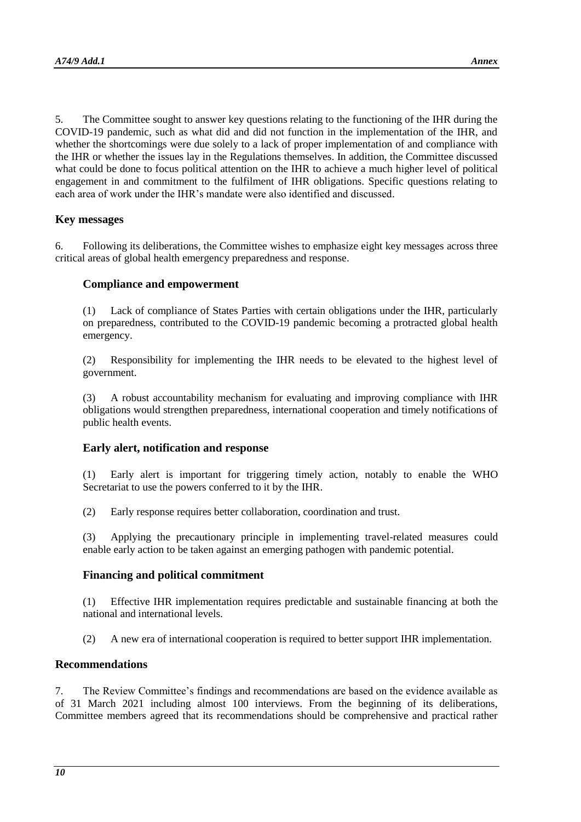5. The Committee sought to answer key questions relating to the functioning of the IHR during the COVID-19 pandemic, such as what did and did not function in the implementation of the IHR, and whether the shortcomings were due solely to a lack of proper implementation of and compliance with the IHR or whether the issues lay in the Regulations themselves. In addition, the Committee discussed what could be done to focus political attention on the IHR to achieve a much higher level of political engagement in and commitment to the fulfilment of IHR obligations. Specific questions relating to each area of work under the IHR's mandate were also identified and discussed.

#### **Key messages**

6. Following its deliberations, the Committee wishes to emphasize eight key messages across three critical areas of global health emergency preparedness and response.

#### **Compliance and empowerment**

(1) Lack of compliance of States Parties with certain obligations under the IHR, particularly on preparedness, contributed to the COVID-19 pandemic becoming a protracted global health emergency.

(2) Responsibility for implementing the IHR needs to be elevated to the highest level of government.

(3) A robust accountability mechanism for evaluating and improving compliance with IHR obligations would strengthen preparedness, international cooperation and timely notifications of public health events.

#### **Early alert, notification and response**

(1) Early alert is important for triggering timely action, notably to enable the WHO Secretariat to use the powers conferred to it by the IHR.

(2) Early response requires better collaboration, coordination and trust.

(3) Applying the precautionary principle in implementing travel-related measures could enable early action to be taken against an emerging pathogen with pandemic potential.

#### **Financing and political commitment**

(1) Effective IHR implementation requires predictable and sustainable financing at both the national and international levels.

(2) A new era of international cooperation is required to better support IHR implementation.

#### **Recommendations**

7. The Review Committee's findings and recommendations are based on the evidence available as of 31 March 2021 including almost 100 interviews. From the beginning of its deliberations, Committee members agreed that its recommendations should be comprehensive and practical rather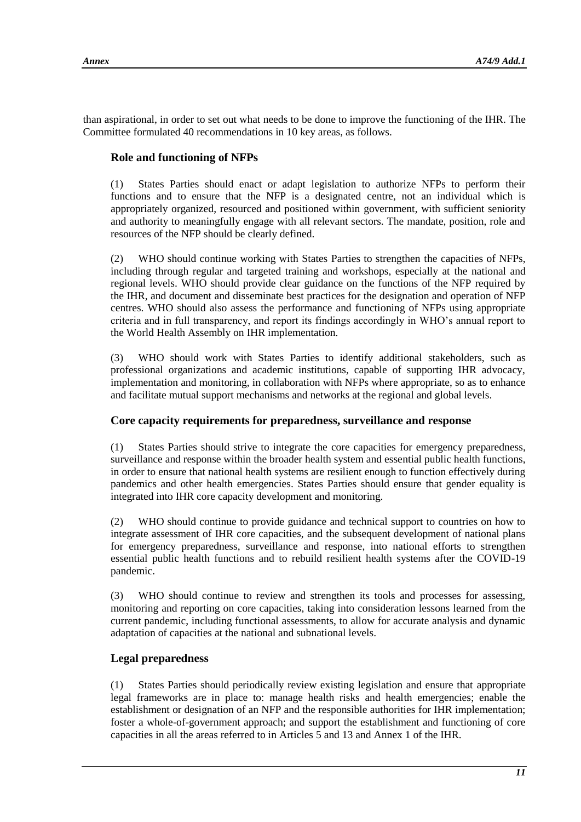than aspirational, in order to set out what needs to be done to improve the functioning of the IHR. The Committee formulated 40 recommendations in 10 key areas, as follows.

## **Role and functioning of NFPs**

(1) States Parties should enact or adapt legislation to authorize NFPs to perform their functions and to ensure that the NFP is a designated centre, not an individual which is appropriately organized, resourced and positioned within government, with sufficient seniority and authority to meaningfully engage with all relevant sectors. The mandate, position, role and resources of the NFP should be clearly defined.

(2) WHO should continue working with States Parties to strengthen the capacities of NFPs, including through regular and targeted training and workshops, especially at the national and regional levels. WHO should provide clear guidance on the functions of the NFP required by the IHR, and document and disseminate best practices for the designation and operation of NFP centres. WHO should also assess the performance and functioning of NFPs using appropriate criteria and in full transparency, and report its findings accordingly in WHO's annual report to the World Health Assembly on IHR implementation.

(3) WHO should work with States Parties to identify additional stakeholders, such as professional organizations and academic institutions, capable of supporting IHR advocacy, implementation and monitoring, in collaboration with NFPs where appropriate, so as to enhance and facilitate mutual support mechanisms and networks at the regional and global levels.

## **Core capacity requirements for preparedness, surveillance and response**

(1) States Parties should strive to integrate the core capacities for emergency preparedness, surveillance and response within the broader health system and essential public health functions, in order to ensure that national health systems are resilient enough to function effectively during pandemics and other health emergencies. States Parties should ensure that gender equality is integrated into IHR core capacity development and monitoring.

(2) WHO should continue to provide guidance and technical support to countries on how to integrate assessment of IHR core capacities, and the subsequent development of national plans for emergency preparedness, surveillance and response, into national efforts to strengthen essential public health functions and to rebuild resilient health systems after the COVID-19 pandemic.

(3) WHO should continue to review and strengthen its tools and processes for assessing, monitoring and reporting on core capacities, taking into consideration lessons learned from the current pandemic, including functional assessments, to allow for accurate analysis and dynamic adaptation of capacities at the national and subnational levels.

## **Legal preparedness**

(1) States Parties should periodically review existing legislation and ensure that appropriate legal frameworks are in place to: manage health risks and health emergencies; enable the establishment or designation of an NFP and the responsible authorities for IHR implementation; foster a whole-of-government approach; and support the establishment and functioning of core capacities in all the areas referred to in Articles 5 and 13 and Annex 1 of the IHR.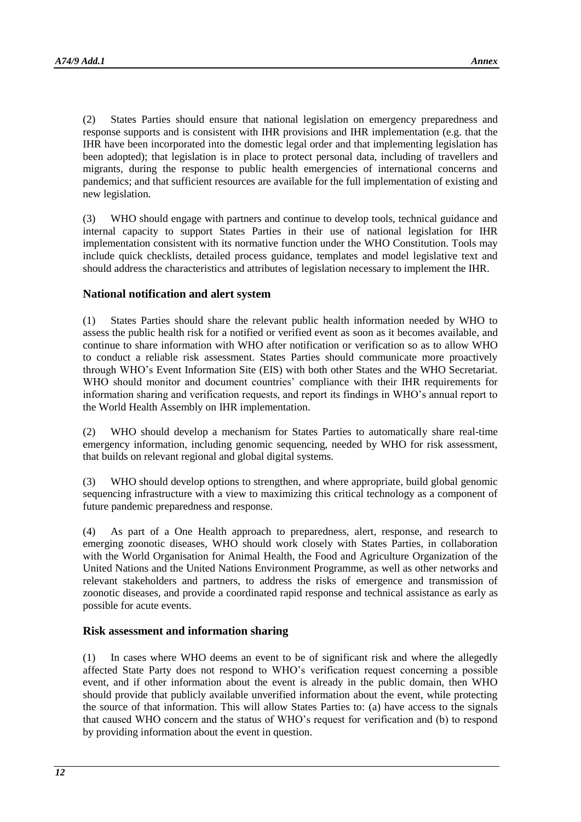(2) States Parties should ensure that national legislation on emergency preparedness and response supports and is consistent with IHR provisions and IHR implementation (e.g. that the IHR have been incorporated into the domestic legal order and that implementing legislation has been adopted); that legislation is in place to protect personal data, including of travellers and migrants, during the response to public health emergencies of international concerns and pandemics; and that sufficient resources are available for the full implementation of existing and new legislation.

(3) WHO should engage with partners and continue to develop tools, technical guidance and internal capacity to support States Parties in their use of national legislation for IHR implementation consistent with its normative function under the WHO Constitution. Tools may include quick checklists, detailed process guidance, templates and model legislative text and should address the characteristics and attributes of legislation necessary to implement the IHR.

#### **National notification and alert system**

(1) States Parties should share the relevant public health information needed by WHO to assess the public health risk for a notified or verified event as soon as it becomes available, and continue to share information with WHO after notification or verification so as to allow WHO to conduct a reliable risk assessment. States Parties should communicate more proactively through WHO's Event Information Site (EIS) with both other States and the WHO Secretariat. WHO should monitor and document countries' compliance with their IHR requirements for information sharing and verification requests, and report its findings in WHO's annual report to the World Health Assembly on IHR implementation.

(2) WHO should develop a mechanism for States Parties to automatically share real-time emergency information, including genomic sequencing, needed by WHO for risk assessment, that builds on relevant regional and global digital systems.

(3) WHO should develop options to strengthen, and where appropriate, build global genomic sequencing infrastructure with a view to maximizing this critical technology as a component of future pandemic preparedness and response.

(4) As part of a One Health approach to preparedness, alert, response, and research to emerging zoonotic diseases, WHO should work closely with States Parties, in collaboration with the World Organisation for Animal Health, the Food and Agriculture Organization of the United Nations and the United Nations Environment Programme, as well as other networks and relevant stakeholders and partners, to address the risks of emergence and transmission of zoonotic diseases, and provide a coordinated rapid response and technical assistance as early as possible for acute events.

#### **Risk assessment and information sharing**

(1) In cases where WHO deems an event to be of significant risk and where the allegedly affected State Party does not respond to WHO's verification request concerning a possible event, and if other information about the event is already in the public domain, then WHO should provide that publicly available unverified information about the event, while protecting the source of that information. This will allow States Parties to: (a) have access to the signals that caused WHO concern and the status of WHO's request for verification and (b) to respond by providing information about the event in question.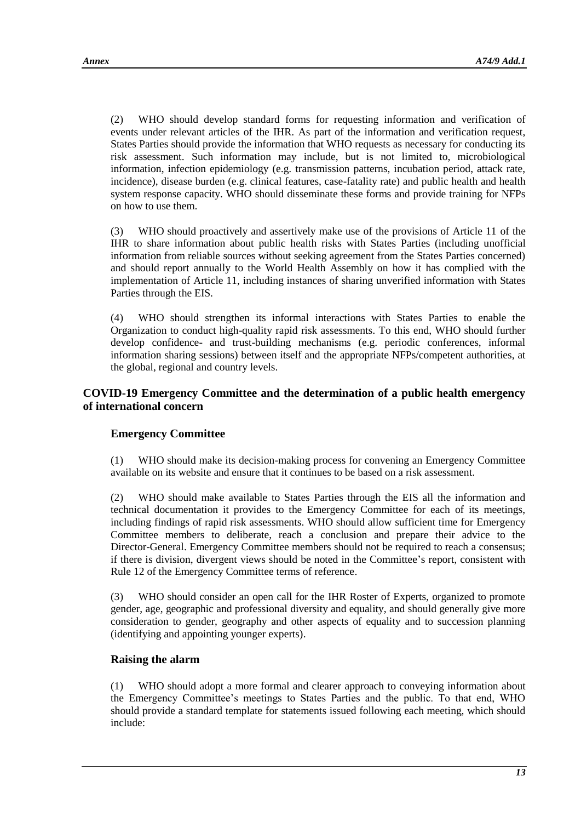(2) WHO should develop standard forms for requesting information and verification of events under relevant articles of the IHR. As part of the information and verification request, States Parties should provide the information that WHO requests as necessary for conducting its risk assessment. Such information may include, but is not limited to, microbiological information, infection epidemiology (e.g. transmission patterns, incubation period, attack rate, incidence), disease burden (e.g. clinical features, case-fatality rate) and public health and health system response capacity. WHO should disseminate these forms and provide training for NFPs on how to use them.

(3) WHO should proactively and assertively make use of the provisions of Article 11 of the IHR to share information about public health risks with States Parties (including unofficial information from reliable sources without seeking agreement from the States Parties concerned) and should report annually to the World Health Assembly on how it has complied with the implementation of Article 11, including instances of sharing unverified information with States Parties through the EIS.

(4) WHO should strengthen its informal interactions with States Parties to enable the Organization to conduct high-quality rapid risk assessments. To this end, WHO should further develop confidence- and trust-building mechanisms (e.g. periodic conferences, informal information sharing sessions) between itself and the appropriate NFPs/competent authorities, at the global, regional and country levels.

## **COVID-19 Emergency Committee and the determination of a public health emergency of international concern**

## **Emergency Committee**

(1) WHO should make its decision-making process for convening an Emergency Committee available on its website and ensure that it continues to be based on a risk assessment.

(2) WHO should make available to States Parties through the EIS all the information and technical documentation it provides to the Emergency Committee for each of its meetings, including findings of rapid risk assessments. WHO should allow sufficient time for Emergency Committee members to deliberate, reach a conclusion and prepare their advice to the Director-General. Emergency Committee members should not be required to reach a consensus; if there is division, divergent views should be noted in the Committee's report, consistent with Rule 12 of the Emergency Committee terms of reference.

(3) WHO should consider an open call for the IHR Roster of Experts, organized to promote gender, age, geographic and professional diversity and equality, and should generally give more consideration to gender, geography and other aspects of equality and to succession planning (identifying and appointing younger experts).

## **Raising the alarm**

(1) WHO should adopt a more formal and clearer approach to conveying information about the Emergency Committee's meetings to States Parties and the public. To that end, WHO should provide a standard template for statements issued following each meeting, which should include: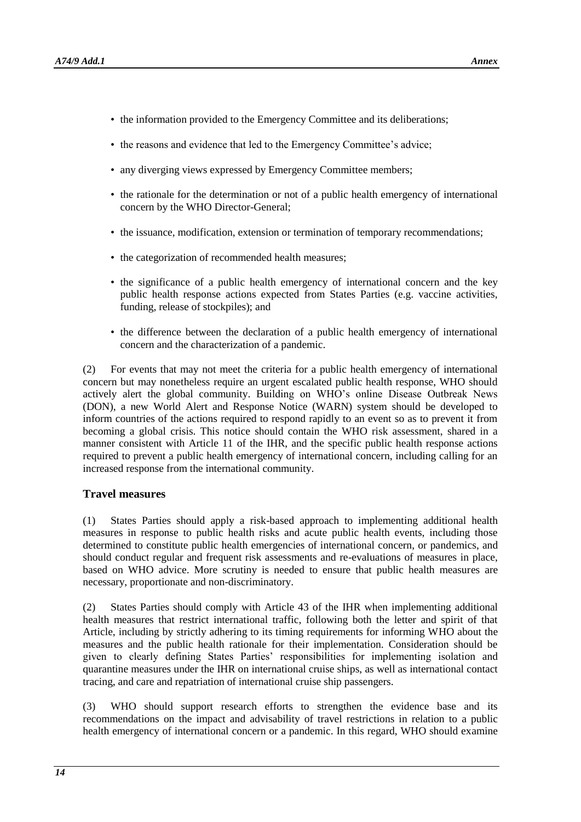- the information provided to the Emergency Committee and its deliberations;
- the reasons and evidence that led to the Emergency Committee's advice;
- any diverging views expressed by Emergency Committee members;
- the rationale for the determination or not of a public health emergency of international concern by the WHO Director-General;
- the issuance, modification, extension or termination of temporary recommendations;
- the categorization of recommended health measures;
- the significance of a public health emergency of international concern and the key public health response actions expected from States Parties (e.g. vaccine activities, funding, release of stockpiles); and
- the difference between the declaration of a public health emergency of international concern and the characterization of a pandemic.

(2) For events that may not meet the criteria for a public health emergency of international concern but may nonetheless require an urgent escalated public health response, WHO should actively alert the global community. Building on WHO's online Disease Outbreak News (DON), a new World Alert and Response Notice (WARN) system should be developed to inform countries of the actions required to respond rapidly to an event so as to prevent it from becoming a global crisis. This notice should contain the WHO risk assessment, shared in a manner consistent with Article 11 of the IHR, and the specific public health response actions required to prevent a public health emergency of international concern, including calling for an increased response from the international community.

#### **Travel measures**

(1) States Parties should apply a risk-based approach to implementing additional health measures in response to public health risks and acute public health events, including those determined to constitute public health emergencies of international concern, or pandemics, and should conduct regular and frequent risk assessments and re-evaluations of measures in place, based on WHO advice. More scrutiny is needed to ensure that public health measures are necessary, proportionate and non-discriminatory.

(2) States Parties should comply with Article 43 of the IHR when implementing additional health measures that restrict international traffic, following both the letter and spirit of that Article, including by strictly adhering to its timing requirements for informing WHO about the measures and the public health rationale for their implementation. Consideration should be given to clearly defining States Parties' responsibilities for implementing isolation and quarantine measures under the IHR on international cruise ships, as well as international contact tracing, and care and repatriation of international cruise ship passengers.

(3) WHO should support research efforts to strengthen the evidence base and its recommendations on the impact and advisability of travel restrictions in relation to a public health emergency of international concern or a pandemic. In this regard, WHO should examine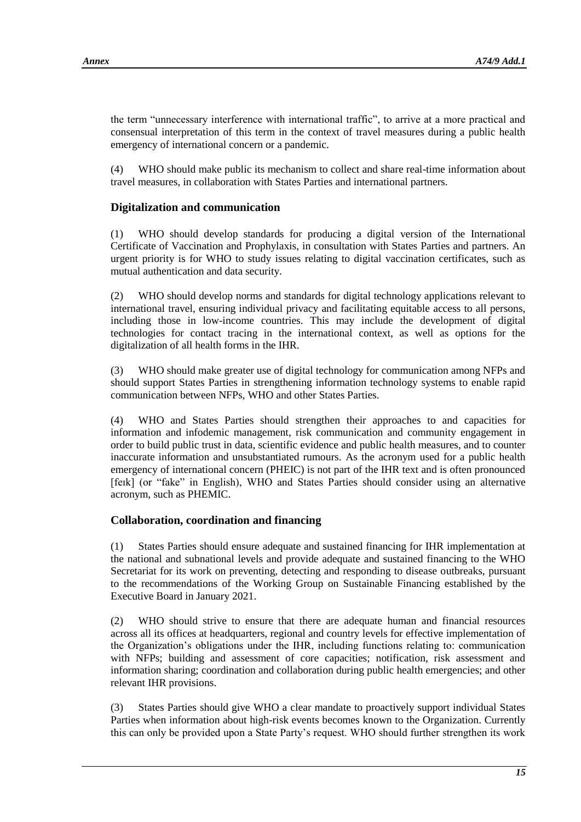the term "unnecessary interference with international traffic", to arrive at a more practical and consensual interpretation of this term in the context of travel measures during a public health emergency of international concern or a pandemic.

(4) WHO should make public its mechanism to collect and share real-time information about travel measures, in collaboration with States Parties and international partners.

## **Digitalization and communication**

(1) WHO should develop standards for producing a digital version of the International Certificate of Vaccination and Prophylaxis, in consultation with States Parties and partners. An urgent priority is for WHO to study issues relating to digital vaccination certificates, such as mutual authentication and data security.

(2) WHO should develop norms and standards for digital technology applications relevant to international travel, ensuring individual privacy and facilitating equitable access to all persons, including those in low-income countries. This may include the development of digital technologies for contact tracing in the international context, as well as options for the digitalization of all health forms in the IHR.

(3) WHO should make greater use of digital technology for communication among NFPs and should support States Parties in strengthening information technology systems to enable rapid communication between NFPs, WHO and other States Parties.

(4) WHO and States Parties should strengthen their approaches to and capacities for information and infodemic management, risk communication and community engagement in order to build public trust in data, scientific evidence and public health measures, and to counter inaccurate information and unsubstantiated rumours. As the acronym used for a public health emergency of international concern (PHEIC) is not part of the IHR text and is often pronounced [feɪk] (or "fake" in English), WHO and States Parties should consider using an alternative acronym, such as PHEMIC.

## **Collaboration, coordination and financing**

(1) States Parties should ensure adequate and sustained financing for IHR implementation at the national and subnational levels and provide adequate and sustained financing to the WHO Secretariat for its work on preventing, detecting and responding to disease outbreaks, pursuant to the recommendations of the Working Group on Sustainable Financing established by the Executive Board in January 2021.

(2) WHO should strive to ensure that there are adequate human and financial resources across all its offices at headquarters, regional and country levels for effective implementation of the Organization's obligations under the IHR, including functions relating to: communication with NFPs; building and assessment of core capacities; notification, risk assessment and information sharing; coordination and collaboration during public health emergencies; and other relevant IHR provisions.

(3) States Parties should give WHO a clear mandate to proactively support individual States Parties when information about high-risk events becomes known to the Organization. Currently this can only be provided upon a State Party's request. WHO should further strengthen its work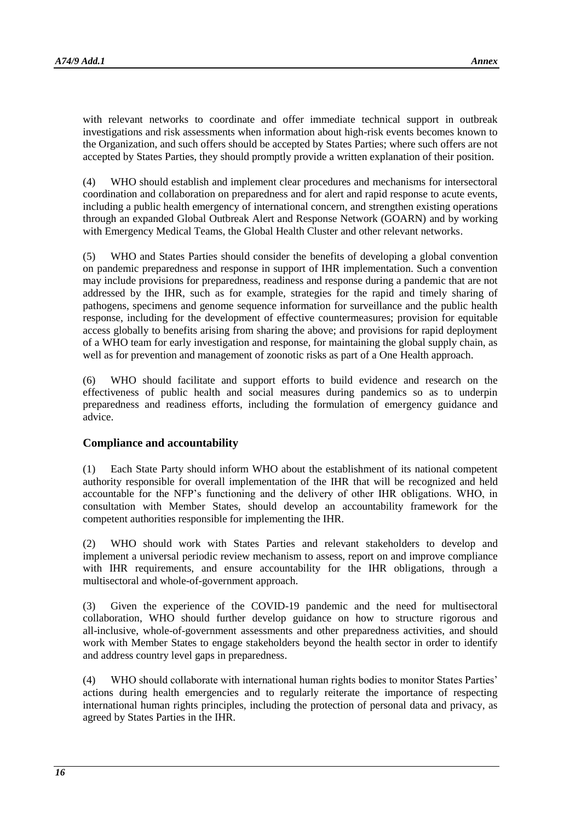with relevant networks to coordinate and offer immediate technical support in outbreak investigations and risk assessments when information about high-risk events becomes known to the Organization, and such offers should be accepted by States Parties; where such offers are not accepted by States Parties, they should promptly provide a written explanation of their position.

(4) WHO should establish and implement clear procedures and mechanisms for intersectoral coordination and collaboration on preparedness and for alert and rapid response to acute events, including a public health emergency of international concern, and strengthen existing operations through an expanded Global Outbreak Alert and Response Network (GOARN) and by working with Emergency Medical Teams, the Global Health Cluster and other relevant networks.

(5) WHO and States Parties should consider the benefits of developing a global convention on pandemic preparedness and response in support of IHR implementation. Such a convention may include provisions for preparedness, readiness and response during a pandemic that are not addressed by the IHR, such as for example, strategies for the rapid and timely sharing of pathogens, specimens and genome sequence information for surveillance and the public health response, including for the development of effective countermeasures; provision for equitable access globally to benefits arising from sharing the above; and provisions for rapid deployment of a WHO team for early investigation and response, for maintaining the global supply chain, as well as for prevention and management of zoonotic risks as part of a One Health approach.

(6) WHO should facilitate and support efforts to build evidence and research on the effectiveness of public health and social measures during pandemics so as to underpin preparedness and readiness efforts, including the formulation of emergency guidance and advice.

## **Compliance and accountability**

(1) Each State Party should inform WHO about the establishment of its national competent authority responsible for overall implementation of the IHR that will be recognized and held accountable for the NFP's functioning and the delivery of other IHR obligations. WHO, in consultation with Member States, should develop an accountability framework for the competent authorities responsible for implementing the IHR.

(2) WHO should work with States Parties and relevant stakeholders to develop and implement a universal periodic review mechanism to assess, report on and improve compliance with IHR requirements, and ensure accountability for the IHR obligations, through a multisectoral and whole-of-government approach.

(3) Given the experience of the COVID-19 pandemic and the need for multisectoral collaboration, WHO should further develop guidance on how to structure rigorous and all-inclusive, whole-of-government assessments and other preparedness activities, and should work with Member States to engage stakeholders beyond the health sector in order to identify and address country level gaps in preparedness.

(4) WHO should collaborate with international human rights bodies to monitor States Parties' actions during health emergencies and to regularly reiterate the importance of respecting international human rights principles, including the protection of personal data and privacy, as agreed by States Parties in the IHR.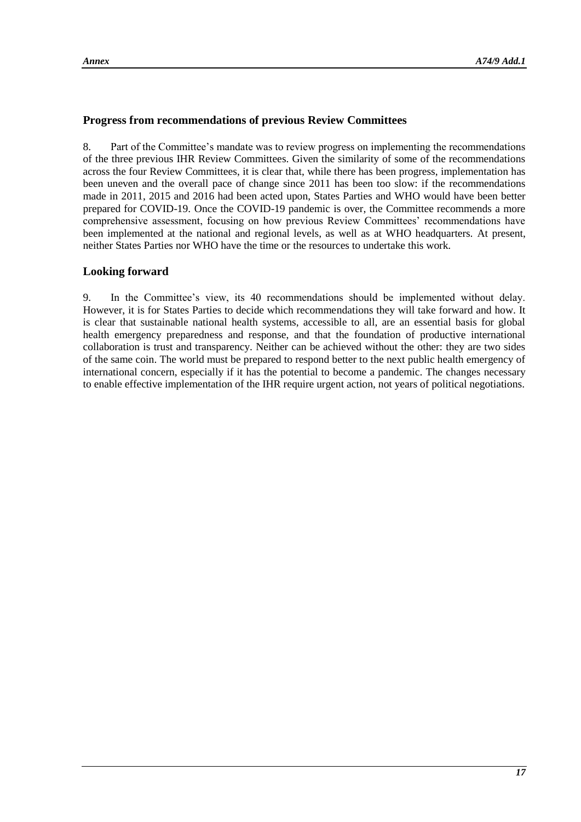## **Progress from recommendations of previous Review Committees**

8. Part of the Committee's mandate was to review progress on implementing the recommendations of the three previous IHR Review Committees. Given the similarity of some of the recommendations across the four Review Committees, it is clear that, while there has been progress, implementation has been uneven and the overall pace of change since 2011 has been too slow: if the recommendations made in 2011, 2015 and 2016 had been acted upon, States Parties and WHO would have been better prepared for COVID-19. Once the COVID-19 pandemic is over, the Committee recommends a more comprehensive assessment, focusing on how previous Review Committees' recommendations have been implemented at the national and regional levels, as well as at WHO headquarters. At present, neither States Parties nor WHO have the time or the resources to undertake this work.

## **Looking forward**

9. In the Committee's view, its 40 recommendations should be implemented without delay. However, it is for States Parties to decide which recommendations they will take forward and how. It is clear that sustainable national health systems, accessible to all, are an essential basis for global health emergency preparedness and response, and that the foundation of productive international collaboration is trust and transparency. Neither can be achieved without the other: they are two sides of the same coin. The world must be prepared to respond better to the next public health emergency of international concern, especially if it has the potential to become a pandemic. The changes necessary to enable effective implementation of the IHR require urgent action, not years of political negotiations.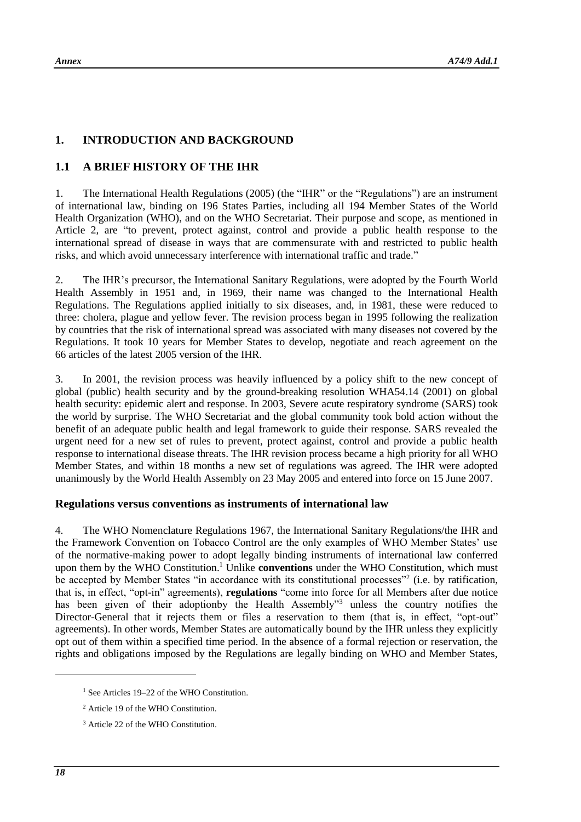## **1. INTRODUCTION AND BACKGROUND**

## **1.1 A BRIEF HISTORY OF THE IHR**

1. The International Health Regulations (2005) (the "IHR" or the "Regulations") are an instrument of international law, binding on 196 States Parties, including all 194 Member States of the World Health Organization (WHO), and on the WHO Secretariat. Their purpose and scope, as mentioned in Article 2, are "to prevent, protect against, control and provide a public health response to the international spread of disease in ways that are commensurate with and restricted to public health risks, and which avoid unnecessary interference with international traffic and trade."

2. The IHR's precursor, the International Sanitary Regulations, were adopted by the Fourth World Health Assembly in 1951 and, in 1969, their name was changed to the International Health Regulations. The Regulations applied initially to six diseases, and, in 1981, these were reduced to three: cholera, plague and yellow fever. The revision process began in 1995 following the realization by countries that the risk of international spread was associated with many diseases not covered by the Regulations. It took 10 years for Member States to develop, negotiate and reach agreement on the 66 articles of the latest 2005 version of the IHR.

3. In 2001, the revision process was heavily influenced by a policy shift to the new concept of global (public) health security and by the ground-breaking resolution WHA54.14 (2001) on global health security: epidemic alert and response. In 2003, Severe acute respiratory syndrome (SARS) took the world by surprise. The WHO Secretariat and the global community took bold action without the benefit of an adequate public health and legal framework to guide their response. SARS revealed the urgent need for a new set of rules to prevent, protect against, control and provide a public health response to international disease threats. The IHR revision process became a high priority for all WHO Member States, and within 18 months a new set of regulations was agreed. The IHR were adopted unanimously by the World Health Assembly on 23 May 2005 and entered into force on 15 June 2007.

## **Regulations versus conventions as instruments of international law**

4. The WHO Nomenclature Regulations 1967, the International Sanitary Regulations/the IHR and the Framework Convention on Tobacco Control are the only examples of WHO Member States' use of the normative-making power to adopt legally binding instruments of international law conferred upon them by the WHO Constitution.<sup>1</sup> Unlike **conventions** under the WHO Constitution, which must be accepted by Member States "in accordance with its constitutional processes"<sup>2</sup> (i.e. by ratification, that is, in effect, "opt-in" agreements), **regulations** "come into force for all Members after due notice has been given of their adoptionby the Health Assembly"<sup>3</sup> unless the country notifies the Director-General that it rejects them or files a reservation to them (that is, in effect, "opt-out" agreements). In other words, Member States are automatically bound by the IHR unless they explicitly opt out of them within a specified time period. In the absence of a formal rejection or reservation, the rights and obligations imposed by the Regulations are legally binding on WHO and Member States,

-

<sup>&</sup>lt;sup>1</sup> See Articles 19–22 of the WHO Constitution.

<sup>2</sup> Article 19 of the WHO Constitution.

<sup>&</sup>lt;sup>3</sup> Article 22 of the WHO Constitution.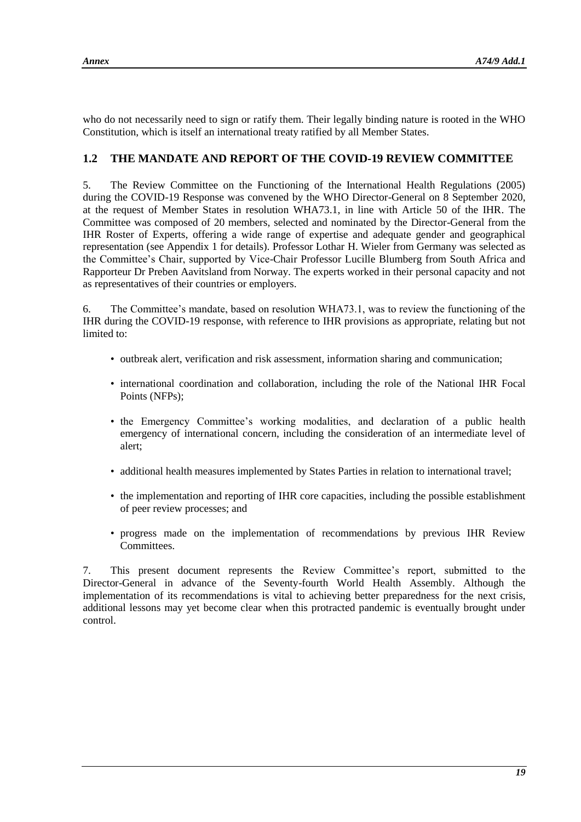who do not necessarily need to sign or ratify them. Their legally binding nature is rooted in the WHO Constitution, which is itself an international treaty ratified by all Member States.

## **1.2 THE MANDATE AND REPORT OF THE COVID-19 REVIEW COMMITTEE**

5. The Review Committee on the Functioning of the International Health Regulations (2005) during the COVID-19 Response was convened by the WHO Director-General on 8 September 2020, at the request of Member States in resolution WHA73.1, in line with Article 50 of the IHR. The Committee was composed of 20 members, selected and nominated by the Director-General from the IHR Roster of Experts, offering a wide range of expertise and adequate gender and geographical representation (see Appendix 1 for details). Professor Lothar H. Wieler from Germany was selected as the Committee's Chair, supported by Vice-Chair Professor Lucille Blumberg from South Africa and Rapporteur Dr Preben Aavitsland from Norway. The experts worked in their personal capacity and not as representatives of their countries or employers.

6. The Committee's mandate, based on resolution WHA73.1, was to review the functioning of the IHR during the COVID-19 response, with reference to IHR provisions as appropriate, relating but not limited to:

- outbreak alert, verification and risk assessment, information sharing and communication;
- international coordination and collaboration, including the role of the National IHR Focal Points (NFPs);
- the Emergency Committee's working modalities, and declaration of a public health emergency of international concern, including the consideration of an intermediate level of alert;
- additional health measures implemented by States Parties in relation to international travel;
- the implementation and reporting of IHR core capacities, including the possible establishment of peer review processes; and
- progress made on the implementation of recommendations by previous IHR Review Committees.

7. This present document represents the Review Committee's report, submitted to the Director-General in advance of the Seventy-fourth World Health Assembly. Although the implementation of its recommendations is vital to achieving better preparedness for the next crisis, additional lessons may yet become clear when this protracted pandemic is eventually brought under control.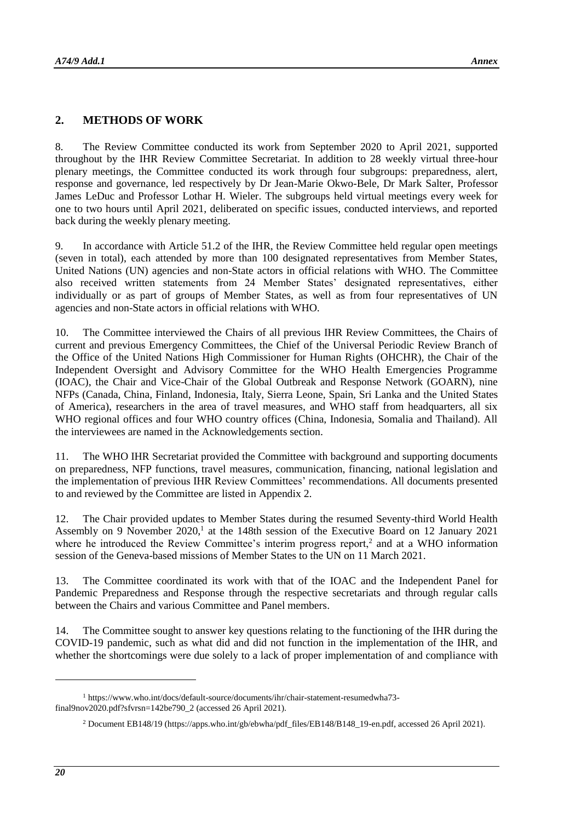#### **2. METHODS OF WORK**

8. The Review Committee conducted its work from September 2020 to April 2021, supported throughout by the IHR Review Committee Secretariat. In addition to 28 weekly virtual three-hour plenary meetings, the Committee conducted its work through four subgroups: preparedness, alert, response and governance, led respectively by Dr Jean-Marie Okwo-Bele, Dr Mark Salter, Professor James LeDuc and Professor Lothar H. Wieler. The subgroups held virtual meetings every week for one to two hours until April 2021, deliberated on specific issues, conducted interviews, and reported back during the weekly plenary meeting.

9. In accordance with Article 51.2 of the IHR, the Review Committee held regular open meetings (seven in total), each attended by more than 100 designated representatives from Member States, United Nations (UN) agencies and non-State actors in official relations with WHO. The Committee also received written statements from 24 Member States' designated representatives, either individually or as part of groups of Member States, as well as from four representatives of UN agencies and non-State actors in official relations with WHO.

10. The Committee interviewed the Chairs of all previous IHR Review Committees, the Chairs of current and previous Emergency Committees, the Chief of the Universal Periodic Review Branch of the Office of the United Nations High Commissioner for Human Rights (OHCHR), the Chair of the Independent Oversight and Advisory Committee for the WHO Health Emergencies Programme (IOAC), the Chair and Vice-Chair of the Global Outbreak and Response Network (GOARN), nine NFPs (Canada, China, Finland, Indonesia, Italy, Sierra Leone, Spain, Sri Lanka and the United States of America), researchers in the area of travel measures, and WHO staff from headquarters, all six WHO regional offices and four WHO country offices (China, Indonesia, Somalia and Thailand). All the interviewees are named in the Acknowledgements section.

11. The WHO IHR Secretariat provided the Committee with background and supporting documents on preparedness, NFP functions, travel measures, communication, financing, national legislation and the implementation of previous IHR Review Committees' recommendations. All documents presented to and reviewed by the Committee are listed in Appendix 2.

12. The Chair provided updates to Member States during the resumed Seventy-third World Health Assembly on 9 November 2020,<sup>1</sup> at the 148th session of the Executive Board on 12 January 2021 where he introduced the Review Committee's interim progress report,<sup>2</sup> and at a WHO information session of the Geneva-based missions of Member States to the UN on 11 March 2021.

13. The Committee coordinated its work with that of the IOAC and the Independent Panel for Pandemic Preparedness and Response through the respective secretariats and through regular calls between the Chairs and various Committee and Panel members.

14. The Committee sought to answer key questions relating to the functioning of the IHR during the COVID-19 pandemic, such as what did and did not function in the implementation of the IHR, and whether the shortcomings were due solely to a lack of proper implementation of and compliance with

1

<sup>1</sup> [https://www.who.int/docs/default-source/documents/ihr/chair-statement-resumedwha73](https://www.who.int/docs/default-source/documents/ihr/chair-statement-resumedwha73-final9nov2020.pdf?sfvrsn=142be790_2) [final9nov2020.pdf?sfvrsn=142be790\\_2](https://www.who.int/docs/default-source/documents/ihr/chair-statement-resumedwha73-final9nov2020.pdf?sfvrsn=142be790_2) (accessed 26 April 2021).

<sup>&</sup>lt;sup>2</sup> Document EB148/19 [\(https://apps.who.int/gb/ebwha/pdf\\_files/EB148/B148\\_19-en.pdf,](https://apps.who.int/gb/ebwha/pdf_files/EB148/B148_19-en.pdf) accessed 26 April 2021).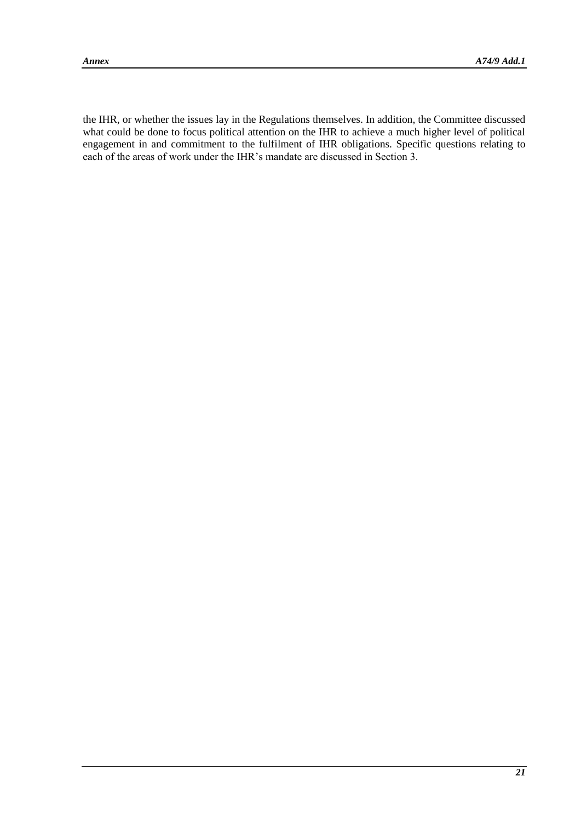the IHR, or whether the issues lay in the Regulations themselves. In addition, the Committee discussed what could be done to focus political attention on the IHR to achieve a much higher level of political engagement in and commitment to the fulfilment of IHR obligations. Specific questions relating to each of the areas of work under the IHR's mandate are discussed in Section 3.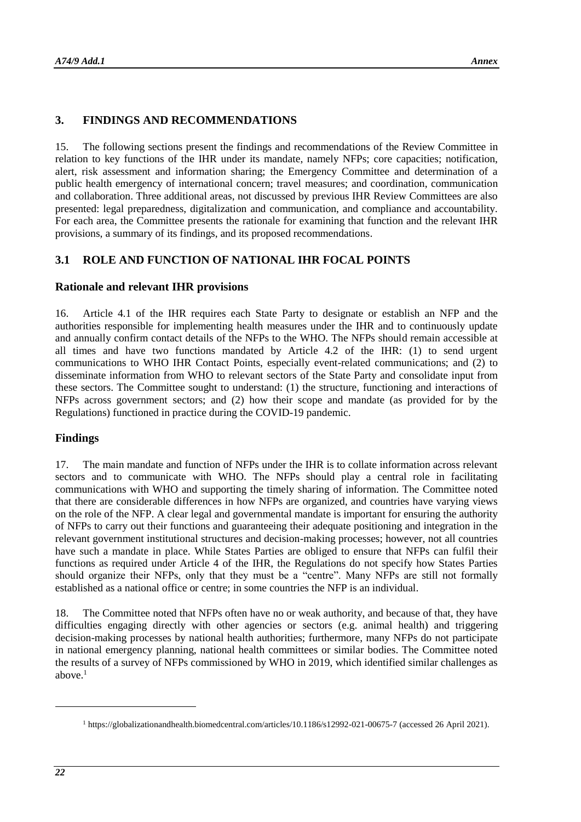## **3. FINDINGS AND RECOMMENDATIONS**

15. The following sections present the findings and recommendations of the Review Committee in relation to key functions of the IHR under its mandate, namely NFPs; core capacities; notification, alert, risk assessment and information sharing; the Emergency Committee and determination of a public health emergency of international concern; travel measures; and coordination, communication and collaboration. Three additional areas, not discussed by previous IHR Review Committees are also presented: legal preparedness, digitalization and communication, and compliance and accountability. For each area, the Committee presents the rationale for examining that function and the relevant IHR provisions, a summary of its findings, and its proposed recommendations.

## **3.1 ROLE AND FUNCTION OF NATIONAL IHR FOCAL POINTS**

#### **Rationale and relevant IHR provisions**

16. Article 4.1 of the IHR requires each State Party to designate or establish an NFP and the authorities responsible for implementing health measures under the IHR and to continuously update and annually confirm contact details of the NFPs to the WHO. The NFPs should remain accessible at all times and have two functions mandated by Article 4.2 of the IHR: (1) to send urgent communications to WHO IHR Contact Points, especially event-related communications; and (2) to disseminate information from WHO to relevant sectors of the State Party and consolidate input from these sectors. The Committee sought to understand: (1) the structure, functioning and interactions of NFPs across government sectors; and (2) how their scope and mandate (as provided for by the Regulations) functioned in practice during the COVID-19 pandemic.

#### **Findings**

17. The main mandate and function of NFPs under the IHR is to collate information across relevant sectors and to communicate with WHO. The NFPs should play a central role in facilitating communications with WHO and supporting the timely sharing of information. The Committee noted that there are considerable differences in how NFPs are organized, and countries have varying views on the role of the NFP. A clear legal and governmental mandate is important for ensuring the authority of NFPs to carry out their functions and guaranteeing their adequate positioning and integration in the relevant government institutional structures and decision-making processes; however, not all countries have such a mandate in place. While States Parties are obliged to ensure that NFPs can fulfil their functions as required under Article 4 of the IHR, the Regulations do not specify how States Parties should organize their NFPs, only that they must be a "centre". Many NFPs are still not formally established as a national office or centre; in some countries the NFP is an individual.

18. The Committee noted that NFPs often have no or weak authority, and because of that, they have difficulties engaging directly with other agencies or sectors (e.g. animal health) and triggering decision-making processes by national health authorities; furthermore, many NFPs do not participate in national emergency planning, national health committees or similar bodies. The Committee noted the results of a survey of NFPs commissioned by WHO in 2019, which identified similar challenges as above. $<sup>1</sup>$ </sup>

1

<sup>1</sup> <https://globalizationandhealth.biomedcentral.com/articles/10.1186/s12992-021-00675-7> (accessed 26 April 2021).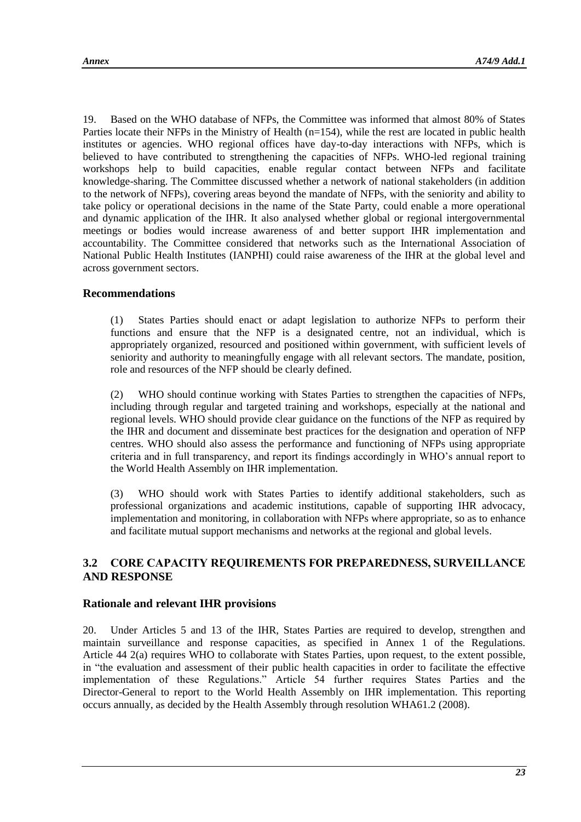19. Based on the WHO database of NFPs, the Committee was informed that almost 80% of States Parties locate their NFPs in the Ministry of Health (n=154), while the rest are located in public health institutes or agencies. WHO regional offices have day-to-day interactions with NFPs, which is believed to have contributed to strengthening the capacities of NFPs. WHO-led regional training workshops help to build capacities, enable regular contact between NFPs and facilitate knowledge-sharing. The Committee discussed whether a network of national stakeholders (in addition to the network of NFPs), covering areas beyond the mandate of NFPs, with the seniority and ability to take policy or operational decisions in the name of the State Party, could enable a more operational and dynamic application of the IHR. It also analysed whether global or regional intergovernmental meetings or bodies would increase awareness of and better support IHR implementation and accountability. The Committee considered that networks such as the International Association of National Public Health Institutes (IANPHI) could raise awareness of the IHR at the global level and across government sectors.

#### **Recommendations**

(1) States Parties should enact or adapt legislation to authorize NFPs to perform their functions and ensure that the NFP is a designated centre, not an individual, which is appropriately organized, resourced and positioned within government, with sufficient levels of seniority and authority to meaningfully engage with all relevant sectors. The mandate, position, role and resources of the NFP should be clearly defined.

(2) WHO should continue working with States Parties to strengthen the capacities of NFPs, including through regular and targeted training and workshops, especially at the national and regional levels. WHO should provide clear guidance on the functions of the NFP as required by the IHR and document and disseminate best practices for the designation and operation of NFP centres. WHO should also assess the performance and functioning of NFPs using appropriate criteria and in full transparency, and report its findings accordingly in WHO's annual report to the World Health Assembly on IHR implementation.

(3) WHO should work with States Parties to identify additional stakeholders, such as professional organizations and academic institutions, capable of supporting IHR advocacy, implementation and monitoring, in collaboration with NFPs where appropriate, so as to enhance and facilitate mutual support mechanisms and networks at the regional and global levels.

## **3.2 CORE CAPACITY REQUIREMENTS FOR PREPAREDNESS, SURVEILLANCE AND RESPONSE**

#### **Rationale and relevant IHR provisions**

20. Under Articles 5 and 13 of the IHR, States Parties are required to develop, strengthen and maintain surveillance and response capacities, as specified in Annex 1 of the Regulations. Article 44 2(a) requires WHO to collaborate with States Parties, upon request, to the extent possible, in "the evaluation and assessment of their public health capacities in order to facilitate the effective implementation of these Regulations." Article 54 further requires States Parties and the Director-General to report to the World Health Assembly on IHR implementation. This reporting occurs annually, as decided by the Health Assembly through resolution WHA61.2 (2008).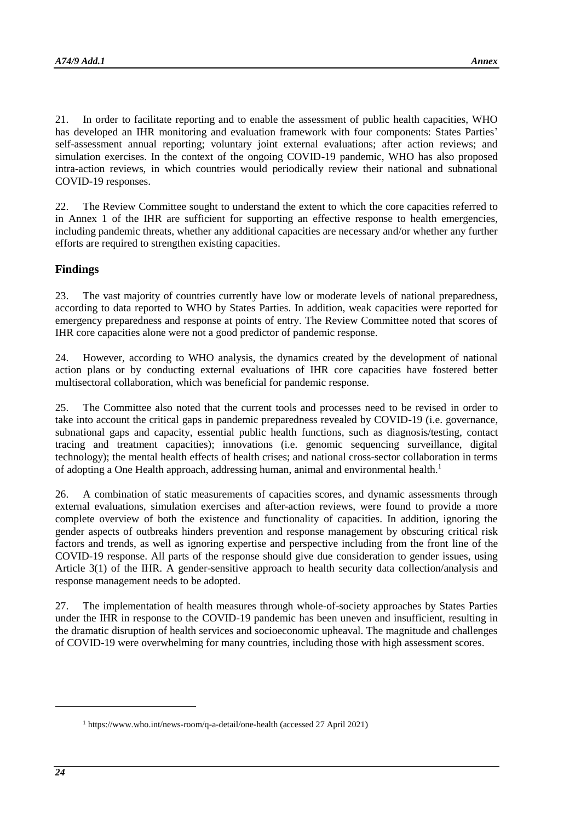21. In order to facilitate reporting and to enable the assessment of public health capacities, WHO has developed an IHR monitoring and evaluation framework with four components: States Parties' self-assessment annual reporting; voluntary joint external evaluations; after action reviews; and simulation exercises. In the context of the ongoing COVID-19 pandemic, WHO has also proposed intra-action reviews, in which countries would periodically review their national and subnational COVID-19 responses.

22. The Review Committee sought to understand the extent to which the core capacities referred to in Annex 1 of the IHR are sufficient for supporting an effective response to health emergencies, including pandemic threats, whether any additional capacities are necessary and/or whether any further efforts are required to strengthen existing capacities.

## **Findings**

23. The vast majority of countries currently have low or moderate levels of national preparedness, according to data reported to WHO by States Parties. In addition, weak capacities were reported for emergency preparedness and response at points of entry. The Review Committee noted that scores of IHR core capacities alone were not a good predictor of pandemic response.

24. However, according to WHO analysis, the dynamics created by the development of national action plans or by conducting external evaluations of IHR core capacities have fostered better multisectoral collaboration, which was beneficial for pandemic response.

25. The Committee also noted that the current tools and processes need to be revised in order to take into account the critical gaps in pandemic preparedness revealed by COVID-19 (i.e. governance, subnational gaps and capacity, essential public health functions, such as diagnosis/testing, contact tracing and treatment capacities); innovations (i.e. genomic sequencing surveillance, digital technology); the mental health effects of health crises; and national cross-sector collaboration in terms of adopting a One Health approach, addressing human, animal and environmental health.<sup>1</sup>

26. A combination of static measurements of capacities scores, and dynamic assessments through external evaluations, simulation exercises and after-action reviews, were found to provide a more complete overview of both the existence and functionality of capacities. In addition, ignoring the gender aspects of outbreaks hinders prevention and response management by obscuring critical risk factors and trends, as well as ignoring expertise and perspective including from the front line of the COVID-19 response. All parts of the response should give due consideration to gender issues, using Article 3(1) of the IHR. A gender-sensitive approach to health security data collection/analysis and response management needs to be adopted.

27. The implementation of health measures through whole-of-society approaches by States Parties under the IHR in response to the COVID-19 pandemic has been uneven and insufficient, resulting in the dramatic disruption of health services and socioeconomic upheaval. The magnitude and challenges of COVID-19 were overwhelming for many countries, including those with high assessment scores.

1

<sup>1</sup> <https://www.who.int/news-room/q-a-detail/one-health> (accessed 27 April 2021)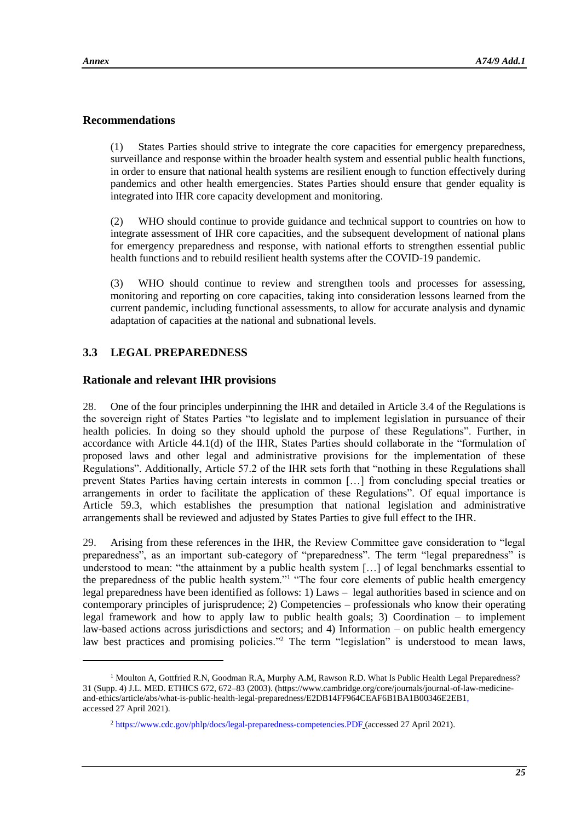$\overline{a}$ 

## **Recommendations**

(1) States Parties should strive to integrate the core capacities for emergency preparedness, surveillance and response within the broader health system and essential public health functions, in order to ensure that national health systems are resilient enough to function effectively during pandemics and other health emergencies. States Parties should ensure that gender equality is integrated into IHR core capacity development and monitoring.

(2) WHO should continue to provide guidance and technical support to countries on how to integrate assessment of IHR core capacities, and the subsequent development of national plans for emergency preparedness and response, with national efforts to strengthen essential public health functions and to rebuild resilient health systems after the COVID-19 pandemic.

(3) WHO should continue to review and strengthen tools and processes for assessing, monitoring and reporting on core capacities, taking into consideration lessons learned from the current pandemic, including functional assessments, to allow for accurate analysis and dynamic adaptation of capacities at the national and subnational levels.

## **3.3 LEGAL PREPAREDNESS**

## **Rationale and relevant IHR provisions**

28. One of the four principles underpinning the IHR and detailed in Article 3.4 of the Regulations is the sovereign right of States Parties "to legislate and to implement legislation in pursuance of their health policies. In doing so they should uphold the purpose of these Regulations". Further, in accordance with Article 44.1(d) of the IHR, States Parties should collaborate in the "formulation of proposed laws and other legal and administrative provisions for the implementation of these Regulations". Additionally, Article 57.2 of the IHR sets forth that "nothing in these Regulations shall prevent States Parties having certain interests in common […] from concluding special treaties or arrangements in order to facilitate the application of these Regulations". Of equal importance is Article 59.3, which establishes the presumption that national legislation and administrative arrangements shall be reviewed and adjusted by States Parties to give full effect to the IHR.

29. Arising from these references in the IHR, the Review Committee gave consideration to "legal preparedness", as an important sub-category of "preparedness". The term "legal preparedness" is understood to mean: "the attainment by a public health system [...] of legal benchmarks essential to the preparedness of the public health system."<sup>1</sup> "The four core elements of public health emergency legal preparedness have been identified as follows: 1) Laws – legal authorities based in science and on contemporary principles of jurisprudence; 2) Competencies – professionals who know their operating legal framework and how to apply law to public health goals; 3) Coordination – to implement law-based actions across jurisdictions and sectors; and 4) Information – on public health emergency law best practices and promising policies."<sup>2</sup> The term "legislation" is understood to mean laws,

<sup>&</sup>lt;sup>1</sup> Moulton A, Gottfried R.N, Goodman R.A, Murphy A.M, Rawson R.D. What Is Public Health Legal Preparedness? 31 (Supp. 4) J.L. MED. ETHICS 672, 672–83 (2003). [\(https://www.cambridge.org/core/journals/journal-of-law-medicine](https://www.cambridge.org/core/journals/journal-of-law-medicine-and-ethics/article/abs/what-is-public-health-legal-preparedness/E2DB14FF964CEAF6B1BA1B00346E2EB1)[and-ethics/article/abs/what-is-public-health-legal-preparedness/E2DB14FF964CEAF6B1BA1B00346E2EB1,](https://www.cambridge.org/core/journals/journal-of-law-medicine-and-ethics/article/abs/what-is-public-health-legal-preparedness/E2DB14FF964CEAF6B1BA1B00346E2EB1) accessed 27 April 2021).

<sup>2</sup> <https://www.cdc.gov/phlp/docs/legal-preparedness-competencies.PDF> (accessed 27 April 2021).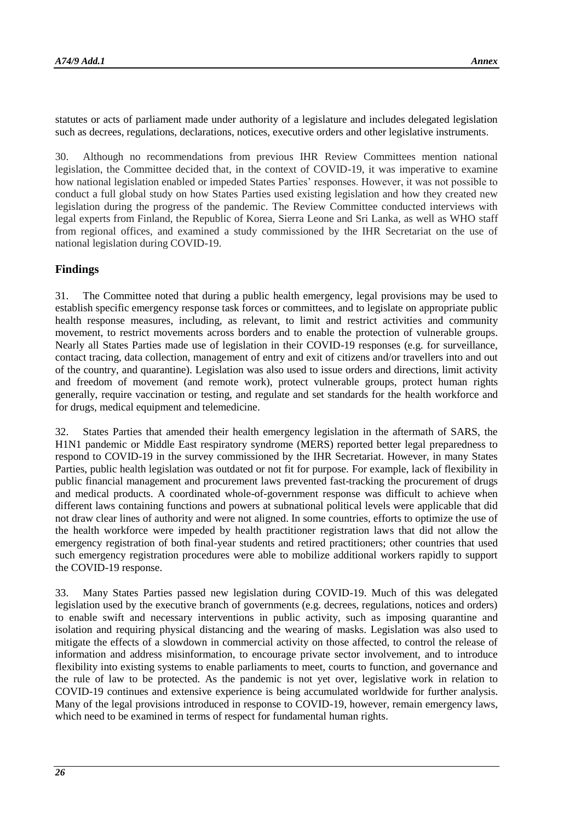statutes or acts of parliament made under authority of a legislature and includes delegated legislation such as decrees, regulations, declarations, notices, executive orders and other legislative instruments.

30. Although no recommendations from previous IHR Review Committees mention national legislation, the Committee decided that, in the context of COVID-19, it was imperative to examine how national legislation enabled or impeded States Parties' responses. However, it was not possible to conduct a full global study on how States Parties used existing legislation and how they created new legislation during the progress of the pandemic. The Review Committee conducted interviews with legal experts from Finland, the Republic of Korea, Sierra Leone and Sri Lanka, as well as WHO staff from regional offices, and examined a study commissioned by the IHR Secretariat on the use of national legislation during COVID-19.

#### **Findings**

31. The Committee noted that during a public health emergency, legal provisions may be used to establish specific emergency response task forces or committees, and to legislate on appropriate public health response measures, including, as relevant, to limit and restrict activities and community movement, to restrict movements across borders and to enable the protection of vulnerable groups. Nearly all States Parties made use of legislation in their COVID-19 responses (e.g. for surveillance, contact tracing, data collection, management of entry and exit of citizens and/or travellers into and out of the country, and quarantine). Legislation was also used to issue orders and directions, limit activity and freedom of movement (and remote work), protect vulnerable groups, protect human rights generally, require vaccination or testing, and regulate and set standards for the health workforce and for drugs, medical equipment and telemedicine.

32. States Parties that amended their health emergency legislation in the aftermath of SARS, the H1N1 pandemic or Middle East respiratory syndrome (MERS) reported better legal preparedness to respond to COVID-19 in the survey commissioned by the IHR Secretariat. However, in many States Parties, public health legislation was outdated or not fit for purpose. For example, lack of flexibility in public financial management and procurement laws prevented fast-tracking the procurement of drugs and medical products. A coordinated whole-of-government response was difficult to achieve when different laws containing functions and powers at subnational political levels were applicable that did not draw clear lines of authority and were not aligned. In some countries, efforts to optimize the use of the health workforce were impeded by health practitioner registration laws that did not allow the emergency registration of both final-year students and retired practitioners; other countries that used such emergency registration procedures were able to mobilize additional workers rapidly to support the COVID-19 response.

33. Many States Parties passed new legislation during COVID-19. Much of this was delegated legislation used by the executive branch of governments (e.g. decrees, regulations, notices and orders) to enable swift and necessary interventions in public activity, such as imposing quarantine and isolation and requiring physical distancing and the wearing of masks. Legislation was also used to mitigate the effects of a slowdown in commercial activity on those affected, to control the release of information and address misinformation, to encourage private sector involvement, and to introduce flexibility into existing systems to enable parliaments to meet, courts to function, and governance and the rule of law to be protected. As the pandemic is not yet over, legislative work in relation to COVID-19 continues and extensive experience is being accumulated worldwide for further analysis. Many of the legal provisions introduced in response to COVID-19, however, remain emergency laws, which need to be examined in terms of respect for fundamental human rights.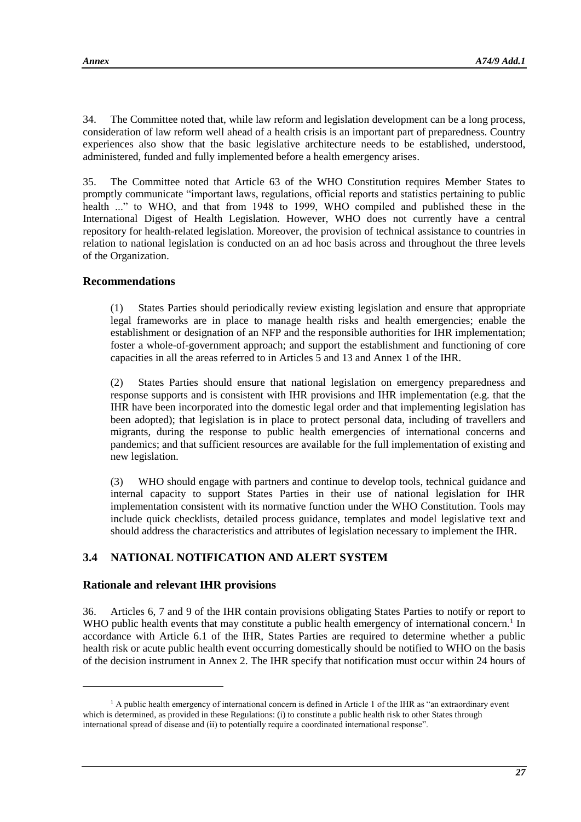34. The Committee noted that, while law reform and legislation development can be a long process, consideration of law reform well ahead of a health crisis is an important part of preparedness. Country experiences also show that the basic legislative architecture needs to be established, understood, administered, funded and fully implemented before a health emergency arises.

35. The Committee noted that Article 63 of the WHO Constitution requires Member States to promptly communicate "important laws, regulations, official reports and statistics pertaining to public health ..." to WHO, and that from 1948 to 1999, WHO compiled and published these in the International Digest of Health Legislation. However, WHO does not currently have a central repository for health-related legislation. Moreover, the provision of technical assistance to countries in relation to national legislation is conducted on an ad hoc basis across and throughout the three levels of the Organization.

## **Recommendations**

(1) States Parties should periodically review existing legislation and ensure that appropriate legal frameworks are in place to manage health risks and health emergencies; enable the establishment or designation of an NFP and the responsible authorities for IHR implementation; foster a whole-of-government approach; and support the establishment and functioning of core capacities in all the areas referred to in Articles 5 and 13 and Annex 1 of the IHR.

(2) States Parties should ensure that national legislation on emergency preparedness and response supports and is consistent with IHR provisions and IHR implementation (e.g. that the IHR have been incorporated into the domestic legal order and that implementing legislation has been adopted); that legislation is in place to protect personal data, including of travellers and migrants, during the response to public health emergencies of international concerns and pandemics; and that sufficient resources are available for the full implementation of existing and new legislation.

(3) WHO should engage with partners and continue to develop tools, technical guidance and internal capacity to support States Parties in their use of national legislation for IHR implementation consistent with its normative function under the WHO Constitution. Tools may include quick checklists, detailed process guidance, templates and model legislative text and should address the characteristics and attributes of legislation necessary to implement the IHR.

## **3.4 NATIONAL NOTIFICATION AND ALERT SYSTEM**

#### **Rationale and relevant IHR provisions**

 $\overline{\phantom{a}}$ 

36. Articles 6, 7 and 9 of the IHR contain provisions obligating States Parties to notify or report to WHO public health events that may constitute a public health emergency of international concern.<sup>1</sup> In accordance with Article 6.1 of the IHR, States Parties are required to determine whether a public health risk or acute public health event occurring domestically should be notified to WHO on the basis of the decision instrument in Annex 2. The IHR specify that notification must occur within 24 hours of

 $<sup>1</sup>$  A public health emergency of international concern is defined in Article 1 of the IHR as "an extraordinary event"</sup> which is determined, as provided in these Regulations: (i) to constitute a public health risk to other States through international spread of disease and (ii) to potentially require a coordinated international response".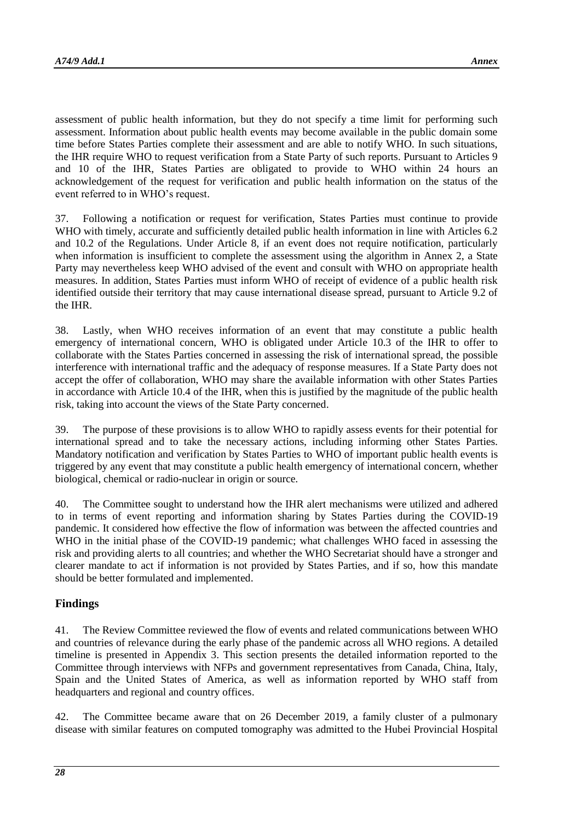assessment of public health information, but they do not specify a time limit for performing such assessment. Information about public health events may become available in the public domain some time before States Parties complete their assessment and are able to notify WHO. In such situations, the IHR require WHO to request verification from a State Party of such reports. Pursuant to Articles 9 and 10 of the IHR, States Parties are obligated to provide to WHO within 24 hours an acknowledgement of the request for verification and public health information on the status of the event referred to in WHO's request.

37. Following a notification or request for verification, States Parties must continue to provide WHO with timely, accurate and sufficiently detailed public health information in line with Articles 6.2 and 10.2 of the Regulations. Under Article 8, if an event does not require notification, particularly when information is insufficient to complete the assessment using the algorithm in Annex 2, a State Party may nevertheless keep WHO advised of the event and consult with WHO on appropriate health measures. In addition, States Parties must inform WHO of receipt of evidence of a public health risk identified outside their territory that may cause international disease spread, pursuant to Article 9.2 of the IHR.

38. Lastly, when WHO receives information of an event that may constitute a public health emergency of international concern, WHO is obligated under Article 10.3 of the IHR to offer to collaborate with the States Parties concerned in assessing the risk of international spread, the possible interference with international traffic and the adequacy of response measures. If a State Party does not accept the offer of collaboration, WHO may share the available information with other States Parties in accordance with Article 10.4 of the IHR, when this is justified by the magnitude of the public health risk, taking into account the views of the State Party concerned.

39. The purpose of these provisions is to allow WHO to rapidly assess events for their potential for international spread and to take the necessary actions, including informing other States Parties. Mandatory notification and verification by States Parties to WHO of important public health events is triggered by any event that may constitute a public health emergency of international concern, whether biological, chemical or radio-nuclear in origin or source.

40. The Committee sought to understand how the IHR alert mechanisms were utilized and adhered to in terms of event reporting and information sharing by States Parties during the COVID-19 pandemic. It considered how effective the flow of information was between the affected countries and WHO in the initial phase of the COVID-19 pandemic; what challenges WHO faced in assessing the risk and providing alerts to all countries; and whether the WHO Secretariat should have a stronger and clearer mandate to act if information is not provided by States Parties, and if so, how this mandate should be better formulated and implemented.

## **Findings**

41. The Review Committee reviewed the flow of events and related communications between WHO and countries of relevance during the early phase of the pandemic across all WHO regions. A detailed timeline is presented in Appendix 3. This section presents the detailed information reported to the Committee through interviews with NFPs and government representatives from Canada, China, Italy, Spain and the United States of America, as well as information reported by WHO staff from headquarters and regional and country offices.

42. The Committee became aware that on 26 December 2019, a family cluster of a pulmonary disease with similar features on computed tomography was admitted to the Hubei Provincial Hospital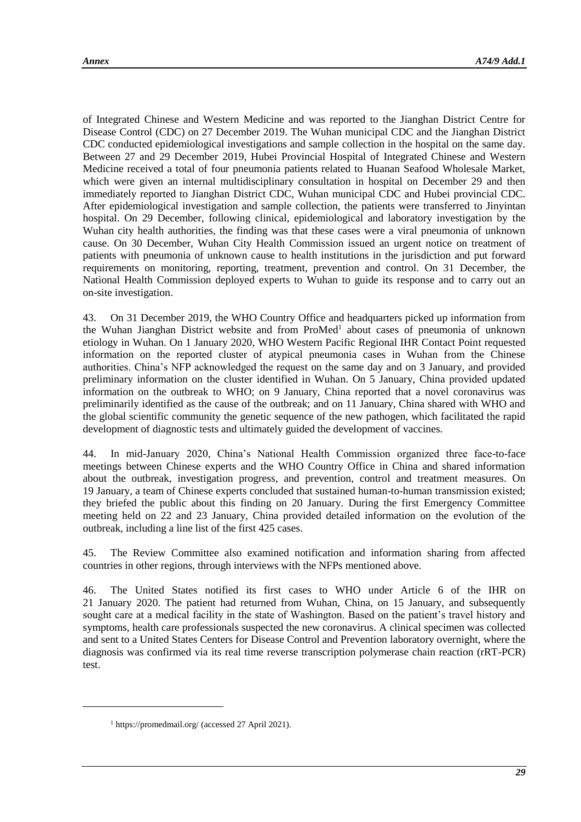of Integrated Chinese and Western Medicine and was reported to the Jianghan District Centre for Disease Control (CDC) on 27 December 2019. The Wuhan municipal CDC and the Jianghan District CDC conducted epidemiological investigations and sample collection in the hospital on the same day. Between 27 and 29 December 2019, Hubei Provincial Hospital of Integrated Chinese and Western Medicine received a total of four pneumonia patients related to Huanan Seafood Wholesale Market, which were given an internal multidisciplinary consultation in hospital on December 29 and then immediately reported to Jianghan District CDC, Wuhan municipal CDC and Hubei provincial CDC. After epidemiological investigation and sample collection, the patients were transferred to Jinyintan hospital. On 29 December, following clinical, epidemiological and laboratory investigation by the Wuhan city health authorities, the finding was that these cases were a viral pneumonia of unknown cause. On 30 December, Wuhan City Health Commission issued an urgent notice on treatment of patients with pneumonia of unknown cause to health institutions in the jurisdiction and put forward requirements on monitoring, reporting, treatment, prevention and control. On 31 December, the National Health Commission deployed experts to Wuhan to guide its response and to carry out an on-site investigation.

43. On 31 December 2019, the WHO Country Office and headquarters picked up information from the Wuhan Jianghan District website and from ProMed<sup>1</sup> about cases of pneumonia of unknown etiology in Wuhan. On 1 January 2020, WHO Western Pacific Regional IHR Contact Point requested information on the reported cluster of atypical pneumonia cases in Wuhan from the Chinese authorities. China's NFP acknowledged the request on the same day and on 3 January, and provided preliminary information on the cluster identified in Wuhan. On 5 January, China provided updated information on the outbreak to WHO; on 9 January, China reported that a novel coronavirus was preliminarily identified as the cause of the outbreak; and on 11 January, China shared with WHO and the global scientific community the genetic sequence of the new pathogen, which facilitated the rapid development of diagnostic tests and ultimately guided the development of vaccines.

44. In mid-January 2020, China's National Health Commission organized three face-to-face meetings between Chinese experts and the WHO Country Office in China and shared information about the outbreak, investigation progress, and prevention, control and treatment measures. On 19 January, a team of Chinese experts concluded that sustained human-to-human transmission existed; they briefed the public about this finding on 20 January. During the first Emergency Committee meeting held on 22 and 23 January, China provided detailed information on the evolution of the outbreak, including a line list of the first 425 cases.

45. The Review Committee also examined notification and information sharing from affected countries in other regions, through interviews with the NFPs mentioned above.

46. The United States notified its first cases to WHO under Article 6 of the IHR on 21 January 2020. The patient had returned from Wuhan, China, on 15 January, and subsequently sought care at a medical facility in the state of Washington. Based on the patient's travel history and symptoms, health care professionals suspected the new coronavirus. A clinical specimen was collected and sent to a United States Centers for Disease Control and Prevention laboratory overnight, where the diagnosis was confirmed via its real time reverse transcription polymerase chain reaction (rRT-PCR) test.

l

<sup>1</sup> <https://promedmail.org/> (accessed 27 April 2021).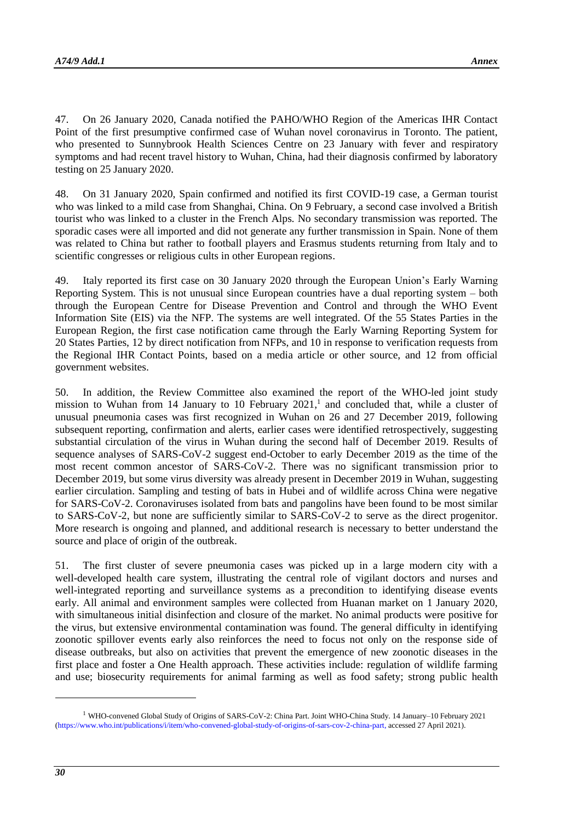47. On 26 January 2020, Canada notified the PAHO/WHO Region of the Americas IHR Contact Point of the first presumptive confirmed case of Wuhan novel coronavirus in Toronto. The patient, who presented to Sunnybrook Health Sciences Centre on 23 January with fever and respiratory symptoms and had recent travel history to Wuhan, China, had their diagnosis confirmed by laboratory testing on 25 January 2020.

48. On 31 January 2020, Spain confirmed and notified its first COVID-19 case, a German tourist who was linked to a mild case from Shanghai, China. On 9 February, a second case involved a British tourist who was linked to a cluster in the French Alps. No secondary transmission was reported. The sporadic cases were all imported and did not generate any further transmission in Spain. None of them was related to China but rather to football players and Erasmus students returning from Italy and to scientific congresses or religious cults in other European regions.

49. Italy reported its first case on 30 January 2020 through the European Union's Early Warning Reporting System. This is not unusual since European countries have a dual reporting system – both through the European Centre for Disease Prevention and Control and through the WHO Event Information Site (EIS) via the NFP. The systems are well integrated. Of the 55 States Parties in the European Region, the first case notification came through the Early Warning Reporting System for 20 States Parties, 12 by direct notification from NFPs, and 10 in response to verification requests from the Regional IHR Contact Points, based on a media article or other source, and 12 from official government websites.

50. In addition, the Review Committee also examined the report of the WHO-led joint study mission to Wuhan from 14 January to 10 February  $2021$ ,<sup>1</sup> and concluded that, while a cluster of unusual pneumonia cases was first recognized in Wuhan on 26 and 27 December 2019, following subsequent reporting, confirmation and alerts, earlier cases were identified retrospectively, suggesting substantial circulation of the virus in Wuhan during the second half of December 2019. Results of sequence analyses of SARS-CoV-2 suggest end-October to early December 2019 as the time of the most recent common ancestor of SARS-CoV-2. There was no significant transmission prior to December 2019, but some virus diversity was already present in December 2019 in Wuhan, suggesting earlier circulation. Sampling and testing of bats in Hubei and of wildlife across China were negative for SARS-CoV-2. Coronaviruses isolated from bats and pangolins have been found to be most similar to SARS-CoV-2, but none are sufficiently similar to SARS-CoV-2 to serve as the direct progenitor. More research is ongoing and planned, and additional research is necessary to better understand the source and place of origin of the outbreak.

51. The first cluster of severe pneumonia cases was picked up in a large modern city with a well-developed health care system, illustrating the central role of vigilant doctors and nurses and well-integrated reporting and surveillance systems as a precondition to identifying disease events early. All animal and environment samples were collected from Huanan market on 1 January 2020, with simultaneous initial disinfection and closure of the market. No animal products were positive for the virus, but extensive environmental contamination was found. The general difficulty in identifying zoonotic spillover events early also reinforces the need to focus not only on the response side of disease outbreaks, but also on activities that prevent the emergence of new zoonotic diseases in the first place and foster a One Health approach. These activities include: regulation of wildlife farming and use; biosecurity requirements for animal farming as well as food safety; strong public health

-

<sup>1</sup> WHO-convened Global Study of Origins of SARS-CoV-2: China Part. Joint WHO-China Study. 14 January–10 February 2021 [\(https://www.who.int/publications/i/item/who-convened-global-study-of-origins-of-sars-cov-2-china-part,](https://www.who.int/publications/i/item/who-convened-global-study-of-origins-of-sars-cov-2-china-part) accessed 27 April 2021).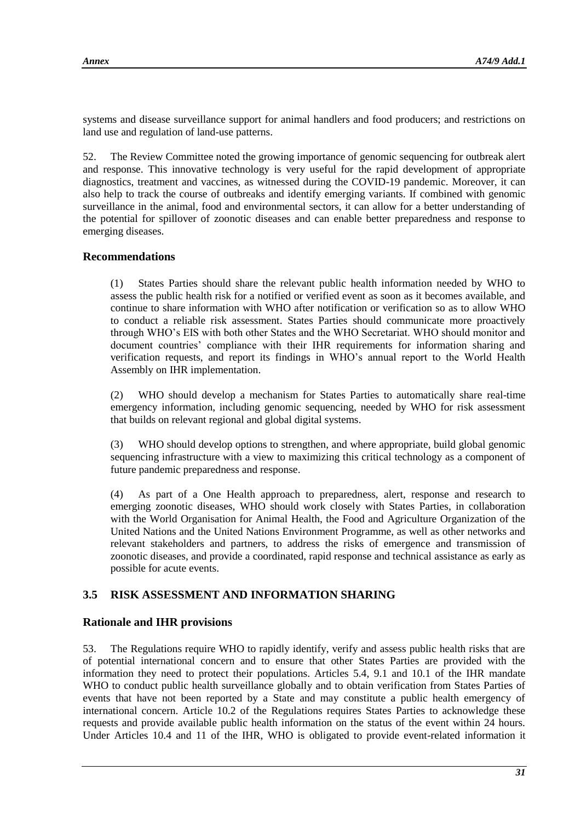systems and disease surveillance support for animal handlers and food producers; and restrictions on land use and regulation of land-use patterns.

52. The Review Committee noted the growing importance of genomic sequencing for outbreak alert and response. This innovative technology is very useful for the rapid development of appropriate diagnostics, treatment and vaccines, as witnessed during the COVID-19 pandemic. Moreover, it can also help to track the course of outbreaks and identify emerging variants. If combined with genomic surveillance in the animal, food and environmental sectors, it can allow for a better understanding of the potential for spillover of zoonotic diseases and can enable better preparedness and response to emerging diseases.

## **Recommendations**

(1) States Parties should share the relevant public health information needed by WHO to assess the public health risk for a notified or verified event as soon as it becomes available, and continue to share information with WHO after notification or verification so as to allow WHO to conduct a reliable risk assessment. States Parties should communicate more proactively through WHO's EIS with both other States and the WHO Secretariat. WHO should monitor and document countries' compliance with their IHR requirements for information sharing and verification requests, and report its findings in WHO's annual report to the World Health Assembly on IHR implementation.

(2) WHO should develop a mechanism for States Parties to automatically share real-time emergency information, including genomic sequencing, needed by WHO for risk assessment that builds on relevant regional and global digital systems.

(3) WHO should develop options to strengthen, and where appropriate, build global genomic sequencing infrastructure with a view to maximizing this critical technology as a component of future pandemic preparedness and response.

(4) As part of a One Health approach to preparedness, alert, response and research to emerging zoonotic diseases, WHO should work closely with States Parties, in collaboration with the World Organisation for Animal Health, the Food and Agriculture Organization of the United Nations and the United Nations Environment Programme, as well as other networks and relevant stakeholders and partners, to address the risks of emergence and transmission of zoonotic diseases, and provide a coordinated, rapid response and technical assistance as early as possible for acute events.

## **3.5 RISK ASSESSMENT AND INFORMATION SHARING**

## **Rationale and IHR provisions**

53. The Regulations require WHO to rapidly identify, verify and assess public health risks that are of potential international concern and to ensure that other States Parties are provided with the information they need to protect their populations. Articles 5.4, 9.1 and 10.1 of the IHR mandate WHO to conduct public health surveillance globally and to obtain verification from States Parties of events that have not been reported by a State and may constitute a public health emergency of international concern. Article 10.2 of the Regulations requires States Parties to acknowledge these requests and provide available public health information on the status of the event within 24 hours. Under Articles 10.4 and 11 of the IHR, WHO is obligated to provide event-related information it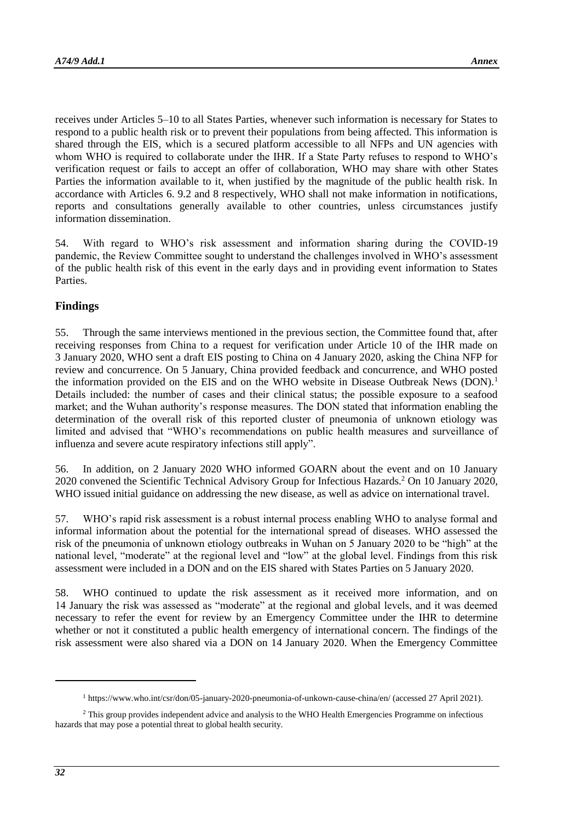receives under Articles 5–10 to all States Parties, whenever such information is necessary for States to respond to a public health risk or to prevent their populations from being affected. This information is shared through the EIS, which is a secured platform accessible to all NFPs and UN agencies with whom WHO is required to collaborate under the IHR. If a State Party refuses to respond to WHO's verification request or fails to accept an offer of collaboration, WHO may share with other States Parties the information available to it, when justified by the magnitude of the public health risk. In accordance with Articles 6. 9.2 and 8 respectively, WHO shall not make information in notifications, reports and consultations generally available to other countries, unless circumstances justify information dissemination.

54. With regard to WHO's risk assessment and information sharing during the COVID-19 pandemic, the Review Committee sought to understand the challenges involved in WHO's assessment of the public health risk of this event in the early days and in providing event information to States Parties.

#### **Findings**

55. Through the same interviews mentioned in the previous section, the Committee found that, after receiving responses from China to a request for verification under Article 10 of the IHR made on 3 January 2020, WHO sent a draft EIS posting to China on 4 January 2020, asking the China NFP for review and concurrence. On 5 January, China provided feedback and concurrence, and WHO posted the information provided on the EIS and on the WHO website in Disease Outbreak News (DON).<sup>1</sup> Details included: the number of cases and their clinical status; the possible exposure to a seafood market; and the Wuhan authority's response measures. The DON stated that information enabling the determination of the overall risk of this reported cluster of pneumonia of unknown etiology was limited and advised that "WHO's recommendations on public health measures and surveillance of influenza and severe acute respiratory infections still apply".

56. In addition, on 2 January 2020 WHO informed GOARN about the event and on 10 January 2020 convened the Scientific Technical Advisory Group for Infectious Hazards.<sup>2</sup> On 10 January 2020, WHO issued initial guidance on addressing the new disease, as well as advice on international travel.

57. WHO's rapid risk assessment is a robust internal process enabling WHO to analyse formal and informal information about the potential for the international spread of diseases. WHO assessed the risk of the pneumonia of unknown etiology outbreaks in Wuhan on 5 January 2020 to be "high" at the national level, "moderate" at the regional level and "low" at the global level. Findings from this risk assessment were included in a DON and on the EIS shared with States Parties on 5 January 2020.

58. WHO continued to update the risk assessment as it received more information, and on 14 January the risk was assessed as "moderate" at the regional and global levels, and it was deemed necessary to refer the event for review by an Emergency Committee under the IHR to determine whether or not it constituted a public health emergency of international concern. The findings of the risk assessment were also shared via a DON on 14 January 2020. When the Emergency Committee

-

<sup>1</sup> <https://www.who.int/csr/don/05-january-2020-pneumonia-of-unkown-cause-china/en/> (accessed 27 April 2021).

<sup>&</sup>lt;sup>2</sup> This group provides independent advice and analysis to the WHO Health Emergencies Programme on infectious hazards that may pose a potential threat to global health security.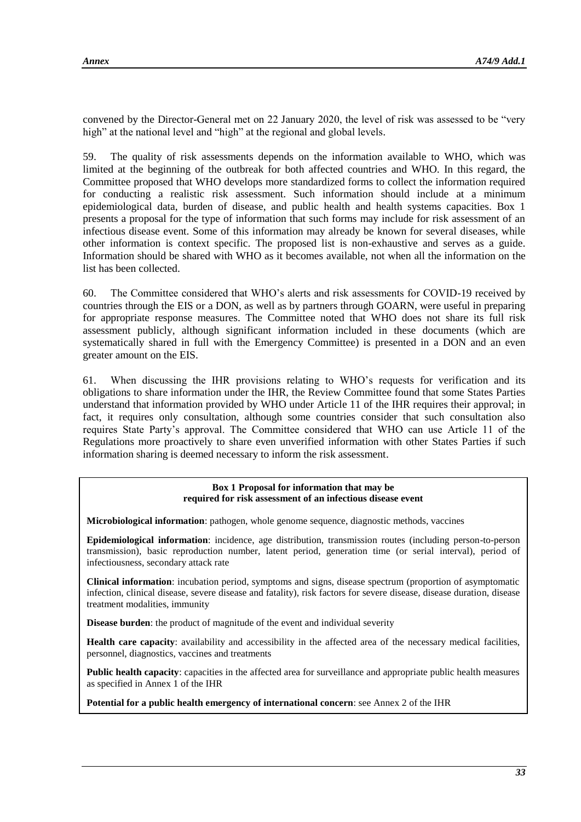convened by the Director-General met on 22 January 2020, the level of risk was assessed to be "very high" at the national level and "high" at the regional and global levels.

59. The quality of risk assessments depends on the information available to WHO, which was limited at the beginning of the outbreak for both affected countries and WHO. In this regard, the Committee proposed that WHO develops more standardized forms to collect the information required for conducting a realistic risk assessment. Such information should include at a minimum epidemiological data, burden of disease, and public health and health systems capacities. Box 1 presents a proposal for the type of information that such forms may include for risk assessment of an infectious disease event. Some of this information may already be known for several diseases, while other information is context specific. The proposed list is non-exhaustive and serves as a guide. Information should be shared with WHO as it becomes available, not when all the information on the list has been collected.

60. The Committee considered that WHO's alerts and risk assessments for COVID-19 received by countries through the EIS or a DON, as well as by partners through GOARN, were useful in preparing for appropriate response measures. The Committee noted that WHO does not share its full risk assessment publicly, although significant information included in these documents (which are systematically shared in full with the Emergency Committee) is presented in a DON and an even greater amount on the EIS.

61. When discussing the IHR provisions relating to WHO's requests for verification and its obligations to share information under the IHR, the Review Committee found that some States Parties understand that information provided by WHO under Article 11 of the IHR requires their approval; in fact, it requires only consultation, although some countries consider that such consultation also requires State Party's approval. The Committee considered that WHO can use Article 11 of the Regulations more proactively to share even unverified information with other States Parties if such information sharing is deemed necessary to inform the risk assessment.

#### **Box 1 Proposal for information that may be required for risk assessment of an infectious disease event**

**Microbiological information**: pathogen, whole genome sequence, diagnostic methods, vaccines

**Epidemiological information**: incidence, age distribution, transmission routes (including person-to-person transmission), basic reproduction number, latent period, generation time (or serial interval), period of infectiousness, secondary attack rate

**Clinical information**: incubation period, symptoms and signs, disease spectrum (proportion of asymptomatic infection, clinical disease, severe disease and fatality), risk factors for severe disease, disease duration, disease treatment modalities, immunity

**Disease burden**: the product of magnitude of the event and individual severity

**Health care capacity**: availability and accessibility in the affected area of the necessary medical facilities, personnel, diagnostics, vaccines and treatments

**Public health capacity**: capacities in the affected area for surveillance and appropriate public health measures as specified in Annex 1 of the IHR

**Potential for a public health emergency of international concern**: see Annex 2 of the IHR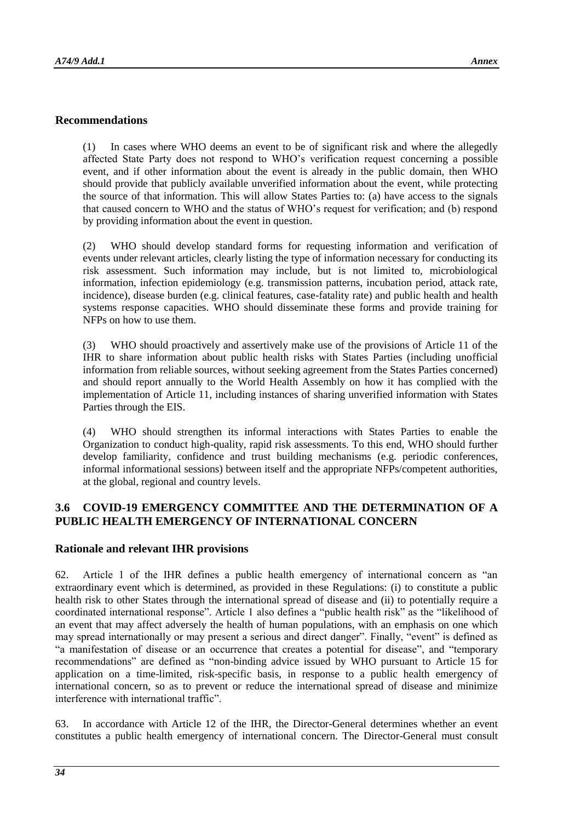#### **Recommendations**

(1) In cases where WHO deems an event to be of significant risk and where the allegedly affected State Party does not respond to WHO's verification request concerning a possible event, and if other information about the event is already in the public domain, then WHO should provide that publicly available unverified information about the event, while protecting the source of that information. This will allow States Parties to: (a) have access to the signals that caused concern to WHO and the status of WHO's request for verification; and (b) respond by providing information about the event in question.

(2) WHO should develop standard forms for requesting information and verification of events under relevant articles, clearly listing the type of information necessary for conducting its risk assessment. Such information may include, but is not limited to, microbiological information, infection epidemiology (e.g. transmission patterns, incubation period, attack rate, incidence), disease burden (e.g. clinical features, case-fatality rate) and public health and health systems response capacities. WHO should disseminate these forms and provide training for NFPs on how to use them.

(3) WHO should proactively and assertively make use of the provisions of Article 11 of the IHR to share information about public health risks with States Parties (including unofficial information from reliable sources, without seeking agreement from the States Parties concerned) and should report annually to the World Health Assembly on how it has complied with the implementation of Article 11, including instances of sharing unverified information with States Parties through the EIS.

(4) WHO should strengthen its informal interactions with States Parties to enable the Organization to conduct high-quality, rapid risk assessments. To this end, WHO should further develop familiarity, confidence and trust building mechanisms (e.g. periodic conferences, informal informational sessions) between itself and the appropriate NFPs/competent authorities, at the global, regional and country levels.

## **3.6 COVID-19 EMERGENCY COMMITTEE AND THE DETERMINATION OF A PUBLIC HEALTH EMERGENCY OF INTERNATIONAL CONCERN**

#### **Rationale and relevant IHR provisions**

62. Article 1 of the IHR defines a public health emergency of international concern as "an extraordinary event which is determined, as provided in these Regulations: (i) to constitute a public health risk to other States through the international spread of disease and (ii) to potentially require a coordinated international response". Article 1 also defines a "public health risk" as the "likelihood of an event that may affect adversely the health of human populations, with an emphasis on one which may spread internationally or may present a serious and direct danger". Finally, "event" is defined as "a manifestation of disease or an occurrence that creates a potential for disease", and "temporary recommendations" are defined as "non-binding advice issued by WHO pursuant to Article 15 for application on a time-limited, risk-specific basis, in response to a public health emergency of international concern, so as to prevent or reduce the international spread of disease and minimize interference with international traffic".

63. In accordance with Article 12 of the IHR, the Director-General determines whether an event constitutes a public health emergency of international concern. The Director-General must consult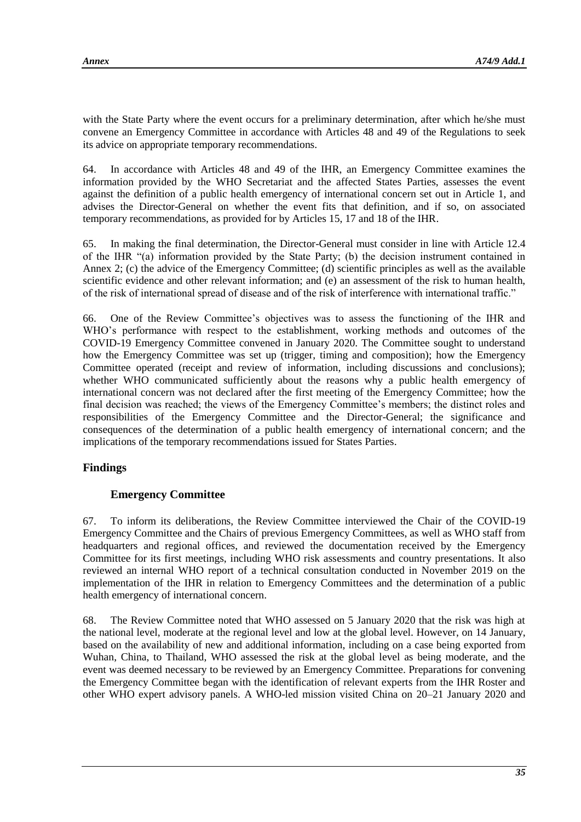with the State Party where the event occurs for a preliminary determination, after which he/she must convene an Emergency Committee in accordance with Articles 48 and 49 of the Regulations to seek its advice on appropriate temporary recommendations.

64. In accordance with Articles 48 and 49 of the IHR, an Emergency Committee examines the information provided by the WHO Secretariat and the affected States Parties, assesses the event against the definition of a public health emergency of international concern set out in Article 1, and advises the Director-General on whether the event fits that definition, and if so, on associated temporary recommendations, as provided for by Articles 15, 17 and 18 of the IHR.

65. In making the final determination, the Director-General must consider in line with Article 12.4 of the IHR "(a) information provided by the State Party; (b) the decision instrument contained in Annex 2; (c) the advice of the Emergency Committee; (d) scientific principles as well as the available scientific evidence and other relevant information; and (e) an assessment of the risk to human health, of the risk of international spread of disease and of the risk of interference with international traffic."

66. One of the Review Committee's objectives was to assess the functioning of the IHR and WHO's performance with respect to the establishment, working methods and outcomes of the COVID-19 Emergency Committee convened in January 2020. The Committee sought to understand how the Emergency Committee was set up (trigger, timing and composition); how the Emergency Committee operated (receipt and review of information, including discussions and conclusions); whether WHO communicated sufficiently about the reasons why a public health emergency of international concern was not declared after the first meeting of the Emergency Committee; how the final decision was reached; the views of the Emergency Committee's members; the distinct roles and responsibilities of the Emergency Committee and the Director-General; the significance and consequences of the determination of a public health emergency of international concern; and the implications of the temporary recommendations issued for States Parties.

## **Findings**

## **Emergency Committee**

67. To inform its deliberations, the Review Committee interviewed the Chair of the COVID-19 Emergency Committee and the Chairs of previous Emergency Committees, as well as WHO staff from headquarters and regional offices, and reviewed the documentation received by the Emergency Committee for its first meetings, including WHO risk assessments and country presentations. It also reviewed an internal WHO report of a technical consultation conducted in November 2019 on the implementation of the IHR in relation to Emergency Committees and the determination of a public health emergency of international concern.

68. The Review Committee noted that WHO assessed on 5 January 2020 that the risk was high at the national level, moderate at the regional level and low at the global level. However, on 14 January, based on the availability of new and additional information, including on a case being exported from Wuhan, China, to Thailand, WHO assessed the risk at the global level as being moderate, and the event was deemed necessary to be reviewed by an Emergency Committee. Preparations for convening the Emergency Committee began with the identification of relevant experts from the IHR Roster and other WHO expert advisory panels. A WHO-led mission visited China on 20–21 January 2020 and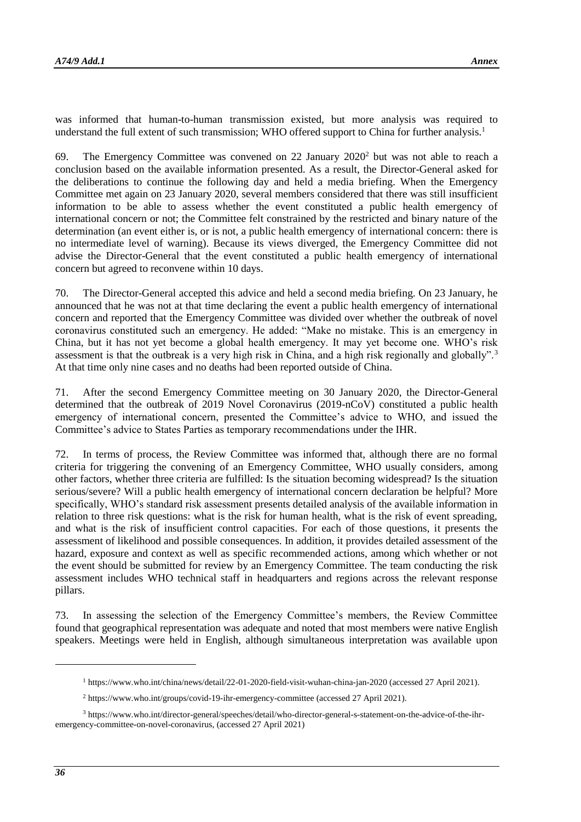was informed that human-to-human transmission existed, but more analysis was required to understand the full extent of such transmission; WHO offered support to China for further analysis.<sup>1</sup>

69. The Emergency Committee was convened on 22 January  $2020<sup>2</sup>$  but was not able to reach a conclusion based on the available information presented. As a result, the Director-General asked for the deliberations to continue the following day and held a media briefing. When the Emergency Committee met again on 23 January 2020, several members considered that there was still insufficient information to be able to assess whether the event constituted a public health emergency of international concern or not; the Committee felt constrained by the restricted and binary nature of the determination (an event either is, or is not, a public health emergency of international concern: there is no intermediate level of warning). Because its views diverged, the Emergency Committee did not advise the Director-General that the event constituted a public health emergency of international concern but agreed to reconvene within 10 days.

70. The Director-General accepted this advice and held a second media briefing. On 23 January, he announced that he was not at that time declaring the event a public health emergency of international concern and reported that the Emergency Committee was divided over whether the outbreak of novel coronavirus constituted such an emergency. He added: "Make no mistake. This is an emergency in China, but it has not yet become a global health emergency. It may yet become one. WHO's risk assessment is that the outbreak is a very high risk in China, and a high risk regionally and globally".<sup>3</sup> At that time only nine cases and no deaths had been reported outside of China.

71. After the second Emergency Committee meeting on 30 January 2020, the Director-General determined that the outbreak of 2019 Novel Coronavirus (2019-nCoV) constituted a public health emergency of international concern, presented the Committee's advice to WHO, and issued the Committee's advice to States Parties as temporary recommendations under the IHR.

72. In terms of process, the Review Committee was informed that, although there are no formal criteria for triggering the convening of an Emergency Committee, WHO usually considers, among other factors, whether three criteria are fulfilled: Is the situation becoming widespread? Is the situation serious/severe? Will a public health emergency of international concern declaration be helpful? More specifically, WHO's standard risk assessment presents detailed analysis of the available information in relation to three risk questions: what is the risk for human health, what is the risk of event spreading, and what is the risk of insufficient control capacities. For each of those questions, it presents the assessment of likelihood and possible consequences. In addition, it provides detailed assessment of the hazard, exposure and context as well as specific recommended actions, among which whether or not the event should be submitted for review by an Emergency Committee. The team conducting the risk assessment includes WHO technical staff in headquarters and regions across the relevant response pillars.

73. In assessing the selection of the Emergency Committee's members, the Review Committee found that geographical representation was adequate and noted that most members were native English speakers. Meetings were held in English, although simultaneous interpretation was available upon

1

<sup>1</sup> <https://www.who.int/china/news/detail/22-01-2020-field-visit-wuhan-china-jan-2020> (accessed 27 April 2021).

<sup>2</sup> <https://www.who.int/groups/covid-19-ihr-emergency-committee> (accessed 27 April 2021).

<sup>3</sup> [https://www.who.int/director-general/speeches/detail/who-director-general-s-statement-on-the-advice-of-the-ihr](https://www.who.int/director-general/speeches/detail/who-director-general-s-statement-on-the-advice-of-the-ihr-emergency-committee-on-novel-coronavirus)[emergency-committee-on-novel-coronavirus,](https://www.who.int/director-general/speeches/detail/who-director-general-s-statement-on-the-advice-of-the-ihr-emergency-committee-on-novel-coronavirus) (accessed 27 April 2021)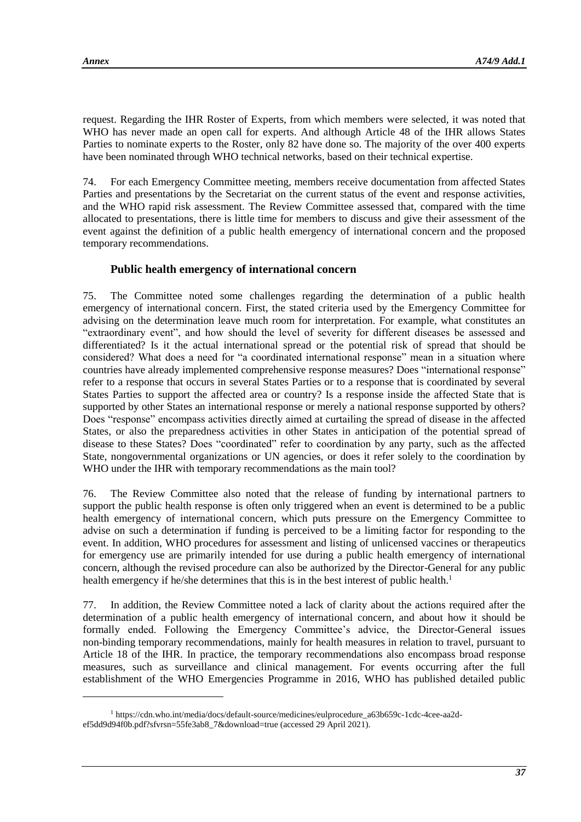l

request. Regarding the IHR Roster of Experts, from which members were selected, it was noted that WHO has never made an open call for experts. And although Article 48 of the IHR allows States Parties to nominate experts to the Roster, only 82 have done so. The majority of the over 400 experts have been nominated through WHO technical networks, based on their technical expertise.

74. For each Emergency Committee meeting, members receive documentation from affected States Parties and presentations by the Secretariat on the current status of the event and response activities, and the WHO rapid risk assessment. The Review Committee assessed that, compared with the time allocated to presentations, there is little time for members to discuss and give their assessment of the event against the definition of a public health emergency of international concern and the proposed temporary recommendations.

# **Public health emergency of international concern**

75. The Committee noted some challenges regarding the determination of a public health emergency of international concern. First, the stated criteria used by the Emergency Committee for advising on the determination leave much room for interpretation. For example, what constitutes an "extraordinary event", and how should the level of severity for different diseases be assessed and differentiated? Is it the actual international spread or the potential risk of spread that should be considered? What does a need for "a coordinated international response" mean in a situation where countries have already implemented comprehensive response measures? Does "international response" refer to a response that occurs in several States Parties or to a response that is coordinated by several States Parties to support the affected area or country? Is a response inside the affected State that is supported by other States an international response or merely a national response supported by others? Does "response" encompass activities directly aimed at curtailing the spread of disease in the affected States, or also the preparedness activities in other States in anticipation of the potential spread of disease to these States? Does "coordinated" refer to coordination by any party, such as the affected State, nongovernmental organizations or UN agencies, or does it refer solely to the coordination by WHO under the IHR with temporary recommendations as the main tool?

76. The Review Committee also noted that the release of funding by international partners to support the public health response is often only triggered when an event is determined to be a public health emergency of international concern, which puts pressure on the Emergency Committee to advise on such a determination if funding is perceived to be a limiting factor for responding to the event. In addition, WHO procedures for assessment and listing of unlicensed vaccines or therapeutics for emergency use are primarily intended for use during a public health emergency of international concern, although the revised procedure can also be authorized by the Director-General for any public health emergency if he/she determines that this is in the best interest of public health.<sup>1</sup>

77. In addition, the Review Committee noted a lack of clarity about the actions required after the determination of a public health emergency of international concern, and about how it should be formally ended. Following the Emergency Committee's advice, the Director-General issues non-binding temporary recommendations, mainly for health measures in relation to travel, pursuant to Article 18 of the IHR. In practice, the temporary recommendations also encompass broad response measures, such as surveillance and clinical management. For events occurring after the full establishment of the WHO Emergencies Programme in 2016, WHO has published detailed public

<sup>1</sup> [https://cdn.who.int/media/docs/default-source/medicines/eulprocedure\\_a63b659c-1cdc-4cee-aa2d](https://cdn.who.int/media/docs/default-source/medicines/eulprocedure_a63b659c-1cdc-4cee-aa2d-ef5dd9d94f0b.pdf?sfvrsn=55fe3ab8_7&download=true)[ef5dd9d94f0b.pdf?sfvrsn=55fe3ab8\\_7&download=true](https://cdn.who.int/media/docs/default-source/medicines/eulprocedure_a63b659c-1cdc-4cee-aa2d-ef5dd9d94f0b.pdf?sfvrsn=55fe3ab8_7&download=true) (accessed 29 April 2021).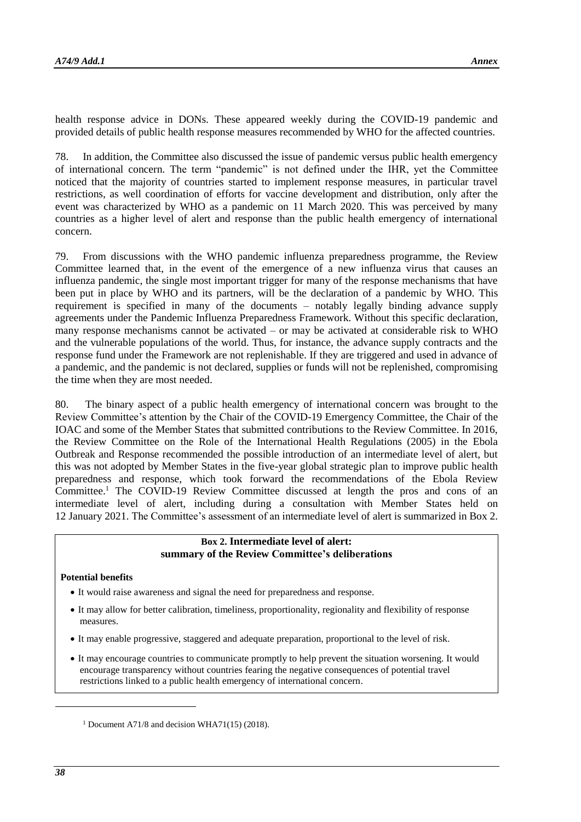health response advice in DONs. These appeared weekly during the COVID-19 pandemic and provided details of public health response measures recommended by WHO for the affected countries.

78. In addition, the Committee also discussed the issue of pandemic versus public health emergency of international concern. The term "pandemic" is not defined under the IHR, yet the Committee noticed that the majority of countries started to implement response measures, in particular travel restrictions, as well coordination of efforts for vaccine development and distribution, only after the event was characterized by WHO as a pandemic on 11 March 2020. This was perceived by many countries as a higher level of alert and response than the public health emergency of international concern.

79. From discussions with the WHO pandemic influenza preparedness programme, the Review Committee learned that, in the event of the emergence of a new influenza virus that causes an influenza pandemic, the single most important trigger for many of the response mechanisms that have been put in place by WHO and its partners, will be the declaration of a pandemic by WHO. This requirement is specified in many of the documents – notably legally binding advance supply agreements under the Pandemic Influenza Preparedness Framework. Without this specific declaration, many response mechanisms cannot be activated – or may be activated at considerable risk to WHO and the vulnerable populations of the world. Thus, for instance, the advance supply contracts and the response fund under the Framework are not replenishable. If they are triggered and used in advance of a pandemic, and the pandemic is not declared, supplies or funds will not be replenished, compromising the time when they are most needed.

80. The binary aspect of a public health emergency of international concern was brought to the Review Committee's attention by the Chair of the COVID-19 Emergency Committee, the Chair of the IOAC and some of the Member States that submitted contributions to the Review Committee. In 2016, the Review Committee on the Role of the International Health Regulations (2005) in the Ebola Outbreak and Response recommended the possible introduction of an intermediate level of alert, but this was not adopted by Member States in the five-year global strategic plan to improve public health preparedness and response, which took forward the recommendations of the Ebola Review Committee.<sup>1</sup> The COVID-19 Review Committee discussed at length the pros and cons of an intermediate level of alert, including during a consultation with Member States held on 12 January 2021. The Committee's assessment of an intermediate level of alert is summarized in Box 2.

### **Box 2. Intermediate level of alert: summary of the Review Committee's deliberations**

#### **Potential benefits**

- It would raise awareness and signal the need for preparedness and response.
- It may allow for better calibration, timeliness, proportionality, regionality and flexibility of response measures.
- It may enable progressive, staggered and adequate preparation, proportional to the level of risk.
- It may encourage countries to communicate promptly to help prevent the situation worsening. It would encourage transparency without countries fearing the negative consequences of potential travel restrictions linked to a public health emergency of international concern.

1

<sup>&</sup>lt;sup>1</sup> Document A71/8 and decision WHA71(15) (2018).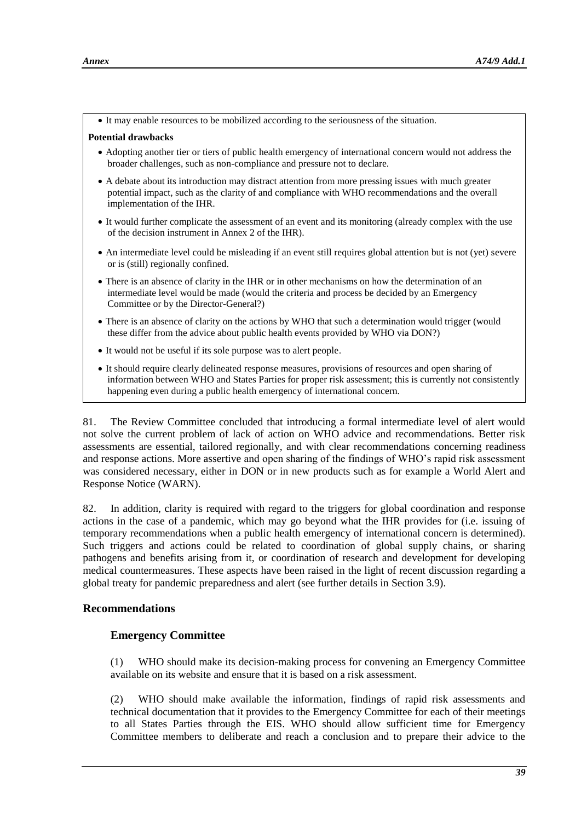• It may enable resources to be mobilized according to the seriousness of the situation.

#### **Potential drawbacks**

- Adopting another tier or tiers of public health emergency of international concern would not address the broader challenges, such as non-compliance and pressure not to declare.
- A debate about its introduction may distract attention from more pressing issues with much greater potential impact, such as the clarity of and compliance with WHO recommendations and the overall implementation of the IHR.
- It would further complicate the assessment of an event and its monitoring (already complex with the use of the decision instrument in Annex 2 of the IHR).
- An intermediate level could be misleading if an event still requires global attention but is not (yet) severe or is (still) regionally confined.
- There is an absence of clarity in the IHR or in other mechanisms on how the determination of an intermediate level would be made (would the criteria and process be decided by an Emergency Committee or by the Director-General?)
- There is an absence of clarity on the actions by WHO that such a determination would trigger (would these differ from the advice about public health events provided by WHO via DON?)
- It would not be useful if its sole purpose was to alert people.
- It should require clearly delineated response measures, provisions of resources and open sharing of information between WHO and States Parties for proper risk assessment; this is currently not consistently happening even during a public health emergency of international concern.

81. The Review Committee concluded that introducing a formal intermediate level of alert would not solve the current problem of lack of action on WHO advice and recommendations. Better risk assessments are essential, tailored regionally, and with clear recommendations concerning readiness and response actions. More assertive and open sharing of the findings of WHO's rapid risk assessment was considered necessary, either in DON or in new products such as for example a World Alert and Response Notice (WARN).

82. In addition, clarity is required with regard to the triggers for global coordination and response actions in the case of a pandemic, which may go beyond what the IHR provides for (i.e. issuing of temporary recommendations when a public health emergency of international concern is determined). Such triggers and actions could be related to coordination of global supply chains, or sharing pathogens and benefits arising from it, or coordination of research and development for developing medical countermeasures. These aspects have been raised in the light of recent discussion regarding a global treaty for pandemic preparedness and alert (see further details in Section 3.9).

### **Recommendations**

### **Emergency Committee**

(1) WHO should make its decision-making process for convening an Emergency Committee available on its website and ensure that it is based on a risk assessment.

(2) WHO should make available the information, findings of rapid risk assessments and technical documentation that it provides to the Emergency Committee for each of their meetings to all States Parties through the EIS. WHO should allow sufficient time for Emergency Committee members to deliberate and reach a conclusion and to prepare their advice to the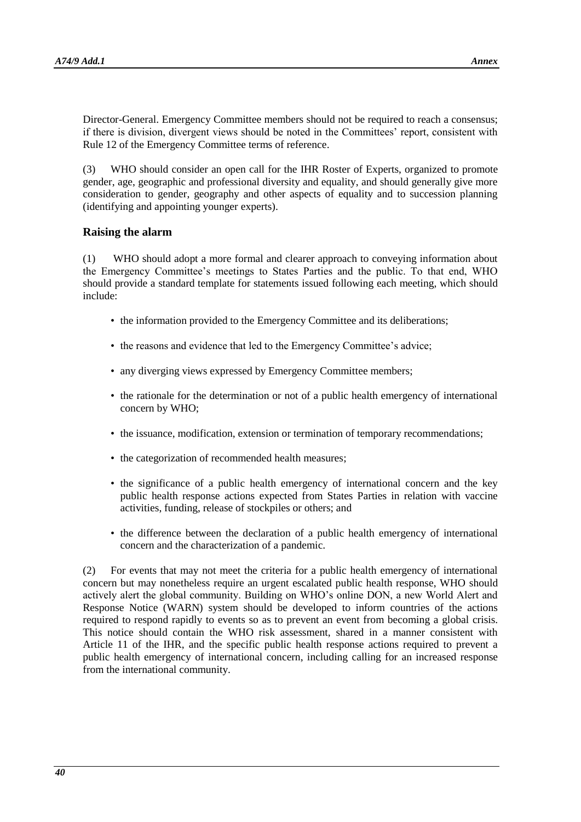Director-General. Emergency Committee members should not be required to reach a consensus; if there is division, divergent views should be noted in the Committees' report, consistent with Rule 12 of the Emergency Committee terms of reference.

(3) WHO should consider an open call for the IHR Roster of Experts, organized to promote gender, age, geographic and professional diversity and equality, and should generally give more consideration to gender, geography and other aspects of equality and to succession planning (identifying and appointing younger experts).

### **Raising the alarm**

(1) WHO should adopt a more formal and clearer approach to conveying information about the Emergency Committee's meetings to States Parties and the public. To that end, WHO should provide a standard template for statements issued following each meeting, which should include:

- the information provided to the Emergency Committee and its deliberations;
- the reasons and evidence that led to the Emergency Committee's advice;
- any diverging views expressed by Emergency Committee members;
- the rationale for the determination or not of a public health emergency of international concern by WHO;
- the issuance, modification, extension or termination of temporary recommendations;
- the categorization of recommended health measures;
- the significance of a public health emergency of international concern and the key public health response actions expected from States Parties in relation with vaccine activities, funding, release of stockpiles or others; and
- the difference between the declaration of a public health emergency of international concern and the characterization of a pandemic.

(2) For events that may not meet the criteria for a public health emergency of international concern but may nonetheless require an urgent escalated public health response, WHO should actively alert the global community. Building on WHO's online DON, a new World Alert and Response Notice (WARN) system should be developed to inform countries of the actions required to respond rapidly to events so as to prevent an event from becoming a global crisis. This notice should contain the WHO risk assessment, shared in a manner consistent with Article 11 of the IHR, and the specific public health response actions required to prevent a public health emergency of international concern, including calling for an increased response from the international community.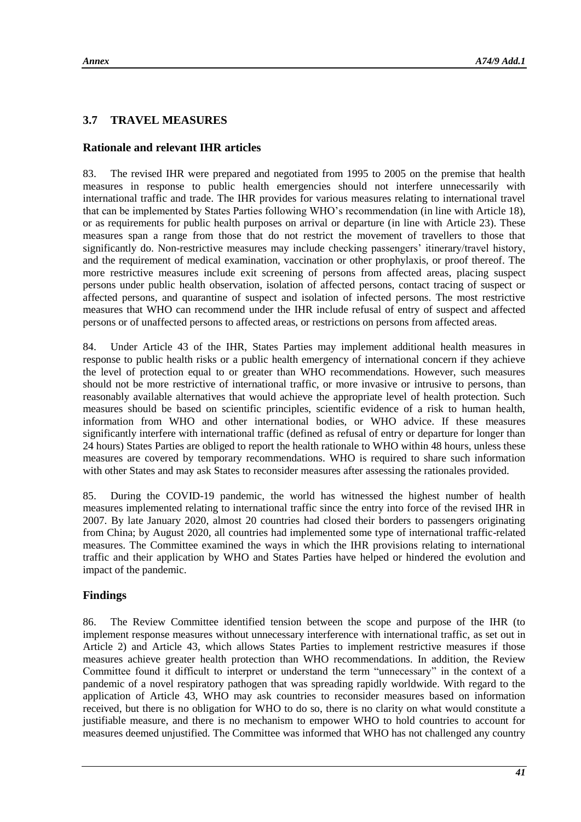# **3.7 TRAVEL MEASURES**

# **Rationale and relevant IHR articles**

83. The revised IHR were prepared and negotiated from 1995 to 2005 on the premise that health measures in response to public health emergencies should not interfere unnecessarily with international traffic and trade. The IHR provides for various measures relating to international travel that can be implemented by States Parties following WHO's recommendation (in line with Article 18), or as requirements for public health purposes on arrival or departure (in line with Article 23). These measures span a range from those that do not restrict the movement of travellers to those that significantly do. Non-restrictive measures may include checking passengers' itinerary/travel history, and the requirement of medical examination, vaccination or other prophylaxis, or proof thereof. The more restrictive measures include exit screening of persons from affected areas, placing suspect persons under public health observation, isolation of affected persons, contact tracing of suspect or affected persons, and quarantine of suspect and isolation of infected persons. The most restrictive measures that WHO can recommend under the IHR include refusal of entry of suspect and affected persons or of unaffected persons to affected areas, or restrictions on persons from affected areas.

84. Under Article 43 of the IHR, States Parties may implement additional health measures in response to public health risks or a public health emergency of international concern if they achieve the level of protection equal to or greater than WHO recommendations. However, such measures should not be more restrictive of international traffic, or more invasive or intrusive to persons, than reasonably available alternatives that would achieve the appropriate level of health protection. Such measures should be based on scientific principles, scientific evidence of a risk to human health, information from WHO and other international bodies, or WHO advice. If these measures significantly interfere with international traffic (defined as refusal of entry or departure for longer than 24 hours) States Parties are obliged to report the health rationale to WHO within 48 hours, unless these measures are covered by temporary recommendations. WHO is required to share such information with other States and may ask States to reconsider measures after assessing the rationales provided.

85. During the COVID-19 pandemic, the world has witnessed the highest number of health measures implemented relating to international traffic since the entry into force of the revised IHR in 2007. By late January 2020, almost 20 countries had closed their borders to passengers originating from China; by August 2020, all countries had implemented some type of international traffic-related measures. The Committee examined the ways in which the IHR provisions relating to international traffic and their application by WHO and States Parties have helped or hindered the evolution and impact of the pandemic.

# **Findings**

86. The Review Committee identified tension between the scope and purpose of the IHR (to implement response measures without unnecessary interference with international traffic, as set out in Article 2) and Article 43, which allows States Parties to implement restrictive measures if those measures achieve greater health protection than WHO recommendations. In addition, the Review Committee found it difficult to interpret or understand the term "unnecessary" in the context of a pandemic of a novel respiratory pathogen that was spreading rapidly worldwide. With regard to the application of Article 43, WHO may ask countries to reconsider measures based on information received, but there is no obligation for WHO to do so, there is no clarity on what would constitute a justifiable measure, and there is no mechanism to empower WHO to hold countries to account for measures deemed unjustified. The Committee was informed that WHO has not challenged any country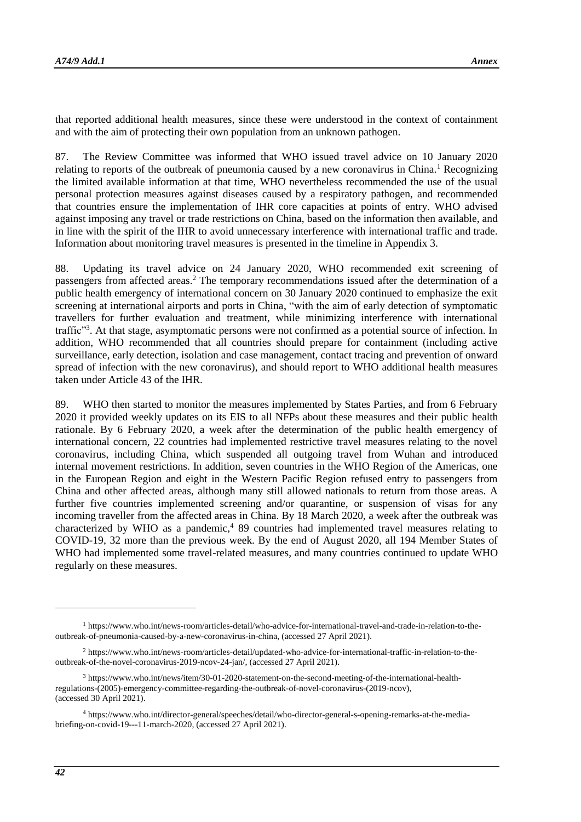that reported additional health measures, since these were understood in the context of containment and with the aim of protecting their own population from an unknown pathogen.

87. The Review Committee was informed that WHO issued travel advice on 10 January 2020 relating to reports of the outbreak of pneumonia caused by a new coronavirus in China.<sup>1</sup> Recognizing the limited available information at that time, WHO nevertheless recommended the use of the usual personal protection measures against diseases caused by a respiratory pathogen, and recommended that countries ensure the implementation of IHR core capacities at points of entry. WHO advised against imposing any travel or trade restrictions on China, based on the information then available, and in line with the spirit of the IHR to avoid unnecessary interference with international traffic and trade. Information about monitoring travel measures is presented in the timeline in Appendix 3.

88. Updating its travel advice on 24 January 2020, WHO recommended exit screening of passengers from affected areas.<sup>2</sup> The temporary recommendations issued after the determination of a public health emergency of international concern on 30 January 2020 continued to emphasize the exit screening at international airports and ports in China, "with the aim of early detection of symptomatic travellers for further evaluation and treatment, while minimizing interference with international traffic"<sup>3</sup>. At that stage, asymptomatic persons were not confirmed as a potential source of infection. In addition, WHO recommended that all countries should prepare for containment (including active surveillance, early detection, isolation and case management, contact tracing and prevention of onward spread of infection with the new coronavirus), and should report to WHO additional health measures taken under Article 43 of the IHR.

89. WHO then started to monitor the measures implemented by States Parties, and from 6 February 2020 it provided weekly updates on its EIS to all NFPs about these measures and their public health rationale. By 6 February 2020, a week after the determination of the public health emergency of international concern, 22 countries had implemented restrictive travel measures relating to the novel coronavirus, including China, which suspended all outgoing travel from Wuhan and introduced internal movement restrictions. In addition, seven countries in the WHO Region of the Americas, one in the European Region and eight in the Western Pacific Region refused entry to passengers from China and other affected areas, although many still allowed nationals to return from those areas. A further five countries implemented screening and/or quarantine, or suspension of visas for any incoming traveller from the affected areas in China. By 18 March 2020, a week after the outbreak was characterized by WHO as a pandemic,<sup>4</sup> 89 countries had implemented travel measures relating to COVID-19, 32 more than the previous week. By the end of August 2020, all 194 Member States of WHO had implemented some travel-related measures, and many countries continued to update WHO regularly on these measures.

1

<sup>1</sup> [https://www.who.int/news-room/articles-detail/who-advice-for-international-travel-and-trade-in-relation-to-the](https://www.who.int/news-room/articles-detail/who-advice-for-international-travel-and-trade-in-relation-to-the-outbreak-of-pneumonia-caused-by-a-new-coronavirus-in-china)[outbreak-of-pneumonia-caused-by-a-new-coronavirus-in-china,](https://www.who.int/news-room/articles-detail/who-advice-for-international-travel-and-trade-in-relation-to-the-outbreak-of-pneumonia-caused-by-a-new-coronavirus-in-china) (accessed 27 April 2021).

<sup>2</sup> [https://www.who.int/news-room/articles-detail/updated-who-advice-for-international-traffic-in-relation-to-the](https://www.who.int/news-room/articles-detail/updated-who-advice-for-international-traffic-in-relation-to-the-outbreak-of-the-novel-coronavirus-2019-ncov-24-jan/)[outbreak-of-the-novel-coronavirus-2019-ncov-24-jan/,](https://www.who.int/news-room/articles-detail/updated-who-advice-for-international-traffic-in-relation-to-the-outbreak-of-the-novel-coronavirus-2019-ncov-24-jan/) (accessed 27 April 2021).

<sup>3</sup> [https://www.who.int/news/item/30-01-2020-statement-on-the-second-meeting-of-the-international-health](https://www.who.int/news/item/30-01-2020-statement-on-the-second-meeting-of-the-international-health-regulations-(2005)-emergency-committee-regarding-the-outbreak-of-novel-coronavirus-(2019-ncov))[regulations-\(2005\)-emergency-committee-regarding-the-outbreak-of-novel-coronavirus-\(2019-ncov\),](https://www.who.int/news/item/30-01-2020-statement-on-the-second-meeting-of-the-international-health-regulations-(2005)-emergency-committee-regarding-the-outbreak-of-novel-coronavirus-(2019-ncov)) (accessed 30 April 2021).

<sup>4</sup> [https://www.who.int/director-general/speeches/detail/who-director-general-s-opening-remarks-at-the-media](https://www.who.int/director-general/speeches/detail/who-director-general-s-opening-remarks-at-the-media-briefing-on-covid-19---11-march-2020)[briefing-on-covid-19---11-march-2020,](https://www.who.int/director-general/speeches/detail/who-director-general-s-opening-remarks-at-the-media-briefing-on-covid-19---11-march-2020) (accessed 27 April 2021).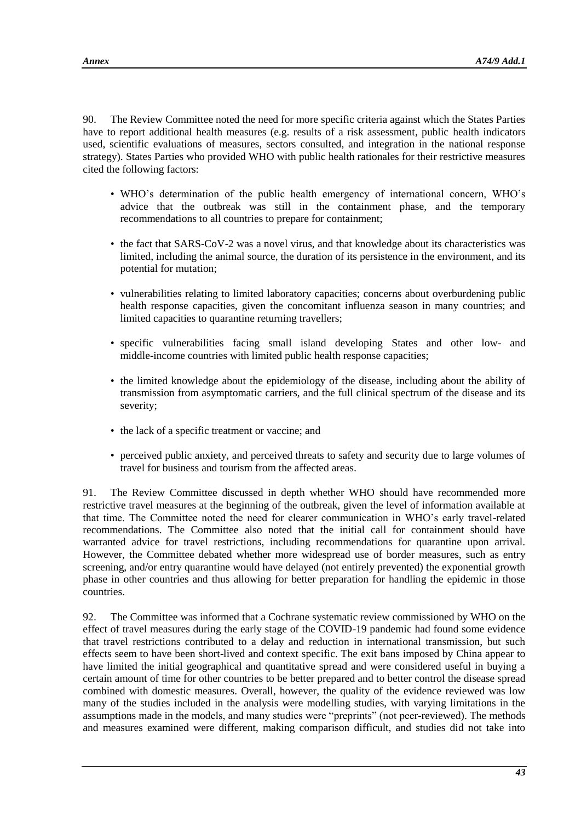90. The Review Committee noted the need for more specific criteria against which the States Parties have to report additional health measures (e.g. results of a risk assessment, public health indicators used, scientific evaluations of measures, sectors consulted, and integration in the national response strategy). States Parties who provided WHO with public health rationales for their restrictive measures cited the following factors:

- WHO's determination of the public health emergency of international concern, WHO's advice that the outbreak was still in the containment phase, and the temporary recommendations to all countries to prepare for containment;
- the fact that SARS-CoV-2 was a novel virus, and that knowledge about its characteristics was limited, including the animal source, the duration of its persistence in the environment, and its potential for mutation;
- vulnerabilities relating to limited laboratory capacities; concerns about overburdening public health response capacities, given the concomitant influenza season in many countries; and limited capacities to quarantine returning travellers;
- specific vulnerabilities facing small island developing States and other low- and middle-income countries with limited public health response capacities;
- the limited knowledge about the epidemiology of the disease, including about the ability of transmission from asymptomatic carriers, and the full clinical spectrum of the disease and its severity;
- the lack of a specific treatment or vaccine; and
- perceived public anxiety, and perceived threats to safety and security due to large volumes of travel for business and tourism from the affected areas.

91. The Review Committee discussed in depth whether WHO should have recommended more restrictive travel measures at the beginning of the outbreak, given the level of information available at that time. The Committee noted the need for clearer communication in WHO's early travel-related recommendations. The Committee also noted that the initial call for containment should have warranted advice for travel restrictions, including recommendations for quarantine upon arrival. However, the Committee debated whether more widespread use of border measures, such as entry screening, and/or entry quarantine would have delayed (not entirely prevented) the exponential growth phase in other countries and thus allowing for better preparation for handling the epidemic in those countries.

92. The Committee was informed that a Cochrane systematic review commissioned by WHO on the effect of travel measures during the early stage of the COVID-19 pandemic had found some evidence that travel restrictions contributed to a delay and reduction in international transmission, but such effects seem to have been short-lived and context specific. The exit bans imposed by China appear to have limited the initial geographical and quantitative spread and were considered useful in buying a certain amount of time for other countries to be better prepared and to better control the disease spread combined with domestic measures. Overall, however, the quality of the evidence reviewed was low many of the studies included in the analysis were modelling studies, with varying limitations in the assumptions made in the models, and many studies were "preprints" (not peer-reviewed). The methods and measures examined were different, making comparison difficult, and studies did not take into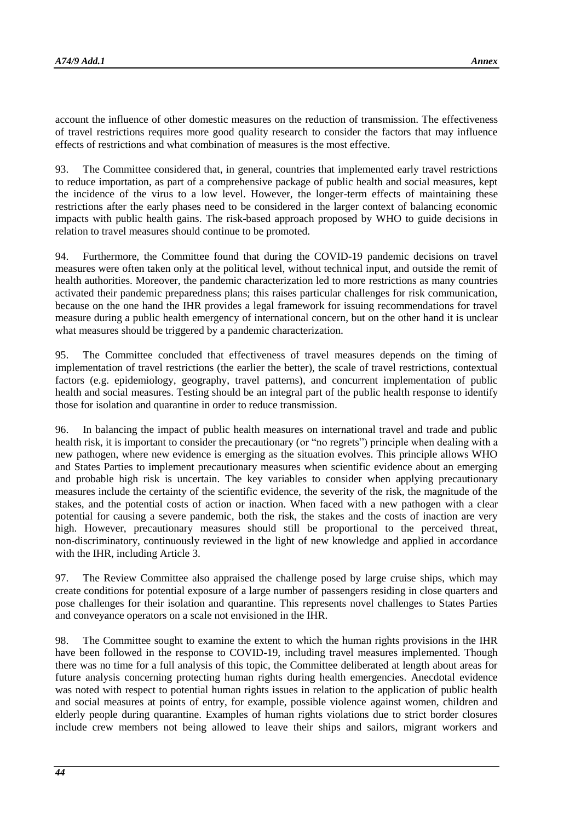account the influence of other domestic measures on the reduction of transmission. The effectiveness of travel restrictions requires more good quality research to consider the factors that may influence effects of restrictions and what combination of measures is the most effective.

93. The Committee considered that, in general, countries that implemented early travel restrictions to reduce importation, as part of a comprehensive package of public health and social measures, kept the incidence of the virus to a low level. However, the longer-term effects of maintaining these restrictions after the early phases need to be considered in the larger context of balancing economic impacts with public health gains. The risk-based approach proposed by WHO to guide decisions in relation to travel measures should continue to be promoted.

94. Furthermore, the Committee found that during the COVID-19 pandemic decisions on travel measures were often taken only at the political level, without technical input, and outside the remit of health authorities. Moreover, the pandemic characterization led to more restrictions as many countries activated their pandemic preparedness plans; this raises particular challenges for risk communication, because on the one hand the IHR provides a legal framework for issuing recommendations for travel measure during a public health emergency of international concern, but on the other hand it is unclear what measures should be triggered by a pandemic characterization.

95. The Committee concluded that effectiveness of travel measures depends on the timing of implementation of travel restrictions (the earlier the better), the scale of travel restrictions, contextual factors (e.g. epidemiology, geography, travel patterns), and concurrent implementation of public health and social measures. Testing should be an integral part of the public health response to identify those for isolation and quarantine in order to reduce transmission.

96. In balancing the impact of public health measures on international travel and trade and public health risk, it is important to consider the precautionary (or "no regrets") principle when dealing with a new pathogen, where new evidence is emerging as the situation evolves. This principle allows WHO and States Parties to implement precautionary measures when scientific evidence about an emerging and probable high risk is uncertain. The key variables to consider when applying precautionary measures include the certainty of the scientific evidence, the severity of the risk, the magnitude of the stakes, and the potential costs of action or inaction. When faced with a new pathogen with a clear potential for causing a severe pandemic, both the risk, the stakes and the costs of inaction are very high. However, precautionary measures should still be proportional to the perceived threat, non-discriminatory, continuously reviewed in the light of new knowledge and applied in accordance with the IHR, including Article 3.

97. The Review Committee also appraised the challenge posed by large cruise ships, which may create conditions for potential exposure of a large number of passengers residing in close quarters and pose challenges for their isolation and quarantine. This represents novel challenges to States Parties and conveyance operators on a scale not envisioned in the IHR.

98. The Committee sought to examine the extent to which the human rights provisions in the IHR have been followed in the response to COVID-19, including travel measures implemented. Though there was no time for a full analysis of this topic, the Committee deliberated at length about areas for future analysis concerning protecting human rights during health emergencies. Anecdotal evidence was noted with respect to potential human rights issues in relation to the application of public health and social measures at points of entry, for example, possible violence against women, children and elderly people during quarantine. Examples of human rights violations due to strict border closures include crew members not being allowed to leave their ships and sailors, migrant workers and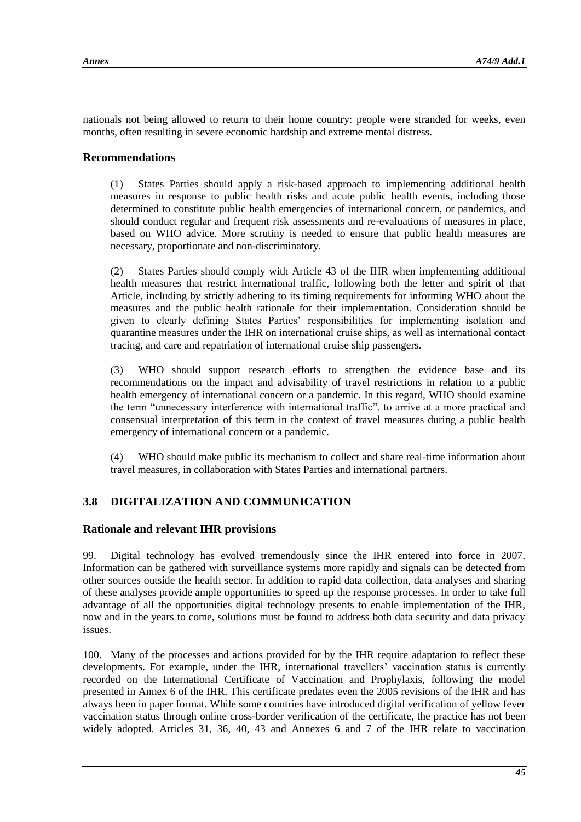nationals not being allowed to return to their home country: people were stranded for weeks, even months, often resulting in severe economic hardship and extreme mental distress.

### **Recommendations**

(1) States Parties should apply a risk-based approach to implementing additional health measures in response to public health risks and acute public health events, including those determined to constitute public health emergencies of international concern, or pandemics, and should conduct regular and frequent risk assessments and re-evaluations of measures in place, based on WHO advice. More scrutiny is needed to ensure that public health measures are necessary, proportionate and non-discriminatory.

(2) States Parties should comply with Article 43 of the IHR when implementing additional health measures that restrict international traffic, following both the letter and spirit of that Article, including by strictly adhering to its timing requirements for informing WHO about the measures and the public health rationale for their implementation. Consideration should be given to clearly defining States Parties' responsibilities for implementing isolation and quarantine measures under the IHR on international cruise ships, as well as international contact tracing, and care and repatriation of international cruise ship passengers.

(3) WHO should support research efforts to strengthen the evidence base and its recommendations on the impact and advisability of travel restrictions in relation to a public health emergency of international concern or a pandemic. In this regard, WHO should examine the term "unnecessary interference with international traffic", to arrive at a more practical and consensual interpretation of this term in the context of travel measures during a public health emergency of international concern or a pandemic.

(4) WHO should make public its mechanism to collect and share real-time information about travel measures, in collaboration with States Parties and international partners.

# **3.8 DIGITALIZATION AND COMMUNICATION**

### **Rationale and relevant IHR provisions**

99. Digital technology has evolved tremendously since the IHR entered into force in 2007. Information can be gathered with surveillance systems more rapidly and signals can be detected from other sources outside the health sector. In addition to rapid data collection, data analyses and sharing of these analyses provide ample opportunities to speed up the response processes. In order to take full advantage of all the opportunities digital technology presents to enable implementation of the IHR, now and in the years to come, solutions must be found to address both data security and data privacy issues.

100. Many of the processes and actions provided for by the IHR require adaptation to reflect these developments. For example, under the IHR, international travellers' vaccination status is currently recorded on the International Certificate of Vaccination and Prophylaxis, following the model presented in Annex 6 of the IHR. This certificate predates even the 2005 revisions of the IHR and has always been in paper format. While some countries have introduced digital verification of yellow fever vaccination status through online cross-border verification of the certificate, the practice has not been widely adopted. Articles 31, 36, 40, 43 and Annexes 6 and 7 of the IHR relate to vaccination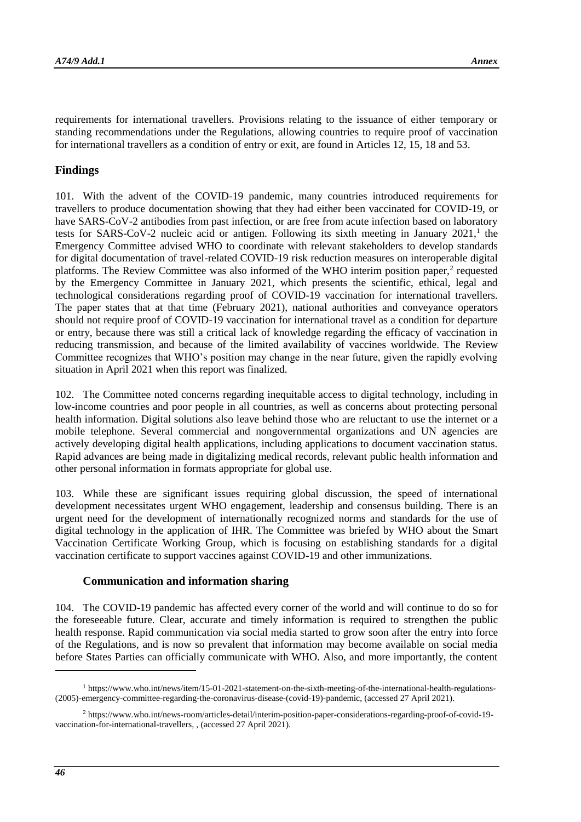requirements for international travellers. Provisions relating to the issuance of either temporary or standing recommendations under the Regulations, allowing countries to require proof of vaccination for international travellers as a condition of entry or exit, are found in Articles 12, 15, 18 and 53.

# **Findings**

101. With the advent of the COVID-19 pandemic, many countries introduced requirements for travellers to produce documentation showing that they had either been vaccinated for COVID-19, or have SARS-CoV-2 antibodies from past infection, or are free from acute infection based on laboratory tests for SARS-CoV-2 nucleic acid or antigen. Following its sixth meeting in January  $2021$ ,<sup>1</sup> the Emergency Committee advised WHO to coordinate with relevant stakeholders to develop standards for digital documentation of travel-related COVID-19 risk reduction measures on interoperable digital platforms. The Review Committee was also informed of the WHO interim position paper,<sup>2</sup> requested by the Emergency Committee in January 2021, which presents the scientific, ethical, legal and technological considerations regarding proof of COVID-19 vaccination for international travellers. The paper states that at that time (February 2021), national authorities and conveyance operators should not require proof of COVID-19 vaccination for international travel as a condition for departure or entry, because there was still a critical lack of knowledge regarding the efficacy of vaccination in reducing transmission, and because of the limited availability of vaccines worldwide. The Review Committee recognizes that WHO's position may change in the near future, given the rapidly evolving situation in April 2021 when this report was finalized.

102. The Committee noted concerns regarding inequitable access to digital technology, including in low-income countries and poor people in all countries, as well as concerns about protecting personal health information. Digital solutions also leave behind those who are reluctant to use the internet or a mobile telephone. Several commercial and nongovernmental organizations and UN agencies are actively developing digital health applications, including applications to document vaccination status. Rapid advances are being made in digitalizing medical records, relevant public health information and other personal information in formats appropriate for global use.

103. While these are significant issues requiring global discussion, the speed of international development necessitates urgent WHO engagement, leadership and consensus building. There is an urgent need for the development of internationally recognized norms and standards for the use of digital technology in the application of IHR. The Committee was briefed by WHO about the Smart Vaccination Certificate Working Group, which is focusing on establishing standards for a digital vaccination certificate to support vaccines against COVID-19 and other immunizations.

### **Communication and information sharing**

104. The COVID-19 pandemic has affected every corner of the world and will continue to do so for the foreseeable future. Clear, accurate and timely information is required to strengthen the public health response. Rapid communication via social media started to grow soon after the entry into force of the Regulations, and is now so prevalent that information may become available on social media before States Parties can officially communicate with WHO. Also, and more importantly, the content

1

<sup>1</sup> [https://www.who.int/news/item/15-01-2021-statement-on-the-sixth-meeting-of-the-international-health-regulations-](https://www.who.int/news/item/15-01-2021-statement-on-the-sixth-meeting-of-the-international-health-regulations-(2005)-emergency-committee-regarding-the-coronavirus-disease-(covid-19)-pandemic) [\(2005\)-emergency-committee-regarding-the-coronavirus-disease-\(covid-19\)-pandemic,](https://www.who.int/news/item/15-01-2021-statement-on-the-sixth-meeting-of-the-international-health-regulations-(2005)-emergency-committee-regarding-the-coronavirus-disease-(covid-19)-pandemic) (accessed 27 April 2021).

<sup>2</sup> [https://www.who.int/news-room/articles-detail/interim-position-paper-considerations-regarding-proof-of-covid-19](https://www.who.int/news-room/articles-detail/interim-position-paper-considerations-regarding-proof-of-covid-19-vaccination-for-international-travellers) [vaccination-for-international-travellers,](https://www.who.int/news-room/articles-detail/interim-position-paper-considerations-regarding-proof-of-covid-19-vaccination-for-international-travellers) , (accessed 27 April 2021).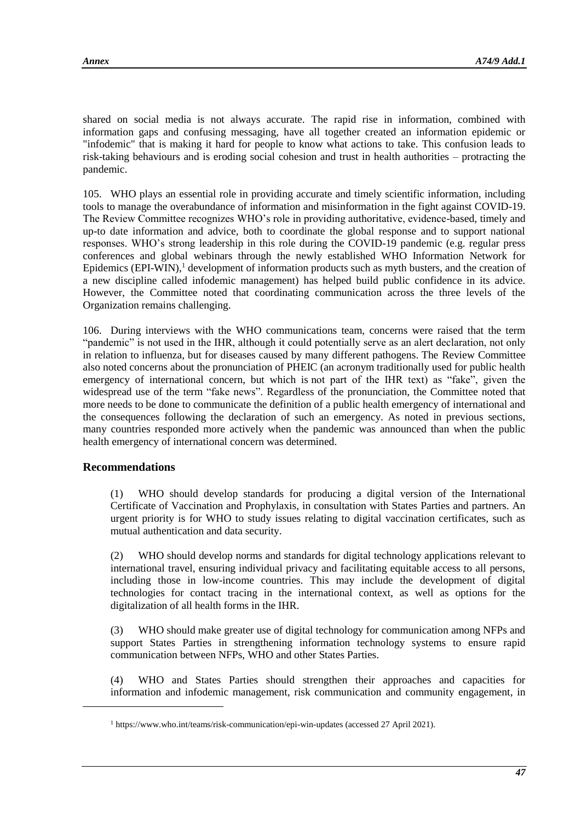shared on social media is not always accurate. The rapid rise in information, combined with information gaps and confusing messaging, have all together created an information epidemic or "infodemic" that is making it hard for people to know what actions to take. This confusion leads to risk-taking behaviours and is eroding social cohesion and trust in health authorities – protracting the pandemic.

105. WHO plays an essential role in providing accurate and timely scientific information, including tools to manage the overabundance of information and misinformation in the fight against COVID-19. The Review Committee recognizes WHO's role in providing authoritative, evidence-based, timely and up-to date information and advice, both to coordinate the global response and to support national responses. WHO's strong leadership in this role during the COVID-19 pandemic (e.g. regular press conferences and global webinars through the newly established WHO Information Network for Epidemics (EPI-WIN), $<sup>1</sup>$  development of information products such as myth busters, and the creation of</sup> a new discipline called infodemic management) has helped build public confidence in its advice. However, the Committee noted that coordinating communication across the three levels of the Organization remains challenging.

106. During interviews with the WHO communications team, concerns were raised that the term "pandemic" is not used in the IHR, although it could potentially serve as an alert declaration, not only in relation to influenza, but for diseases caused by many different pathogens. The Review Committee also noted concerns about the pronunciation of PHEIC (an acronym traditionally used for public health emergency of international concern, but which is not part of the IHR text) as "fake", given the widespread use of the term "fake news". Regardless of the pronunciation, the Committee noted that more needs to be done to communicate the definition of a public health emergency of international and the consequences following the declaration of such an emergency. As noted in previous sections, many countries responded more actively when the pandemic was announced than when the public health emergency of international concern was determined.

# **Recommendations**

l

(1) WHO should develop standards for producing a digital version of the International Certificate of Vaccination and Prophylaxis, in consultation with States Parties and partners. An urgent priority is for WHO to study issues relating to digital vaccination certificates, such as mutual authentication and data security.

(2) WHO should develop norms and standards for digital technology applications relevant to international travel, ensuring individual privacy and facilitating equitable access to all persons, including those in low-income countries. This may include the development of digital technologies for contact tracing in the international context, as well as options for the digitalization of all health forms in the IHR.

(3) WHO should make greater use of digital technology for communication among NFPs and support States Parties in strengthening information technology systems to ensure rapid communication between NFPs, WHO and other States Parties.

(4) WHO and States Parties should strengthen their approaches and capacities for information and infodemic management, risk communication and community engagement, in

<sup>1</sup> <https://www.who.int/teams/risk-communication/epi-win-updates> (accessed 27 April 2021).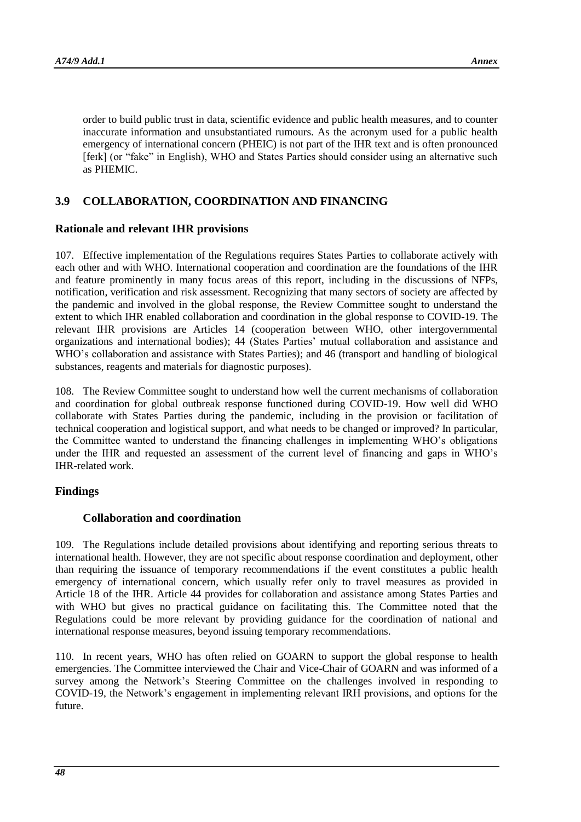order to build public trust in data, scientific evidence and public health measures, and to counter inaccurate information and unsubstantiated rumours. As the acronym used for a public health emergency of international concern (PHEIC) is not part of the IHR text and is often pronounced [feɪk] (or "fake" in English), WHO and States Parties should consider using an alternative such as PHEMIC.

# **3.9 COLLABORATION, COORDINATION AND FINANCING**

### **Rationale and relevant IHR provisions**

107. Effective implementation of the Regulations requires States Parties to collaborate actively with each other and with WHO. International cooperation and coordination are the foundations of the IHR and feature prominently in many focus areas of this report, including in the discussions of NFPs, notification, verification and risk assessment. Recognizing that many sectors of society are affected by the pandemic and involved in the global response, the Review Committee sought to understand the extent to which IHR enabled collaboration and coordination in the global response to COVID-19. The relevant IHR provisions are Articles 14 (cooperation between WHO, other intergovernmental organizations and international bodies); 44 (States Parties' mutual collaboration and assistance and WHO's collaboration and assistance with States Parties); and 46 (transport and handling of biological substances, reagents and materials for diagnostic purposes).

108. The Review Committee sought to understand how well the current mechanisms of collaboration and coordination for global outbreak response functioned during COVID-19. How well did WHO collaborate with States Parties during the pandemic, including in the provision or facilitation of technical cooperation and logistical support, and what needs to be changed or improved? In particular, the Committee wanted to understand the financing challenges in implementing WHO's obligations under the IHR and requested an assessment of the current level of financing and gaps in WHO's IHR-related work.

### **Findings**

# **Collaboration and coordination**

109. The Regulations include detailed provisions about identifying and reporting serious threats to international health. However, they are not specific about response coordination and deployment, other than requiring the issuance of temporary recommendations if the event constitutes a public health emergency of international concern, which usually refer only to travel measures as provided in Article 18 of the IHR. Article 44 provides for collaboration and assistance among States Parties and with WHO but gives no practical guidance on facilitating this. The Committee noted that the Regulations could be more relevant by providing guidance for the coordination of national and international response measures, beyond issuing temporary recommendations.

110. In recent years, WHO has often relied on GOARN to support the global response to health emergencies. The Committee interviewed the Chair and Vice-Chair of GOARN and was informed of a survey among the Network's Steering Committee on the challenges involved in responding to COVID-19, the Network's engagement in implementing relevant IRH provisions, and options for the future.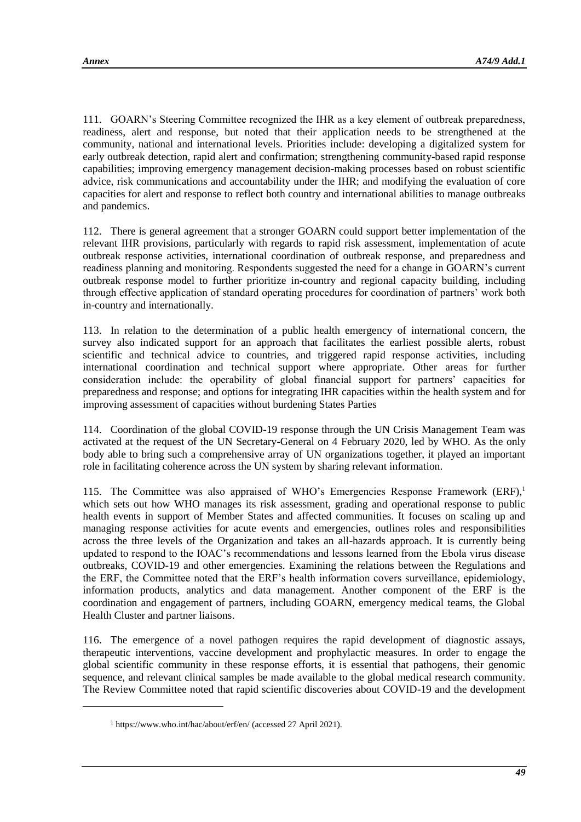l

111. GOARN's Steering Committee recognized the IHR as a key element of outbreak preparedness, readiness, alert and response, but noted that their application needs to be strengthened at the community, national and international levels. Priorities include: developing a digitalized system for early outbreak detection, rapid alert and confirmation; strengthening community-based rapid response capabilities; improving emergency management decision-making processes based on robust scientific advice, risk communications and accountability under the IHR; and modifying the evaluation of core capacities for alert and response to reflect both country and international abilities to manage outbreaks and pandemics.

112. There is general agreement that a stronger GOARN could support better implementation of the relevant IHR provisions, particularly with regards to rapid risk assessment, implementation of acute outbreak response activities, international coordination of outbreak response, and preparedness and readiness planning and monitoring. Respondents suggested the need for a change in GOARN's current outbreak response model to further prioritize in-country and regional capacity building, including through effective application of standard operating procedures for coordination of partners' work both in-country and internationally.

113. In relation to the determination of a public health emergency of international concern, the survey also indicated support for an approach that facilitates the earliest possible alerts, robust scientific and technical advice to countries, and triggered rapid response activities, including international coordination and technical support where appropriate. Other areas for further consideration include: the operability of global financial support for partners' capacities for preparedness and response; and options for integrating IHR capacities within the health system and for improving assessment of capacities without burdening States Parties

114. Coordination of the global COVID-19 response through the UN Crisis Management Team was activated at the request of the UN Secretary-General on 4 February 2020, led by WHO. As the only body able to bring such a comprehensive array of UN organizations together, it played an important role in facilitating coherence across the UN system by sharing relevant information.

115. The Committee was also appraised of WHO's Emergencies Response Framework  $(ERF)$ <sup>1</sup> which sets out how WHO manages its risk assessment, grading and operational response to public health events in support of Member States and affected communities. It focuses on scaling up and managing response activities for acute events and emergencies, outlines roles and responsibilities across the three levels of the Organization and takes an all-hazards approach. It is currently being updated to respond to the IOAC's recommendations and lessons learned from the Ebola virus disease outbreaks, COVID-19 and other emergencies. Examining the relations between the Regulations and the ERF, the Committee noted that the ERF's health information covers surveillance, epidemiology, information products, analytics and data management. Another component of the ERF is the coordination and engagement of partners, including GOARN, emergency medical teams, the Global Health Cluster and partner liaisons.

116. The emergence of a novel pathogen requires the rapid development of diagnostic assays, therapeutic interventions, vaccine development and prophylactic measures. In order to engage the global scientific community in these response efforts, it is essential that pathogens, their genomic sequence, and relevant clinical samples be made available to the global medical research community. The Review Committee noted that rapid scientific discoveries about COVID-19 and the development

<sup>1</sup> <https://www.who.int/hac/about/erf/en/> (accessed 27 April 2021).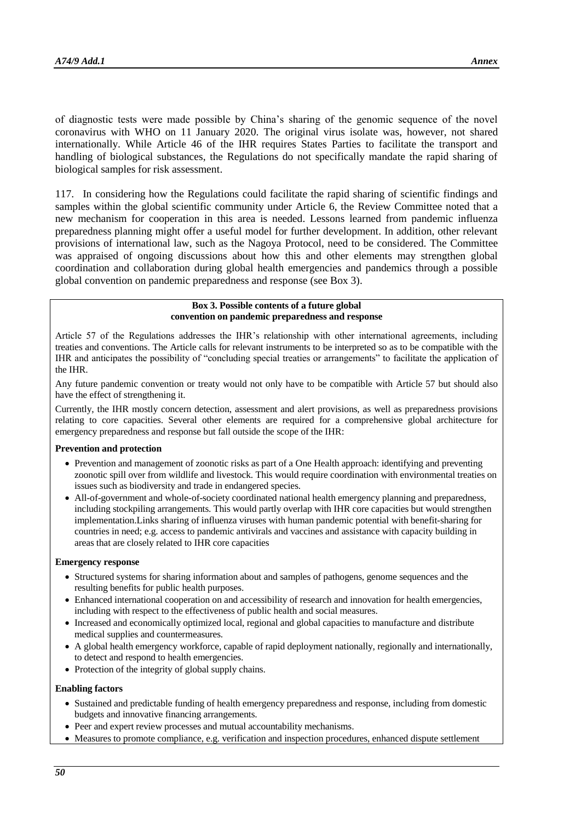of diagnostic tests were made possible by China's sharing of the genomic sequence of the novel coronavirus with WHO on 11 January 2020. The original virus isolate was, however, not shared internationally. While Article 46 of the IHR requires States Parties to facilitate the transport and handling of biological substances, the Regulations do not specifically mandate the rapid sharing of biological samples for risk assessment.

117. In considering how the Regulations could facilitate the rapid sharing of scientific findings and samples within the global scientific community under Article 6, the Review Committee noted that a new mechanism for cooperation in this area is needed. Lessons learned from pandemic influenza preparedness planning might offer a useful model for further development. In addition, other relevant provisions of international law, such as the Nagoya Protocol, need to be considered. The Committee was appraised of ongoing discussions about how this and other elements may strengthen global coordination and collaboration during global health emergencies and pandemics through a possible global convention on pandemic preparedness and response (see Box 3).

> **Box 3. Possible contents of a future global convention on pandemic preparedness and response**

Article 57 of the Regulations addresses the IHR's relationship with other international agreements, including treaties and conventions. The Article calls for relevant instruments to be interpreted so as to be compatible with the IHR and anticipates the possibility of "concluding special treaties or arrangements" to facilitate the application of the IHR.

Any future pandemic convention or treaty would not only have to be compatible with Article 57 but should also have the effect of strengthening it.

Currently, the IHR mostly concern detection, assessment and alert provisions, as well as preparedness provisions relating to core capacities. Several other elements are required for a comprehensive global architecture for emergency preparedness and response but fall outside the scope of the IHR:

#### **Prevention and protection**

- Prevention and management of zoonotic risks as part of a One Health approach: identifying and preventing zoonotic spill over from wildlife and livestock. This would require coordination with environmental treaties on issues such as biodiversity and trade in endangered species.
- All-of-government and whole-of-society coordinated national health emergency planning and preparedness, including stockpiling arrangements. This would partly overlap with IHR core capacities but would strengthen implementation.Links sharing of influenza viruses with human pandemic potential with benefit-sharing for countries in need; e.g. access to pandemic antivirals and vaccines and assistance with capacity building in areas that are closely related to IHR core capacities

#### **Emergency response**

- Structured systems for sharing information about and samples of pathogens, genome sequences and the resulting benefits for public health purposes.
- Enhanced international cooperation on and accessibility of research and innovation for health emergencies, including with respect to the effectiveness of public health and social measures.
- Increased and economically optimized local, regional and global capacities to manufacture and distribute medical supplies and countermeasures.
- A global health emergency workforce, capable of rapid deployment nationally, regionally and internationally, to detect and respond to health emergencies.
- Protection of the integrity of global supply chains.

#### **Enabling factors**

- Sustained and predictable funding of health emergency preparedness and response, including from domestic budgets and innovative financing arrangements.
- Peer and expert review processes and mutual accountability mechanisms.
- Measures to promote compliance, e.g. verification and inspection procedures, enhanced dispute settlement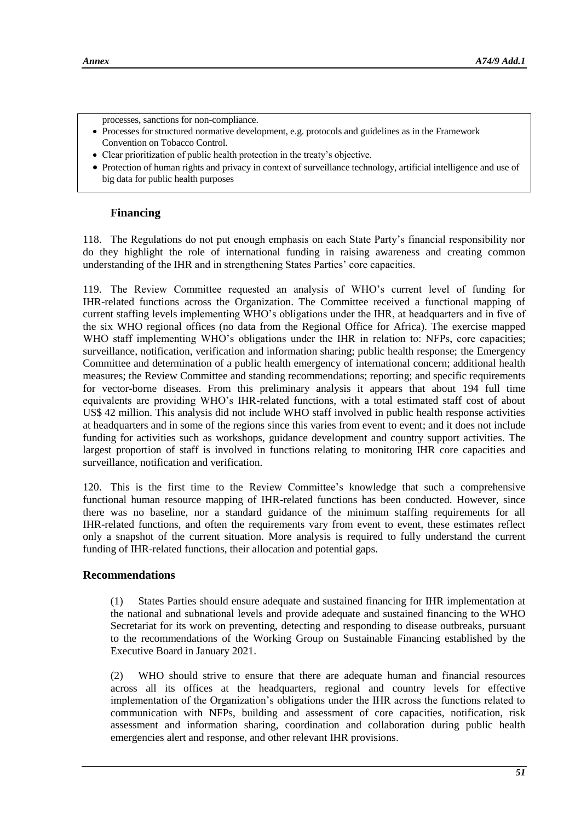- processes, sanctions for non-compliance.
- Processes for structured normative development, e.g. protocols and guidelines as in the Framework Convention on Tobacco Control.
- Clear prioritization of public health protection in the treaty's objective.
- Protection of human rights and privacy in context of surveillance technology, artificial intelligence and use of big data for public health purposes

### **Financing**

118. The Regulations do not put enough emphasis on each State Party's financial responsibility nor do they highlight the role of international funding in raising awareness and creating common understanding of the IHR and in strengthening States Parties' core capacities.

119. The Review Committee requested an analysis of WHO's current level of funding for IHR-related functions across the Organization. The Committee received a functional mapping of current staffing levels implementing WHO's obligations under the IHR, at headquarters and in five of the six WHO regional offices (no data from the Regional Office for Africa). The exercise mapped WHO staff implementing WHO's obligations under the IHR in relation to: NFPs, core capacities; surveillance, notification, verification and information sharing; public health response; the Emergency Committee and determination of a public health emergency of international concern; additional health measures; the Review Committee and standing recommendations; reporting; and specific requirements for vector-borne diseases. From this preliminary analysis it appears that about 194 full time equivalents are providing WHO's IHR-related functions, with a total estimated staff cost of about US\$ 42 million. This analysis did not include WHO staff involved in public health response activities at headquarters and in some of the regions since this varies from event to event; and it does not include funding for activities such as workshops, guidance development and country support activities. The largest proportion of staff is involved in functions relating to monitoring IHR core capacities and surveillance, notification and verification.

120. This is the first time to the Review Committee's knowledge that such a comprehensive functional human resource mapping of IHR-related functions has been conducted. However, since there was no baseline, nor a standard guidance of the minimum staffing requirements for all IHR-related functions, and often the requirements vary from event to event, these estimates reflect only a snapshot of the current situation. More analysis is required to fully understand the current funding of IHR-related functions, their allocation and potential gaps.

### **Recommendations**

(1) States Parties should ensure adequate and sustained financing for IHR implementation at the national and subnational levels and provide adequate and sustained financing to the WHO Secretariat for its work on preventing, detecting and responding to disease outbreaks, pursuant to the recommendations of the Working Group on Sustainable Financing established by the Executive Board in January 2021.

(2) WHO should strive to ensure that there are adequate human and financial resources across all its offices at the headquarters, regional and country levels for effective implementation of the Organization's obligations under the IHR across the functions related to communication with NFPs, building and assessment of core capacities, notification, risk assessment and information sharing, coordination and collaboration during public health emergencies alert and response, and other relevant IHR provisions.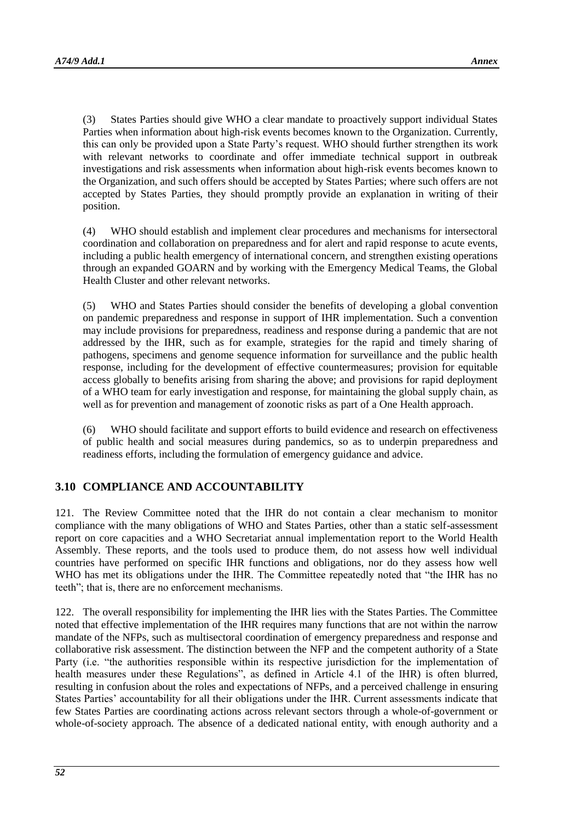(3) States Parties should give WHO a clear mandate to proactively support individual States Parties when information about high-risk events becomes known to the Organization. Currently, this can only be provided upon a State Party's request. WHO should further strengthen its work with relevant networks to coordinate and offer immediate technical support in outbreak investigations and risk assessments when information about high-risk events becomes known to the Organization, and such offers should be accepted by States Parties; where such offers are not accepted by States Parties, they should promptly provide an explanation in writing of their position.

(4) WHO should establish and implement clear procedures and mechanisms for intersectoral coordination and collaboration on preparedness and for alert and rapid response to acute events, including a public health emergency of international concern, and strengthen existing operations through an expanded GOARN and by working with the Emergency Medical Teams, the Global Health Cluster and other relevant networks.

(5) WHO and States Parties should consider the benefits of developing a global convention on pandemic preparedness and response in support of IHR implementation. Such a convention may include provisions for preparedness, readiness and response during a pandemic that are not addressed by the IHR, such as for example, strategies for the rapid and timely sharing of pathogens, specimens and genome sequence information for surveillance and the public health response, including for the development of effective countermeasures; provision for equitable access globally to benefits arising from sharing the above; and provisions for rapid deployment of a WHO team for early investigation and response, for maintaining the global supply chain, as well as for prevention and management of zoonotic risks as part of a One Health approach.

(6) WHO should facilitate and support efforts to build evidence and research on effectiveness of public health and social measures during pandemics, so as to underpin preparedness and readiness efforts, including the formulation of emergency guidance and advice.

# **3.10 COMPLIANCE AND ACCOUNTABILITY**

121. The Review Committee noted that the IHR do not contain a clear mechanism to monitor compliance with the many obligations of WHO and States Parties, other than a static self-assessment report on core capacities and a WHO Secretariat annual implementation report to the World Health Assembly. These reports, and the tools used to produce them, do not assess how well individual countries have performed on specific IHR functions and obligations, nor do they assess how well WHO has met its obligations under the IHR. The Committee repeatedly noted that "the IHR has no teeth"; that is, there are no enforcement mechanisms.

122. The overall responsibility for implementing the IHR lies with the States Parties. The Committee noted that effective implementation of the IHR requires many functions that are not within the narrow mandate of the NFPs, such as multisectoral coordination of emergency preparedness and response and collaborative risk assessment. The distinction between the NFP and the competent authority of a State Party (i.e. "the authorities responsible within its respective jurisdiction for the implementation of health measures under these Regulations", as defined in Article 4.1 of the IHR) is often blurred, resulting in confusion about the roles and expectations of NFPs, and a perceived challenge in ensuring States Parties' accountability for all their obligations under the IHR. Current assessments indicate that few States Parties are coordinating actions across relevant sectors through a whole-of-government or whole-of-society approach. The absence of a dedicated national entity, with enough authority and a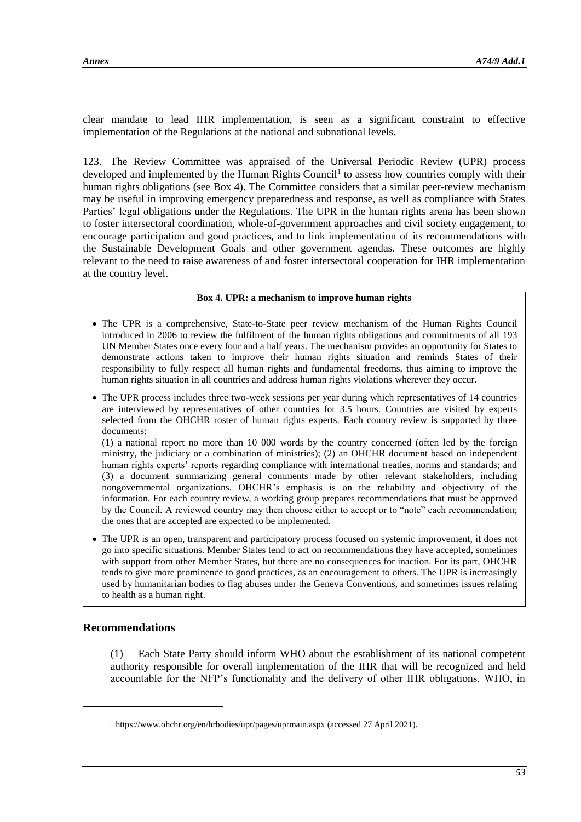clear mandate to lead IHR implementation, is seen as a significant constraint to effective implementation of the Regulations at the national and subnational levels.

123. The Review Committee was appraised of the Universal Periodic Review (UPR) process developed and implemented by the Human Rights Council<sup>1</sup> to assess how countries comply with their human rights obligations (see Box 4). The Committee considers that a similar peer-review mechanism may be useful in improving emergency preparedness and response, as well as compliance with States Parties' legal obligations under the Regulations. The UPR in the human rights arena has been shown to foster intersectoral coordination, whole-of-government approaches and civil society engagement, to encourage participation and good practices, and to link implementation of its recommendations with the Sustainable Development Goals and other government agendas. These outcomes are highly relevant to the need to raise awareness of and foster intersectoral cooperation for IHR implementation at the country level.

#### **Box 4. UPR: a mechanism to improve human rights**

- The UPR is a comprehensive, State-to-State peer review mechanism of the Human Rights Council introduced in 2006 to review the fulfilment of the human rights obligations and commitments of all 193 UN Member States once every four and a half years. The mechanism provides an opportunity for States to demonstrate actions taken to improve their human rights situation and reminds States of their responsibility to fully respect all human rights and fundamental freedoms, thus aiming to improve the human rights situation in all countries and address human rights violations wherever they occur.
- The UPR process includes three two-week sessions per year during which representatives of 14 countries are interviewed by representatives of other countries for 3.5 hours. Countries are visited by experts selected from the OHCHR roster of human rights experts. Each country review is supported by three documents:

(1) a national report no more than 10 000 words by the country concerned (often led by the foreign ministry, the judiciary or a combination of ministries); (2) an OHCHR document based on independent human rights experts' reports regarding compliance with international treaties, norms and standards; and (3) a document summarizing general comments made by other relevant stakeholders, including nongovernmental organizations. OHCHR's emphasis is on the reliability and objectivity of the information. For each country review, a working group prepares recommendations that must be approved by the Council. A reviewed country may then choose either to accept or to "note" each recommendation; the ones that are accepted are expected to be implemented.

• The UPR is an open, transparent and participatory process focused on systemic improvement, it does not go into specific situations. Member States tend to act on recommendations they have accepted, sometimes with support from other Member States, but there are no consequences for inaction. For its part, OHCHR tends to give more prominence to good practices, as an encouragement to others. The UPR is increasingly used by humanitarian bodies to flag abuses under the Geneva Conventions, and sometimes issues relating to health as a human right.

#### **Recommendations**

l

(1) Each State Party should inform WHO about the establishment of its national competent authority responsible for overall implementation of the IHR that will be recognized and held accountable for the NFP's functionality and the delivery of other IHR obligations. WHO, in

<sup>1</sup> <https://www.ohchr.org/en/hrbodies/upr/pages/uprmain.aspx> (accessed 27 April 2021).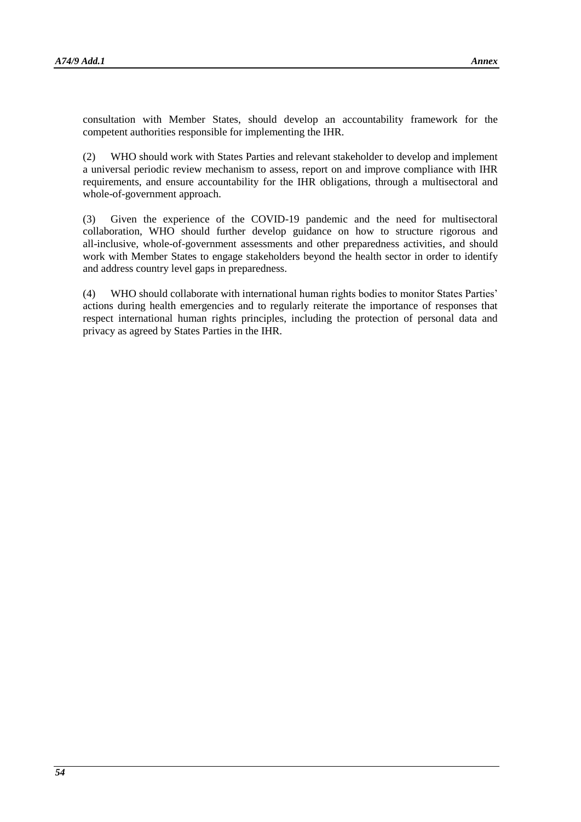consultation with Member States, should develop an accountability framework for the competent authorities responsible for implementing the IHR.

(2) WHO should work with States Parties and relevant stakeholder to develop and implement a universal periodic review mechanism to assess, report on and improve compliance with IHR requirements, and ensure accountability for the IHR obligations, through a multisectoral and whole-of-government approach.

(3) Given the experience of the COVID-19 pandemic and the need for multisectoral collaboration, WHO should further develop guidance on how to structure rigorous and all-inclusive, whole-of-government assessments and other preparedness activities, and should work with Member States to engage stakeholders beyond the health sector in order to identify and address country level gaps in preparedness.

(4) WHO should collaborate with international human rights bodies to monitor States Parties' actions during health emergencies and to regularly reiterate the importance of responses that respect international human rights principles, including the protection of personal data and privacy as agreed by States Parties in the IHR.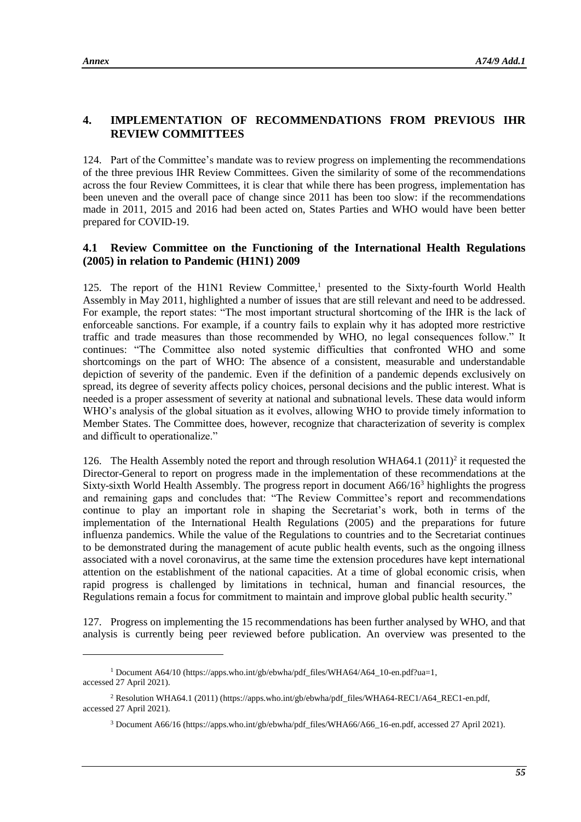l

# **4. IMPLEMENTATION OF RECOMMENDATIONS FROM PREVIOUS IHR REVIEW COMMITTEES**

124. Part of the Committee's mandate was to review progress on implementing the recommendations of the three previous IHR Review Committees. Given the similarity of some of the recommendations across the four Review Committees, it is clear that while there has been progress, implementation has been uneven and the overall pace of change since 2011 has been too slow: if the recommendations made in 2011, 2015 and 2016 had been acted on, States Parties and WHO would have been better prepared for COVID-19.

### **4.1 Review Committee on the Functioning of the International Health Regulations (2005) in relation to Pandemic (H1N1) 2009**

125. The report of the H1N1 Review Committee,<sup>1</sup> presented to the Sixty-fourth World Health Assembly in May 2011, highlighted a number of issues that are still relevant and need to be addressed. For example, the report states: "The most important structural shortcoming of the IHR is the lack of enforceable sanctions. For example, if a country fails to explain why it has adopted more restrictive traffic and trade measures than those recommended by WHO, no legal consequences follow." It continues: "The Committee also noted systemic difficulties that confronted WHO and some shortcomings on the part of WHO: The absence of a consistent, measurable and understandable depiction of severity of the pandemic. Even if the definition of a pandemic depends exclusively on spread, its degree of severity affects policy choices, personal decisions and the public interest. What is needed is a proper assessment of severity at national and subnational levels. These data would inform WHO's analysis of the global situation as it evolves, allowing WHO to provide timely information to Member States. The Committee does, however, recognize that characterization of severity is complex and difficult to operationalize."

126. The Health Assembly noted the report and through resolution WHA64.1 (2011)<sup>2</sup> it requested the Director-General to report on progress made in the implementation of these recommendations at the Sixty-sixth World Health Assembly. The progress report in document A66/16<sup>3</sup> highlights the progress and remaining gaps and concludes that: "The Review Committee's report and recommendations continue to play an important role in shaping the Secretariat's work, both in terms of the implementation of the International Health Regulations (2005) and the preparations for future influenza pandemics. While the value of the Regulations to countries and to the Secretariat continues to be demonstrated during the management of acute public health events, such as the ongoing illness associated with a novel coronavirus, at the same time the extension procedures have kept international attention on the establishment of the national capacities. At a time of global economic crisis, when rapid progress is challenged by limitations in technical, human and financial resources, the Regulations remain a focus for commitment to maintain and improve global public health security."

127. Progress on implementing the 15 recommendations has been further analysed by WHO, and that analysis is currently being peer reviewed before publication. An overview was presented to the

<sup>&</sup>lt;sup>1</sup> Document A64/10 [\(https://apps.who.int/gb/ebwha/pdf\\_files/WHA64/A64\\_10-en.pdf?ua=1,](https://apps.who.int/gb/ebwha/pdf_files/WHA64/A64_10-en.pdf?ua=1) accessed 27 April 2021).

<sup>2</sup> Resolution WHA64.1 (2011) [\(https://apps.who.int/gb/ebwha/pdf\\_files/WHA64-REC1/A64\\_REC1-en.pdf,](https://apps.who.int/gb/ebwha/pdf_files/WHA64-REC1/A64_REC1-en.pdf) accessed 27 April 2021).

<sup>3</sup> Document A66/16 [\(https://apps.who.int/gb/ebwha/pdf\\_files/WHA66/A66\\_16-en.pdf,](https://apps.who.int/gb/ebwha/pdf_files/WHA66/A66_16-en.pdf) accessed 27 April 2021).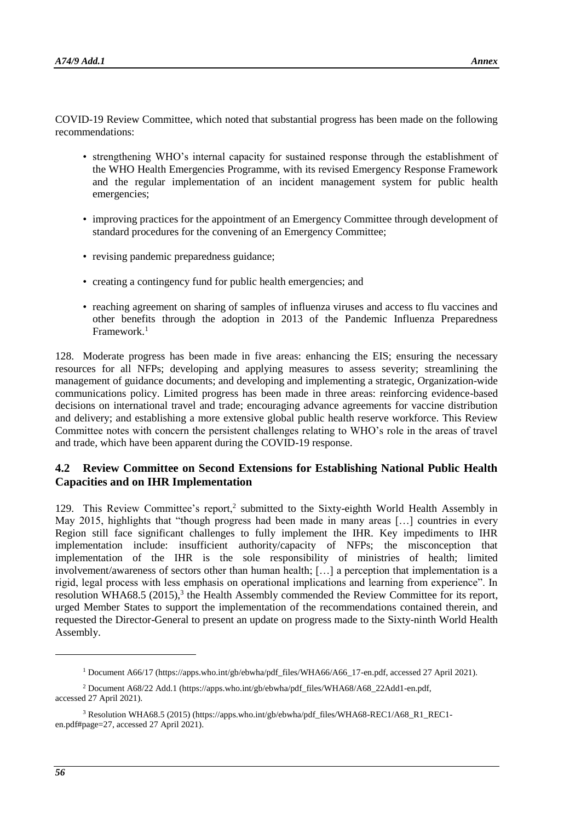COVID-19 Review Committee, which noted that substantial progress has been made on the following recommendations:

- strengthening WHO's internal capacity for sustained response through the establishment of the WHO Health Emergencies Programme, with its revised Emergency Response Framework and the regular implementation of an incident management system for public health emergencies;
- improving practices for the appointment of an Emergency Committee through development of standard procedures for the convening of an Emergency Committee;
- revising pandemic preparedness guidance;
- creating a contingency fund for public health emergencies; and
- reaching agreement on sharing of samples of influenza viruses and access to flu vaccines and other benefits through the adoption in 2013 of the Pandemic Influenza Preparedness Framework.<sup>1</sup>

128. Moderate progress has been made in five areas: enhancing the EIS; ensuring the necessary resources for all NFPs; developing and applying measures to assess severity; streamlining the management of guidance documents; and developing and implementing a strategic, Organization-wide communications policy. Limited progress has been made in three areas: reinforcing evidence-based decisions on international travel and trade; encouraging advance agreements for vaccine distribution and delivery; and establishing a more extensive global public health reserve workforce. This Review Committee notes with concern the persistent challenges relating to WHO's role in the areas of travel and trade, which have been apparent during the COVID-19 response.

# **4.2 Review Committee on Second Extensions for Establishing National Public Health Capacities and on IHR Implementation**

129. This Review Committee's report,<sup>2</sup> submitted to the Sixty-eighth World Health Assembly in May 2015, highlights that "though progress had been made in many areas [...] countries in every Region still face significant challenges to fully implement the IHR. Key impediments to IHR implementation include: insufficient authority/capacity of NFPs; the misconception that implementation of the IHR is the sole responsibility of ministries of health; limited involvement/awareness of sectors other than human health; […] a perception that implementation is a rigid, legal process with less emphasis on operational implications and learning from experience". In resolution WHA68.5 (2015),<sup>3</sup> the Health Assembly commended the Review Committee for its report, urged Member States to support the implementation of the recommendations contained therein, and requested the Director-General to present an update on progress made to the Sixty-ninth World Health Assembly.

1

<sup>1</sup> Document A66/17 [\(https://apps.who.int/gb/ebwha/pdf\\_files/WHA66/A66\\_17-en.pdf,](https://apps.who.int/gb/ebwha/pdf_files/WHA66/A66_17-en.pdf) accessed 27 April 2021).

<sup>2</sup> Document A68/22 Add.1 [\(https://apps.who.int/gb/ebwha/pdf\\_files/WHA68/A68\\_22Add1-en.pdf,](https://apps.who.int/gb/ebwha/pdf_files/WHA68/A68_22Add1-en.pdf) accessed 27 April 2021).

<sup>3</sup> Resolution WHA68.5 (2015) [\(https://apps.who.int/gb/ebwha/pdf\\_files/WHA68-REC1/A68\\_R1\\_REC1](https://apps.who.int/gb/ebwha/pdf_files/WHA68-REC1/A68_R1_REC1-en.pdf#page=27) [en.pdf#page=27,](https://apps.who.int/gb/ebwha/pdf_files/WHA68-REC1/A68_R1_REC1-en.pdf#page=27) accessed 27 April 2021).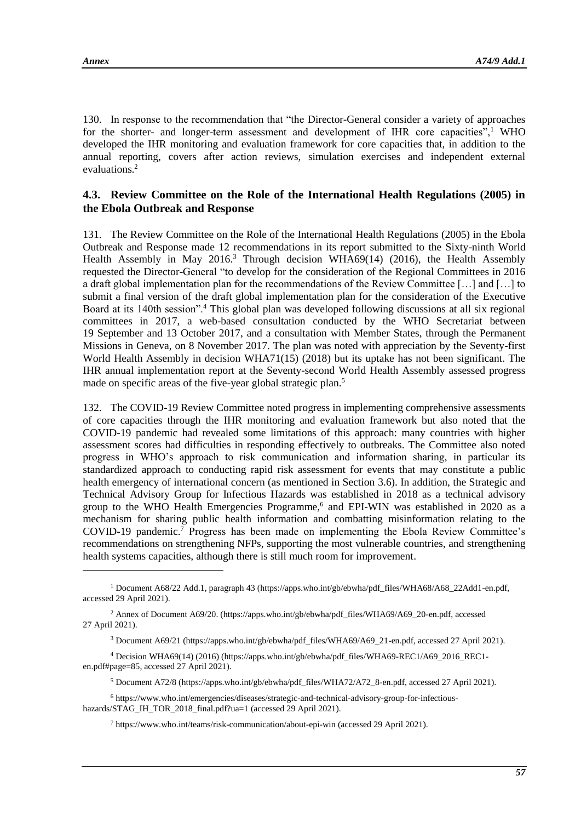l

130. In response to the recommendation that "the Director-General consider a variety of approaches for the shorter- and longer-term assessment and development of IHR core capacities", $\frac{1}{1}$  WHO developed the IHR monitoring and evaluation framework for core capacities that, in addition to the annual reporting, covers after action reviews, simulation exercises and independent external evaluations.<sup>2</sup>

### **4.3. Review Committee on the Role of the International Health Regulations (2005) in the Ebola Outbreak and Response**

131. The Review Committee on the Role of the International Health Regulations (2005) in the Ebola Outbreak and Response made 12 recommendations in its report submitted to the Sixty-ninth World Health Assembly in May 2016.<sup>3</sup> Through decision WHA69(14) (2016), the Health Assembly requested the Director-General "to develop for the consideration of the Regional Committees in 2016 a draft global implementation plan for the recommendations of the Review Committee […] and […] to submit a final version of the draft global implementation plan for the consideration of the Executive Board at its 140th session".<sup>4</sup> This global plan was developed following discussions at all six regional committees in 2017, a web-based consultation conducted by the WHO Secretariat between 19 September and 13 October 2017, and a consultation with Member States, through the Permanent Missions in Geneva, on 8 November 2017. The plan was noted with appreciation by the Seventy-first World Health Assembly in decision WHA71(15) (2018) but its uptake has not been significant. The IHR annual implementation report at the Seventy-second World Health Assembly assessed progress made on specific areas of the five-year global strategic plan.<sup>5</sup>

132. The COVID-19 Review Committee noted progress in implementing comprehensive assessments of core capacities through the IHR monitoring and evaluation framework but also noted that the COVID-19 pandemic had revealed some limitations of this approach: many countries with higher assessment scores had difficulties in responding effectively to outbreaks. The Committee also noted progress in WHO's approach to risk communication and information sharing, in particular its standardized approach to conducting rapid risk assessment for events that may constitute a public health emergency of international concern (as mentioned in Section 3.6). In addition, the Strategic and Technical Advisory Group for Infectious Hazards was established in 2018 as a technical advisory group to the WHO Health Emergencies Programme,<sup>6</sup> and EPI-WIN was established in 2020 as a mechanism for sharing public health information and combatting misinformation relating to the COVID-19 pandemic.<sup>7</sup> Progress has been made on implementing the Ebola Review Committee's recommendations on strengthening NFPs, supporting the most vulnerable countries, and strengthening health systems capacities, although there is still much room for improvement.

<sup>1</sup> Document A68/22 Add.1, paragraph 43 [\(https://apps.who.int/gb/ebwha/pdf\\_files/WHA68/A68\\_22Add1-en.pdf,](https://apps.who.int/gb/ebwha/pdf_files/WHA68/A68_22Add1-en.pdf) accessed 29 April 2021).

<sup>2</sup> Annex of Document A69/20. [\(https://apps.who.int/gb/ebwha/pdf\\_files/WHA69/A69\\_20-en.pdf,](https://apps.who.int/gb/ebwha/pdf_files/WHA69/A69_20-en.pdf) accessed 27 April 2021).

<sup>3</sup> Document A69/21 [\(https://apps.who.int/gb/ebwha/pdf\\_files/WHA69/A69\\_21-en.pdf,](https://apps.who.int/gb/ebwha/pdf_files/WHA69/A69_21-en.pdf) accessed 27 April 2021).

<sup>4</sup> Decision WHA69(14) (2016) [\(https://apps.who.int/gb/ebwha/pdf\\_files/WHA69-REC1/A69\\_2016\\_REC1](https://apps.who.int/gb/ebwha/pdf_files/WHA69-REC1/A69_2016_REC1-en.pdf#page=85) [en.pdf#page=85,](https://apps.who.int/gb/ebwha/pdf_files/WHA69-REC1/A69_2016_REC1-en.pdf#page=85) accessed 27 April 2021).

<sup>5</sup> Document A72/8 [\(https://apps.who.int/gb/ebwha/pdf\\_files/WHA72/A72\\_8-en.pdf,](https://apps.who.int/gb/ebwha/pdf_files/WHA72/A72_8-en.pdf) accessed 27 April 2021).

<sup>6</sup> [https://www.who.int/emergencies/diseases/strategic-and-technical-advisory-group-for-infectious](https://www.who.int/emergencies/diseases/strategic-and-technical-advisory-group-for-infectious-hazards/STAG_IH_TOR_2018_final.pdf?ua=1)[hazards/STAG\\_IH\\_TOR\\_2018\\_final.pdf?ua=1](https://www.who.int/emergencies/diseases/strategic-and-technical-advisory-group-for-infectious-hazards/STAG_IH_TOR_2018_final.pdf?ua=1) (accessed 29 April 2021).

<sup>7</sup> <https://www.who.int/teams/risk-communication/about-epi-win> (accessed 29 April 2021).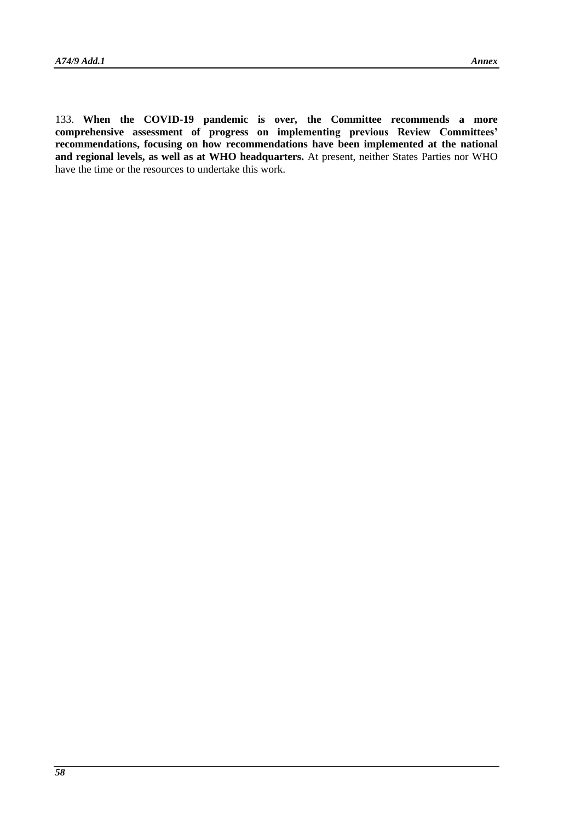133. **When the COVID-19 pandemic is over, the Committee recommends a more comprehensive assessment of progress on implementing previous Review Committees' recommendations, focusing on how recommendations have been implemented at the national and regional levels, as well as at WHO headquarters.** At present, neither States Parties nor WHO have the time or the resources to undertake this work.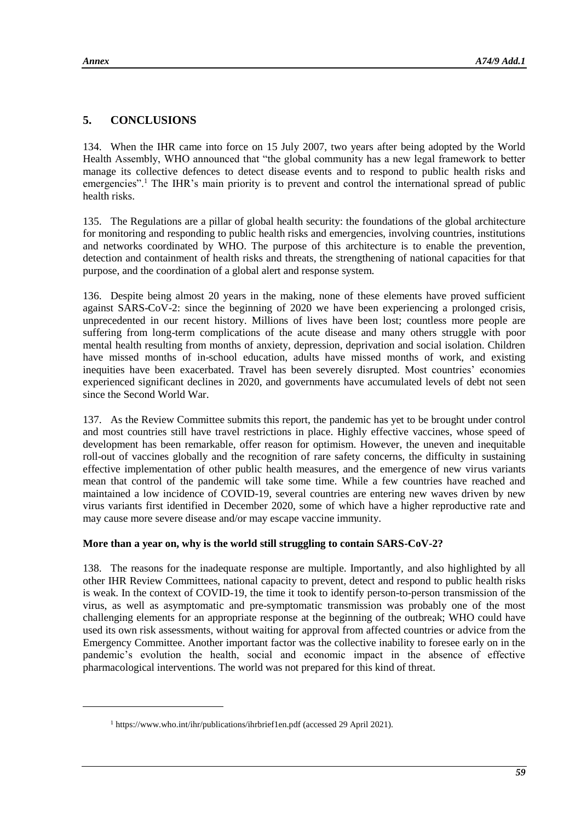l

# **5. CONCLUSIONS**

134. When the IHR came into force on 15 July 2007, two years after being adopted by the World Health Assembly, WHO announced that "the global community has a new legal framework to better manage its collective defences to detect disease events and to respond to public health risks and emergencies".<sup>1</sup> The IHR's main priority is to prevent and control the international spread of public health risks.

135. The Regulations are a pillar of global health security: the foundations of the global architecture for monitoring and responding to public health risks and emergencies, involving countries, institutions and networks coordinated by WHO. The purpose of this architecture is to enable the prevention, detection and containment of health risks and threats, the strengthening of national capacities for that purpose, and the coordination of a global alert and response system.

136. Despite being almost 20 years in the making, none of these elements have proved sufficient against SARS-CoV-2: since the beginning of 2020 we have been experiencing a prolonged crisis, unprecedented in our recent history. Millions of lives have been lost; countless more people are suffering from long-term complications of the acute disease and many others struggle with poor mental health resulting from months of anxiety, depression, deprivation and social isolation. Children have missed months of in-school education, adults have missed months of work, and existing inequities have been exacerbated. Travel has been severely disrupted. Most countries' economies experienced significant declines in 2020, and governments have accumulated levels of debt not seen since the Second World War.

137. As the Review Committee submits this report, the pandemic has yet to be brought under control and most countries still have travel restrictions in place. Highly effective vaccines, whose speed of development has been remarkable, offer reason for optimism. However, the uneven and inequitable roll-out of vaccines globally and the recognition of rare safety concerns, the difficulty in sustaining effective implementation of other public health measures, and the emergence of new virus variants mean that control of the pandemic will take some time. While a few countries have reached and maintained a low incidence of COVID-19, several countries are entering new waves driven by new virus variants first identified in December 2020, some of which have a higher reproductive rate and may cause more severe disease and/or may escape vaccine immunity.

# **More than a year on, why is the world still struggling to contain SARS-CoV-2?**

138. The reasons for the inadequate response are multiple. Importantly, and also highlighted by all other IHR Review Committees, national capacity to prevent, detect and respond to public health risks is weak. In the context of COVID-19, the time it took to identify person-to-person transmission of the virus, as well as asymptomatic and pre-symptomatic transmission was probably one of the most challenging elements for an appropriate response at the beginning of the outbreak; WHO could have used its own risk assessments, without waiting for approval from affected countries or advice from the Emergency Committee. Another important factor was the collective inability to foresee early on in the pandemic's evolution the health, social and economic impact in the absence of effective pharmacological interventions. The world was not prepared for this kind of threat.

<sup>&</sup>lt;sup>1</sup> <https://www.who.int/ihr/publications/ihrbrief1en.pdf> (accessed 29 April 2021).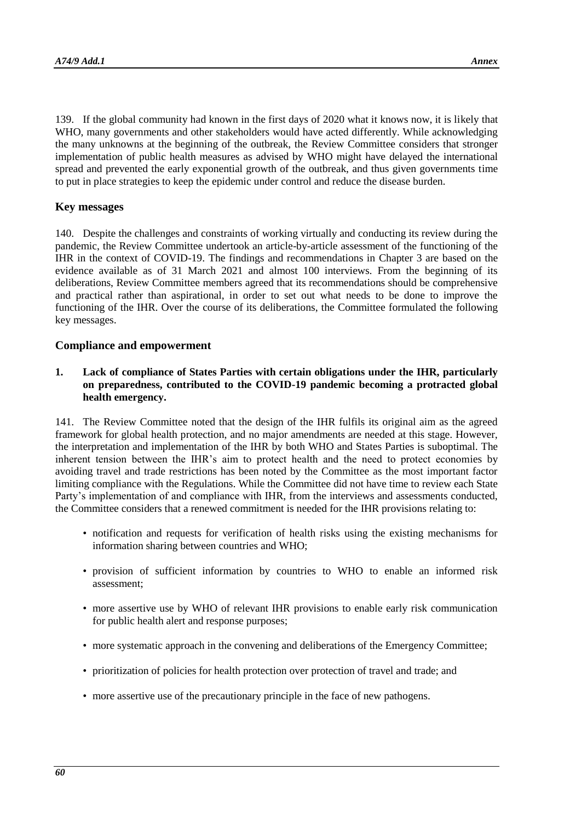139. If the global community had known in the first days of 2020 what it knows now, it is likely that WHO, many governments and other stakeholders would have acted differently. While acknowledging the many unknowns at the beginning of the outbreak, the Review Committee considers that stronger implementation of public health measures as advised by WHO might have delayed the international spread and prevented the early exponential growth of the outbreak, and thus given governments time to put in place strategies to keep the epidemic under control and reduce the disease burden.

### **Key messages**

140. Despite the challenges and constraints of working virtually and conducting its review during the pandemic, the Review Committee undertook an article-by-article assessment of the functioning of the IHR in the context of COVID-19. The findings and recommendations in Chapter 3 are based on the evidence available as of 31 March 2021 and almost 100 interviews. From the beginning of its deliberations, Review Committee members agreed that its recommendations should be comprehensive and practical rather than aspirational, in order to set out what needs to be done to improve the functioning of the IHR. Over the course of its deliberations, the Committee formulated the following key messages.

### **Compliance and empowerment**

**1. Lack of compliance of States Parties with certain obligations under the IHR, particularly on preparedness, contributed to the COVID-19 pandemic becoming a protracted global health emergency.**

141. The Review Committee noted that the design of the IHR fulfils its original aim as the agreed framework for global health protection, and no major amendments are needed at this stage. However, the interpretation and implementation of the IHR by both WHO and States Parties is suboptimal. The inherent tension between the IHR's aim to protect health and the need to protect economies by avoiding travel and trade restrictions has been noted by the Committee as the most important factor limiting compliance with the Regulations. While the Committee did not have time to review each State Party's implementation of and compliance with IHR, from the interviews and assessments conducted, the Committee considers that a renewed commitment is needed for the IHR provisions relating to:

- notification and requests for verification of health risks using the existing mechanisms for information sharing between countries and WHO;
- provision of sufficient information by countries to WHO to enable an informed risk assessment;
- more assertive use by WHO of relevant IHR provisions to enable early risk communication for public health alert and response purposes;
- more systematic approach in the convening and deliberations of the Emergency Committee;
- prioritization of policies for health protection over protection of travel and trade; and
- more assertive use of the precautionary principle in the face of new pathogens.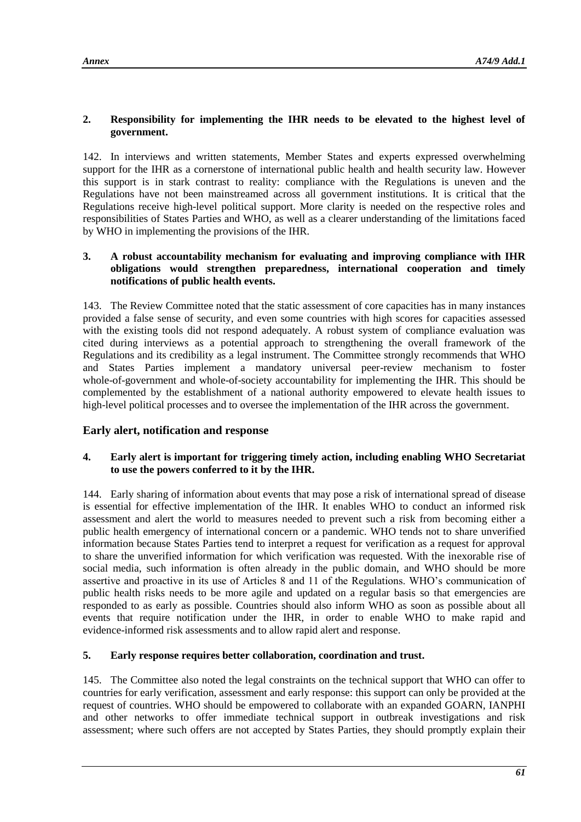# **2. Responsibility for implementing the IHR needs to be elevated to the highest level of government.**

142. In interviews and written statements, Member States and experts expressed overwhelming support for the IHR as a cornerstone of international public health and health security law. However this support is in stark contrast to reality: compliance with the Regulations is uneven and the Regulations have not been mainstreamed across all government institutions. It is critical that the Regulations receive high-level political support. More clarity is needed on the respective roles and responsibilities of States Parties and WHO, as well as a clearer understanding of the limitations faced by WHO in implementing the provisions of the IHR.

### **3. A robust accountability mechanism for evaluating and improving compliance with IHR obligations would strengthen preparedness, international cooperation and timely notifications of public health events.**

143. The Review Committee noted that the static assessment of core capacities has in many instances provided a false sense of security, and even some countries with high scores for capacities assessed with the existing tools did not respond adequately. A robust system of compliance evaluation was cited during interviews as a potential approach to strengthening the overall framework of the Regulations and its credibility as a legal instrument. The Committee strongly recommends that WHO and States Parties implement a mandatory universal peer-review mechanism to foster whole-of-government and whole-of-society accountability for implementing the IHR. This should be complemented by the establishment of a national authority empowered to elevate health issues to high-level political processes and to oversee the implementation of the IHR across the government.

# **Early alert, notification and response**

# **4. Early alert is important for triggering timely action, including enabling WHO Secretariat to use the powers conferred to it by the IHR.**

144. Early sharing of information about events that may pose a risk of international spread of disease is essential for effective implementation of the IHR. It enables WHO to conduct an informed risk assessment and alert the world to measures needed to prevent such a risk from becoming either a public health emergency of international concern or a pandemic. WHO tends not to share unverified information because States Parties tend to interpret a request for verification as a request for approval to share the unverified information for which verification was requested. With the inexorable rise of social media, such information is often already in the public domain, and WHO should be more assertive and proactive in its use of Articles 8 and 11 of the Regulations. WHO's communication of public health risks needs to be more agile and updated on a regular basis so that emergencies are responded to as early as possible. Countries should also inform WHO as soon as possible about all events that require notification under the IHR, in order to enable WHO to make rapid and evidence-informed risk assessments and to allow rapid alert and response.

# **5. Early response requires better collaboration, coordination and trust.**

145. The Committee also noted the legal constraints on the technical support that WHO can offer to countries for early verification, assessment and early response: this support can only be provided at the request of countries. WHO should be empowered to collaborate with an expanded GOARN, IANPHI and other networks to offer immediate technical support in outbreak investigations and risk assessment; where such offers are not accepted by States Parties, they should promptly explain their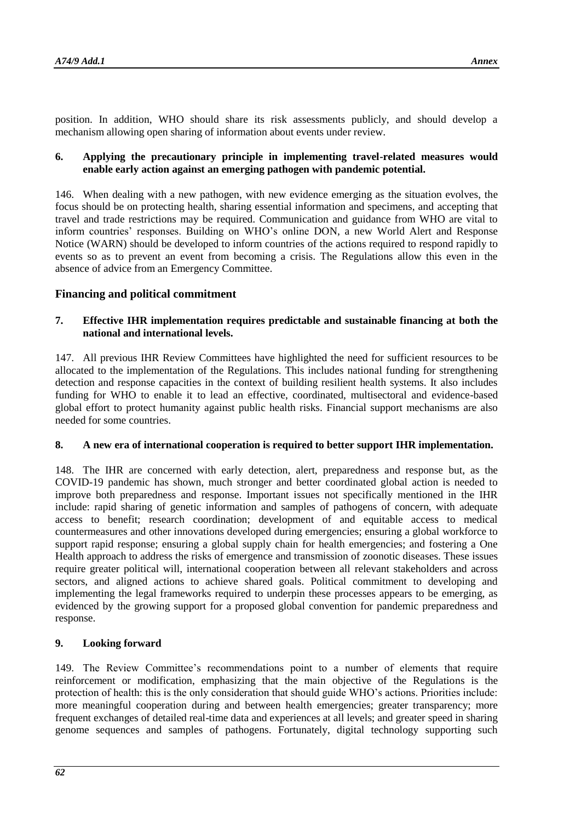position. In addition, WHO should share its risk assessments publicly, and should develop a mechanism allowing open sharing of information about events under review.

### **6. Applying the precautionary principle in implementing travel-related measures would enable early action against an emerging pathogen with pandemic potential.**

146. When dealing with a new pathogen, with new evidence emerging as the situation evolves, the focus should be on protecting health, sharing essential information and specimens, and accepting that travel and trade restrictions may be required. Communication and guidance from WHO are vital to inform countries' responses. Building on WHO's online DON, a new World Alert and Response Notice (WARN) should be developed to inform countries of the actions required to respond rapidly to events so as to prevent an event from becoming a crisis. The Regulations allow this even in the absence of advice from an Emergency Committee.

# **Financing and political commitment**

### **7. Effective IHR implementation requires predictable and sustainable financing at both the national and international levels.**

147. All previous IHR Review Committees have highlighted the need for sufficient resources to be allocated to the implementation of the Regulations. This includes national funding for strengthening detection and response capacities in the context of building resilient health systems. It also includes funding for WHO to enable it to lead an effective, coordinated, multisectoral and evidence-based global effort to protect humanity against public health risks. Financial support mechanisms are also needed for some countries.

# **8. A new era of international cooperation is required to better support IHR implementation.**

148. The IHR are concerned with early detection, alert, preparedness and response but, as the COVID-19 pandemic has shown, much stronger and better coordinated global action is needed to improve both preparedness and response. Important issues not specifically mentioned in the IHR include: rapid sharing of genetic information and samples of pathogens of concern, with adequate access to benefit; research coordination; development of and equitable access to medical countermeasures and other innovations developed during emergencies; ensuring a global workforce to support rapid response; ensuring a global supply chain for health emergencies; and fostering a One Health approach to address the risks of emergence and transmission of zoonotic diseases. These issues require greater political will, international cooperation between all relevant stakeholders and across sectors, and aligned actions to achieve shared goals. Political commitment to developing and implementing the legal frameworks required to underpin these processes appears to be emerging, as evidenced by the growing support for a proposed global convention for pandemic preparedness and response.

# **9. Looking forward**

149. The Review Committee's recommendations point to a number of elements that require reinforcement or modification, emphasizing that the main objective of the Regulations is the protection of health: this is the only consideration that should guide WHO's actions. Priorities include: more meaningful cooperation during and between health emergencies; greater transparency; more frequent exchanges of detailed real-time data and experiences at all levels; and greater speed in sharing genome sequences and samples of pathogens. Fortunately, digital technology supporting such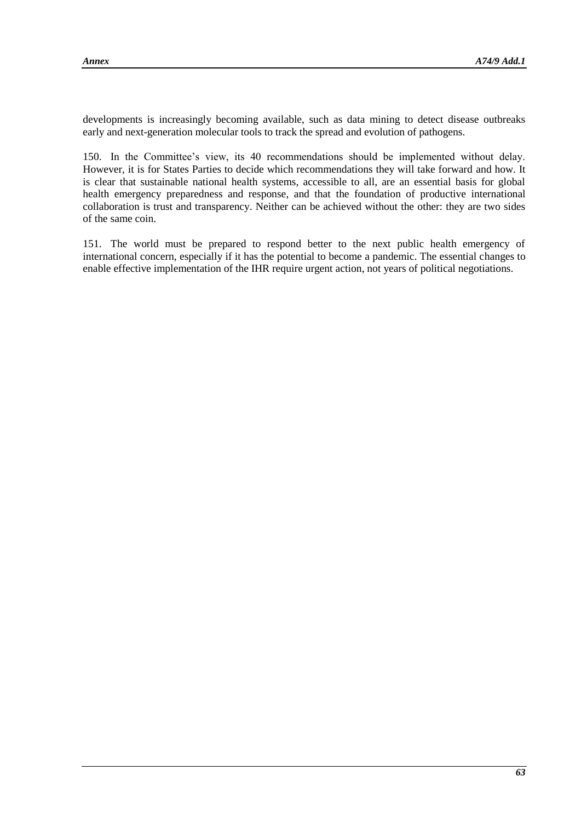developments is increasingly becoming available, such as data mining to detect disease outbreaks early and next-generation molecular tools to track the spread and evolution of pathogens.

150. In the Committee's view, its 40 recommendations should be implemented without delay. However, it is for States Parties to decide which recommendations they will take forward and how. It is clear that sustainable national health systems, accessible to all, are an essential basis for global health emergency preparedness and response, and that the foundation of productive international collaboration is trust and transparency. Neither can be achieved without the other: they are two sides of the same coin.

151. The world must be prepared to respond better to the next public health emergency of international concern, especially if it has the potential to become a pandemic. The essential changes to enable effective implementation of the IHR require urgent action, not years of political negotiations.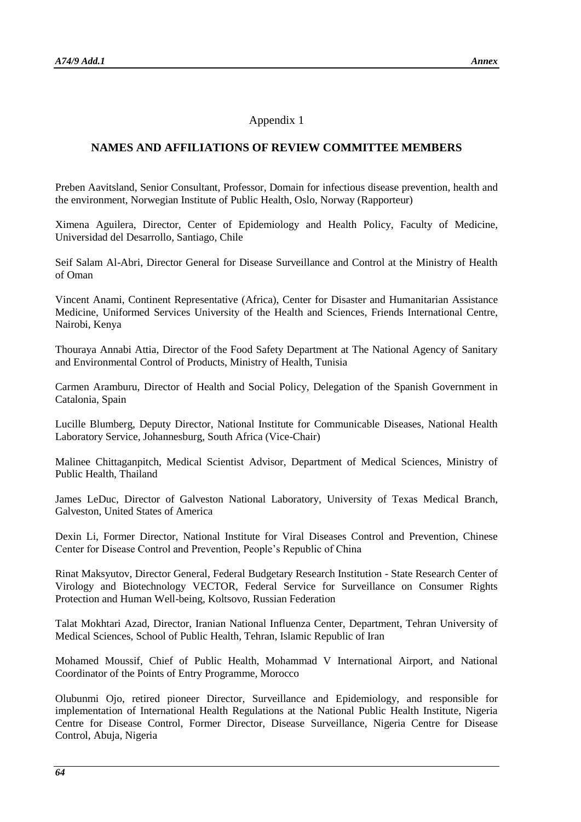### Appendix 1

# **NAMES AND AFFILIATIONS OF REVIEW COMMITTEE MEMBERS**

Preben Aavitsland, Senior Consultant, Professor, Domain for infectious disease prevention, health and the environment, Norwegian Institute of Public Health, Oslo, Norway (Rapporteur)

Ximena Aguilera, Director, Center of Epidemiology and Health Policy, Faculty of Medicine, Universidad del Desarrollo, Santiago, Chile

Seif Salam Al-Abri, Director General for Disease Surveillance and Control at the Ministry of Health of Oman

Vincent Anami, Continent Representative (Africa), Center for Disaster and Humanitarian Assistance Medicine, Uniformed Services University of the Health and Sciences, Friends International Centre, Nairobi, Kenya

Thouraya Annabi Attia, Director of the Food Safety Department at The National Agency of Sanitary and Environmental Control of Products, Ministry of Health, Tunisia

Carmen Aramburu, Director of Health and Social Policy, Delegation of the Spanish Government in Catalonia, Spain

Lucille Blumberg, Deputy Director, National Institute for Communicable Diseases, National Health Laboratory Service, Johannesburg, South Africa (Vice-Chair)

Malinee Chittaganpitch, Medical Scientist Advisor, Department of Medical Sciences, Ministry of Public Health, Thailand

James LeDuc, Director of Galveston National Laboratory, University of Texas Medical Branch, Galveston, United States of America

Dexin Li, Former Director, National Institute for Viral Diseases Control and Prevention, Chinese Center for Disease Control and Prevention, People's Republic of China

Rinat Maksyutov, Director General, Federal Budgetary Research Institution - State Research Center of Virology and Biotechnology VECTOR, Federal Service for Surveillance on Consumer Rights Protection and Human Well-being, Koltsovo, Russian Federation

Talat Mokhtari Azad, Director, Iranian National Influenza Center, Department, Tehran University of Medical Sciences, School of Public Health, Tehran, Islamic Republic of Iran

Mohamed Moussif, Chief of Public Health, Mohammad V International Airport, and National Coordinator of the Points of Entry Programme, Morocco

Olubunmi Ojo, retired pioneer Director, Surveillance and Epidemiology, and responsible for implementation of International Health Regulations at the National Public Health Institute, Nigeria Centre for Disease Control, Former Director, Disease Surveillance, Nigeria Centre for Disease Control, Abuja, Nigeria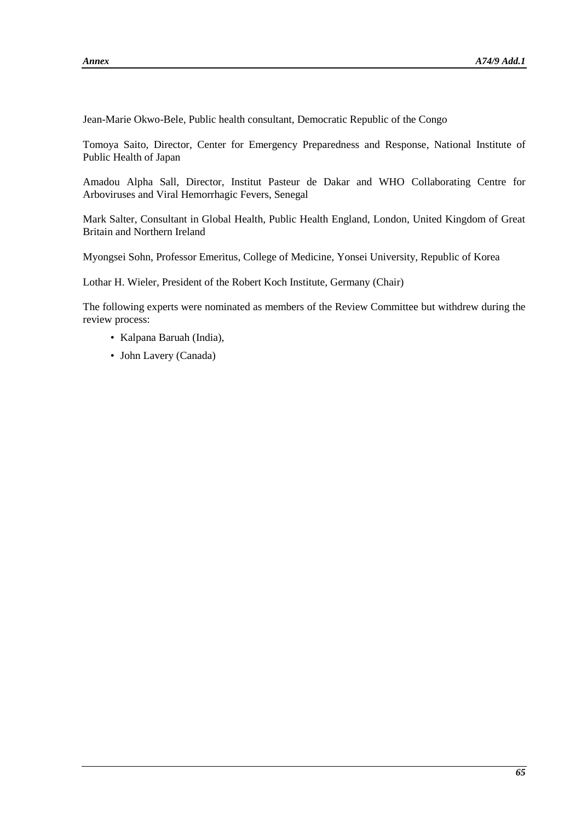Jean-Marie Okwo-Bele, Public health consultant, Democratic Republic of the Congo

Tomoya Saito, Director, Center for Emergency Preparedness and Response, National Institute of Public Health of Japan

Amadou Alpha Sall, Director, Institut Pasteur de Dakar and WHO Collaborating Centre for Arboviruses and Viral Hemorrhagic Fevers, Senegal

Mark Salter, Consultant in Global Health, Public Health England, London, United Kingdom of Great Britain and Northern Ireland

Myongsei Sohn, Professor Emeritus, College of Medicine, Yonsei University, Republic of Korea

Lothar H. Wieler, President of the Robert Koch Institute, Germany (Chair)

The following experts were nominated as members of the Review Committee but withdrew during the review process:

- Kalpana Baruah (India),
- John Lavery (Canada)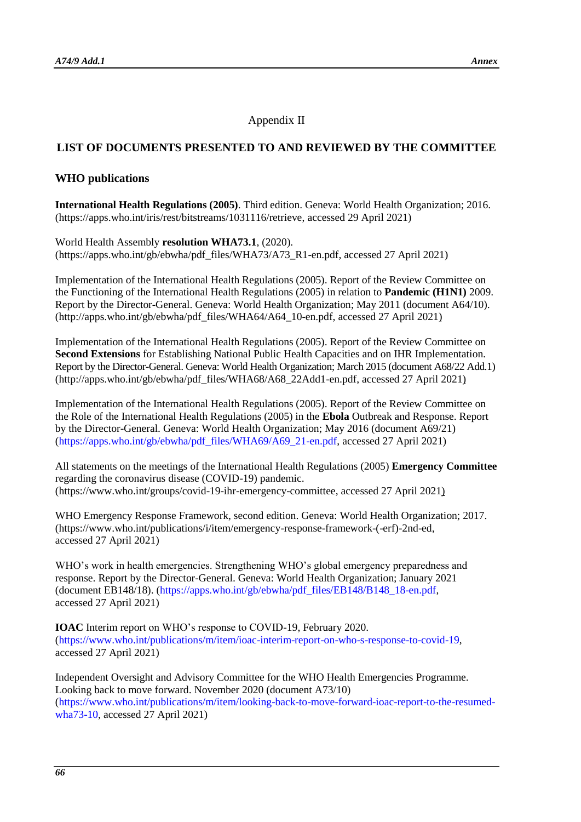# Appendix II

# **LIST OF DOCUMENTS PRESENTED TO AND REVIEWED BY THE COMMITTEE**

### **WHO publications**

**International Health Regulations (2005)**. Third edition. Geneva: World Health Organization; 2016. [\(https://apps.who.int/iris/rest/bitstreams/1031116/retrieve,](https://apps.who.int/iris/rest/bitstreams/1031116/retrieve) accessed 29 April 2021)

World Health Assembly **resolution WHA73.1**, (2020). [\(https://apps.who.int/gb/ebwha/pdf\\_files/WHA73/A73\\_R1-en.pdf,](https://apps.who.int/gb/ebwha/pdf_files/WHA73/A73_R1-en.pdf) accessed 27 April 2021)

Implementation of the International Health Regulations (2005). Report of the Review Committee on the Functioning of the International Health Regulations (2005) in relation to **Pandemic (H1N1)** 2009. Report by the Director-General. Geneva: World Health Organization; May 2011 (document A64/10). [\(http://apps.who.int/gb/ebwha/pdf\\_files/WHA64/A64\\_10-en.pdf,](http://apps.who.int/gb/ebwha/pdf_files/WHA64/A64_10-en.pdf) accessed 27 April 2021)

Implementation of the International Health Regulations (2005). Report of the Review Committee on **Second Extensions** for Establishing National Public Health Capacities and on IHR Implementation. Report by the Director-General. Geneva: World Health Organization; March 2015 (document A68/22 Add.1) [\(http://apps.who.int/gb/ebwha/pdf\\_files/WHA68/A68\\_22Add1-en.pdf,](http://apps.who.int/gb/ebwha/pdf_files/WHA68/A68_22Add1-en.pdf) accessed 27 April 2021)

Implementation of the International Health Regulations (2005). Report of the Review Committee on the Role of the International Health Regulations (2005) in the **Ebola** Outbreak and Response. Report by the Director-General. Geneva: World Health Organization; May 2016 (document A69/21) [\(https://apps.who.int/gb/ebwha/pdf\\_files/WHA69/A69\\_21-en.pdf,](https://apps.who.int/gb/ebwha/pdf_files/WHA69/A69_21-en.pdf) accessed 27 April 2021)

All statements on the meetings of the International Health Regulations (2005) **Emergency Committee** regarding the coronavirus disease (COVID-19) pandemic. [\(https://www.who.int/groups/covid-19-ihr-emergency-committee,](https://www.who.int/groups/covid-19-ihr-emergency-committee) accessed 27 April 2021)

WHO Emergency Response Framework, second edition. Geneva: World Health Organization; 2017. [\(https://www.who.int/publications/i/item/emergency-response-framework-\(-erf\)-2nd-ed,](https://www.who.int/publications/i/item/emergency-response-framework-(-erf)-2nd-ed) accessed 27 April 2021)

WHO's work in health emergencies. Strengthening WHO's global emergency preparedness and response. Report by the Director-General. Geneva: World Health Organization; January 2021 (document EB148/18). [\(https://apps.who.int/gb/ebwha/pdf\\_files/EB148/B148\\_18-en.pdf,](https://apps.who.int/gb/ebwha/pdf_files/EB148/B148_18-en.pdf) accessed 27 April 2021)

**IOAC** Interim report on WHO's response to COVID-19, February 2020. [\(https://www.who.int/publications/m/item/ioac-interim-report-on-who-s-response-to-covid-19,](https://www.who.int/publications/m/item/ioac-interim-report-on-who-s-response-to-covid-19) accessed 27 April 2021)

Independent Oversight and Advisory Committee for the WHO Health Emergencies Programme. Looking back to move forward. November 2020 (document A73/10) [\(https://www.who.int/publications/m/item/looking-back-to-move-forward-ioac-report-to-the-resumed](https://www.who.int/publications/m/item/looking-back-to-move-forward-ioac-report-to-the-resumed-wha73-10)[wha73-10,](https://www.who.int/publications/m/item/looking-back-to-move-forward-ioac-report-to-the-resumed-wha73-10) accessed 27 April 2021)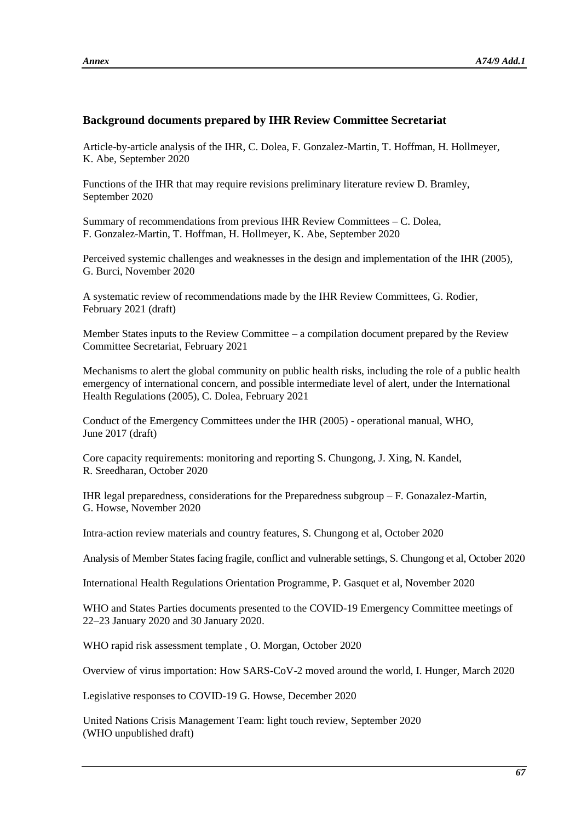# **Background documents prepared by IHR Review Committee Secretariat**

Article-by-article analysis of the IHR, C. Dolea, F. Gonzalez-Martin, T. Hoffman, H. Hollmeyer, K. Abe, September 2020

Functions of the IHR that may require revisions preliminary literature review D. Bramley, September 2020

Summary of recommendations from previous IHR Review Committees – C. Dolea, F. Gonzalez-Martin, T. Hoffman, H. Hollmeyer, K. Abe, September 2020

Perceived systemic challenges and weaknesses in the design and implementation of the IHR (2005), G. Burci, November 2020

A systematic review of recommendations made by the IHR Review Committees, G. Rodier, February 2021 (draft)

Member States inputs to the Review Committee – a compilation document prepared by the Review Committee Secretariat, February 2021

Mechanisms to alert the global community on public health risks, including the role of a public health emergency of international concern, and possible intermediate level of alert, under the International Health Regulations (2005), C. Dolea, February 2021

Conduct of the Emergency Committees under the IHR (2005) - operational manual, WHO, June 2017 (draft)

Core capacity requirements: monitoring and reporting S. Chungong, J. Xing, N. Kandel, R. Sreedharan, October 2020

IHR legal preparedness, considerations for the Preparedness subgroup – F. Gonazalez-Martin, G. Howse, November 2020

Intra-action review materials and country features, S. Chungong et al, October 2020

Analysis of Member States facing fragile, conflict and vulnerable settings, S. Chungong et al, October 2020

International Health Regulations Orientation Programme, P. Gasquet et al, November 2020

WHO and States Parties documents presented to the COVID-19 Emergency Committee meetings of 22–23 January 2020 and 30 January 2020.

WHO rapid risk assessment template , O. Morgan, October 2020

Overview of virus importation: How SARS-CoV-2 moved around the world, I. Hunger, March 2020

Legislative responses to COVID-19 G. Howse, December 2020

United Nations Crisis Management Team: light touch review, September 2020 (WHO unpublished draft)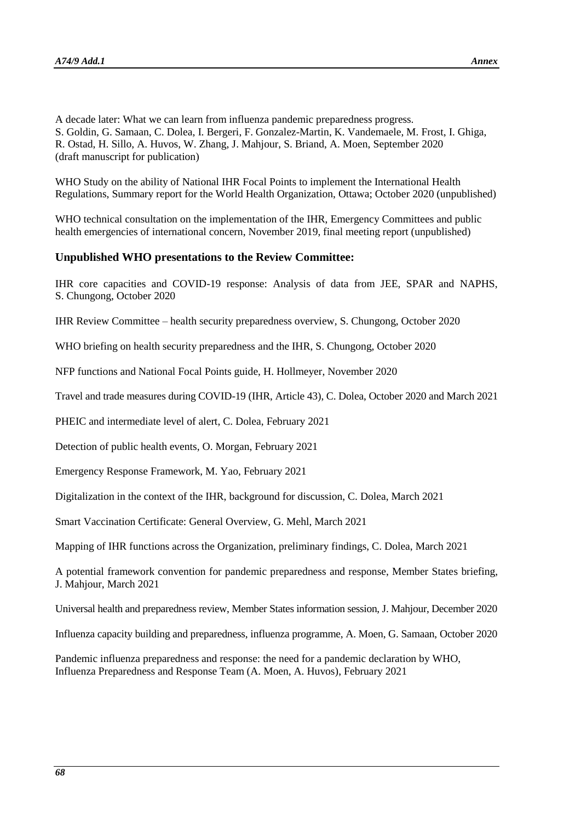A decade later: What we can learn from influenza pandemic preparedness progress. S. Goldin, G. Samaan, C. Dolea, I. Bergeri, F. Gonzalez-Martin, K. Vandemaele, M. Frost, I. Ghiga, R. Ostad, H. Sillo, A. Huvos, W. Zhang, J. Mahjour, S. Briand, A. Moen, September 2020 (draft manuscript for publication)

WHO Study on the ability of National IHR Focal Points to implement the International Health Regulations, Summary report for the World Health Organization, Ottawa; October 2020 (unpublished)

WHO technical consultation on the implementation of the IHR, Emergency Committees and public health emergencies of international concern, November 2019, final meeting report (unpublished)

#### **Unpublished WHO presentations to the Review Committee:**

IHR core capacities and COVID-19 response: Analysis of data from JEE, SPAR and NAPHS, S. Chungong, October 2020

IHR Review Committee – health security preparedness overview, S. Chungong, October 2020

WHO briefing on health security preparedness and the IHR, S. Chungong, October 2020

NFP functions and National Focal Points guide, H. Hollmeyer, November 2020

Travel and trade measures during COVID-19 (IHR, Article 43), C. Dolea, October 2020 and March 2021

PHEIC and intermediate level of alert, C. Dolea, February 2021

Detection of public health events, O. Morgan, February 2021

Emergency Response Framework, M. Yao, February 2021

Digitalization in the context of the IHR, background for discussion, C. Dolea, March 2021

Smart Vaccination Certificate: General Overview, G. Mehl, March 2021

Mapping of IHR functions across the Organization, preliminary findings, C. Dolea, March 2021

A potential framework convention for pandemic preparedness and response, Member States briefing, J. Mahjour, March 2021

Universal health and preparedness review, Member States information session, J. Mahjour, December 2020

Influenza capacity building and preparedness, influenza programme, A. Moen, G. Samaan, October 2020

Pandemic influenza preparedness and response: the need for a pandemic declaration by WHO, Influenza Preparedness and Response Team (A. Moen, A. Huvos), February 2021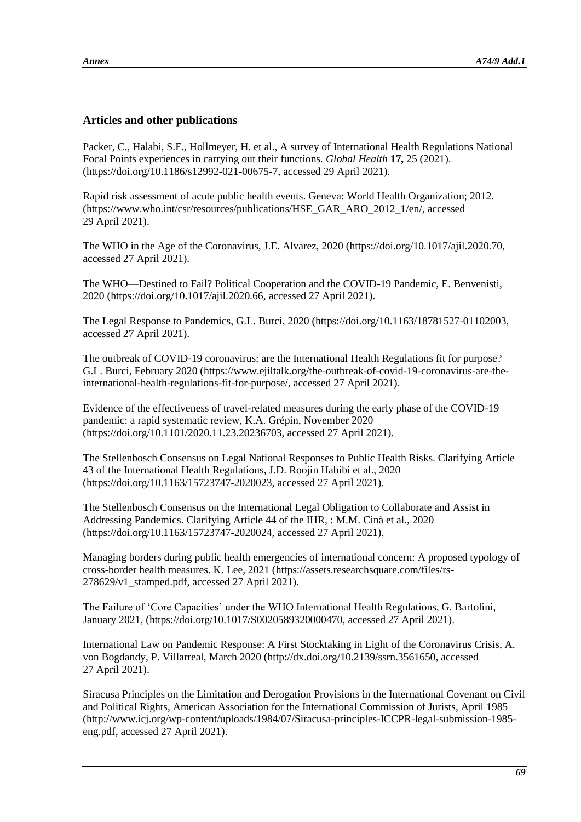# **Articles and other publications**

Packer, C., Halabi, S.F., Hollmeyer, H. et al., A survey of International Health Regulations National Focal Points experiences in carrying out their functions. *Global Health* **17,** 25 (2021). [\(https://doi.org/10.1186/s12992-021-00675-7,](https://doi.org/10.1186/s12992-021-00675-7) accessed 29 April 2021).

Rapid risk assessment of acute public health events. Geneva: World Health Organization; 2012. [\(https://www.who.int/csr/resources/publications/HSE\\_GAR\\_ARO\\_2012\\_1/en/,](https://www.who.int/csr/resources/publications/HSE_GAR_ARO_2012_1/en/) accessed 29 April 2021).

The WHO in the Age of the Coronavirus, J.E. Alvarez, 2020 [\(https://doi.org/10.1017/ajil.2020.70,](https://doi.org/10.1017/ajil.2020.70) accessed 27 April 2021).

The WHO—Destined to Fail? Political Cooperation and the COVID-19 Pandemic, E. Benvenisti, 2020 [\(https://doi.org/10.1017/ajil.2020.66,](https://doi.org/10.1017/ajil.2020.66) accessed 27 April 2021).

The Legal Response to Pandemics, G.L. Burci, 2020 [\(https://doi.org/10.1163/18781527-01102003,](https://doi.org/10.1163/18781527-01102003) accessed 27 April 2021).

The outbreak of COVID-19 coronavirus: are the International Health Regulations fit for purpose? G.L. Burci, February 2020 [\(https://www.ejiltalk.org/the-outbreak-of-covid-19-coronavirus-are-the](https://www.ejiltalk.org/the-outbreak-of-covid-19-coronavirus-are-the-international-health-regulations-fit-for-purpose/)[international-health-regulations-fit-for-purpose/,](https://www.ejiltalk.org/the-outbreak-of-covid-19-coronavirus-are-the-international-health-regulations-fit-for-purpose/) accessed 27 April 2021).

Evidence of the effectiveness of travel-related measures during the early phase of the COVID-19 pandemic: a rapid systematic review, K.A. Grépin, November 2020 [\(https://doi.org/10.1101/2020.11.23.20236703,](https://doi.org/10.1101/2020.11.23.20236703) accessed 27 April 2021).

The Stellenbosch Consensus on Legal National Responses to Public Health Risks. Clarifying Article 43 of the International Health Regulations, J.D. Roojin Habibi et al., 2020 [\(https://doi.org/10.1163/15723747-2020023,](https://doi.org/10.1163/15723747-2020023) accessed 27 April 2021).

The Stellenbosch Consensus on the International Legal Obligation to Collaborate and Assist in Addressing Pandemics. Clarifying Article 44 of the IHR, : M.M. Cinà et al., 2020 [\(https://doi.org/10.1163/15723747-2020024,](https://doi.org/10.1163/15723747-2020024) accessed 27 April 2021).

Managing borders during public health emergencies of international concern: A proposed typology of cross-border health measures. K. Lee, 2021 [\(https://assets.researchsquare.com/files/rs-](https://assets.researchsquare.com/files/rs-278629/v1_stamped.pdf) $278629/v1$  stamped.pdf, accessed 27 April 2021).

The Failure of 'Core Capacities' under the WHO International Health Regulations, G. Bartolini, January 2021, [\(https://doi.org/10.1017/S0020589320000470,](https://doi.org/10.1017/S0020589320000470) accessed 27 April 2021).

International Law on Pandemic Response: A First Stocktaking in Light of the Coronavirus Crisis, A. von Bogdandy, P. Villarreal, March 2020 [\(http://dx.doi.org/10.2139/ssrn.3561650,](http://dx.doi.org/10.2139/ssrn.3561650) accessed 27 April 2021).

Siracusa Principles on the Limitation and Derogation Provisions in the International Covenant on Civil and Political Rights, American Association for the International Commission of Jurists, April 1985 [\(http://www.icj.org/wp-content/uploads/1984/07/Siracusa-principles-ICCPR-legal-submission-1985](http://www.icj.org/wp-content/uploads/1984/07/Siracusa-principles-ICCPR-legal-submission-1985-eng.pdf) [eng.pdf,](http://www.icj.org/wp-content/uploads/1984/07/Siracusa-principles-ICCPR-legal-submission-1985-eng.pdf) accessed 27 April 2021).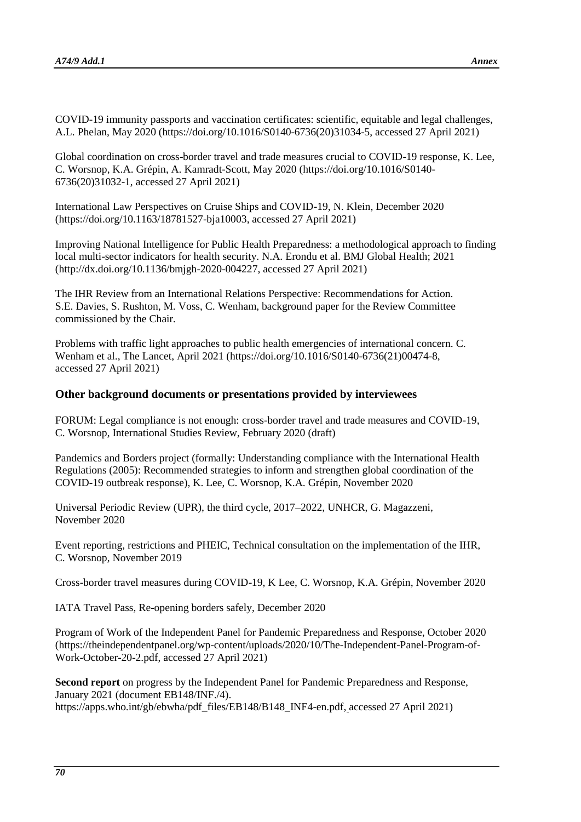COVID-19 immunity passports and vaccination certificates: scientific, equitable and legal challenges, A.L. Phelan, May 2020 [\(https://doi.org/10.1016/S0140-6736\(20\)31034-5,](https://doi.org/10.1016/S0140-6736(20)31034-5) accessed 27 April 2021)

Global coordination on cross-border travel and trade measures crucial to COVID-19 response, K. Lee, C. Worsnop, K.A. Grépin, A. Kamradt-Scott, May 2020 [\(https://doi.org/10.1016/S0140-](https://doi.org/10.1016/S0140-6736(20)31032-1) [6736\(20\)31032-1,](https://doi.org/10.1016/S0140-6736(20)31032-1) accessed 27 April 2021)

International Law Perspectives on Cruise Ships and COVID-19, N. Klein, December 2020 [\(https://doi.org/10.1163/18781527-bja10003,](https://doi.org/10.1163/18781527-bja10003) accessed 27 April 2021)

Improving National Intelligence for Public Health Preparedness: a methodological approach to finding local multi-sector indicators for health security. N.A. Erondu et al. BMJ Global Health; 2021 [\(http://dx.doi.org/10.1136/bmjgh-2020-004227,](http://dx.doi.org/10.1136/bmjgh-2020-004227) accessed 27 April 2021)

The IHR Review from an International Relations Perspective: Recommendations for Action. S.E. Davies, S. Rushton, M. Voss, C. Wenham, background paper for the Review Committee commissioned by the Chair.

Problems with traffic light approaches to public health emergencies of international concern. C. Wenham et al., The Lancet, April 2021 [\(https://doi.org/10.1016/S0140-6736\(21\)00474-8,](https://doi.org/10.1016/S0140-6736(21)00474-8) accessed 27 April 2021)

### **Other background documents or presentations provided by interviewees**

FORUM: Legal compliance is not enough: cross-border travel and trade measures and COVID-19, C. Worsnop, International Studies Review, February 2020 (draft)

Pandemics and Borders project (formally: Understanding compliance with the International Health Regulations (2005): Recommended strategies to inform and strengthen global coordination of the COVID-19 outbreak response), K. Lee, C. Worsnop, K.A. Grépin, November 2020

Universal Periodic Review (UPR), the third cycle, 2017–2022, UNHCR, G. Magazzeni, November 2020

Event reporting, restrictions and PHEIC, Technical consultation on the implementation of the IHR, C. Worsnop, November 2019

Cross-border travel measures during COVID-19, K Lee, C. Worsnop, K.A. Grépin, November 2020

IATA Travel Pass, Re-opening borders safely, December 2020

Program of Work of the Independent Panel for Pandemic Preparedness and Response, October 2020 [\(https://theindependentpanel.org/wp-content/uploads/2020/10/The-Independent-Panel-Program-of-](https://theindependentpanel.org/wp-content/uploads/2020/10/The-Independent-Panel-Program-of-Work-October-20-2.pdf)[Work-October-20-2.pdf,](https://theindependentpanel.org/wp-content/uploads/2020/10/The-Independent-Panel-Program-of-Work-October-20-2.pdf) accessed 27 April 2021)

**Second report** on progress by the Independent Panel for Pandemic Preparedness and Response, January 2021 (document EB148/INF./4). [https://apps.who.int/gb/ebwha/pdf\\_files/EB148/B148\\_INF4-en.pdf,](https://apps.who.int/gb/ebwha/pdf_files/EB148/B148_INF4-en.pdf) accessed 27 April 2021)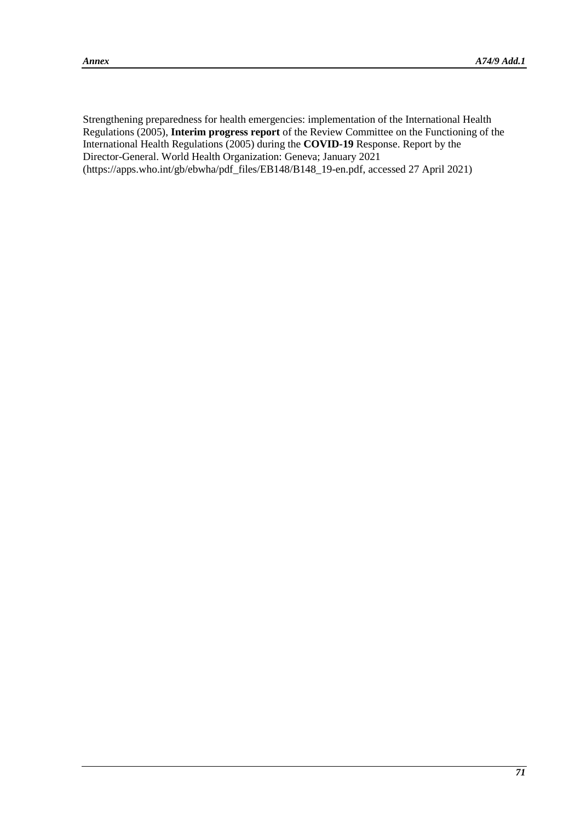Strengthening preparedness for health emergencies: implementation of the International Health Regulations (2005), **Interim progress report** of the Review Committee on the Functioning of the International Health Regulations (2005) during the **COVID-19** Response. Report by the Director-General. World Health Organization: Geneva; January 2021 [\(https://apps.who.int/gb/ebwha/pdf\\_files/EB148/B148\\_19-en.pdf,](https://apps.who.int/gb/ebwha/pdf_files/EB148/B148_19-en.pdf) accessed 27 April 2021)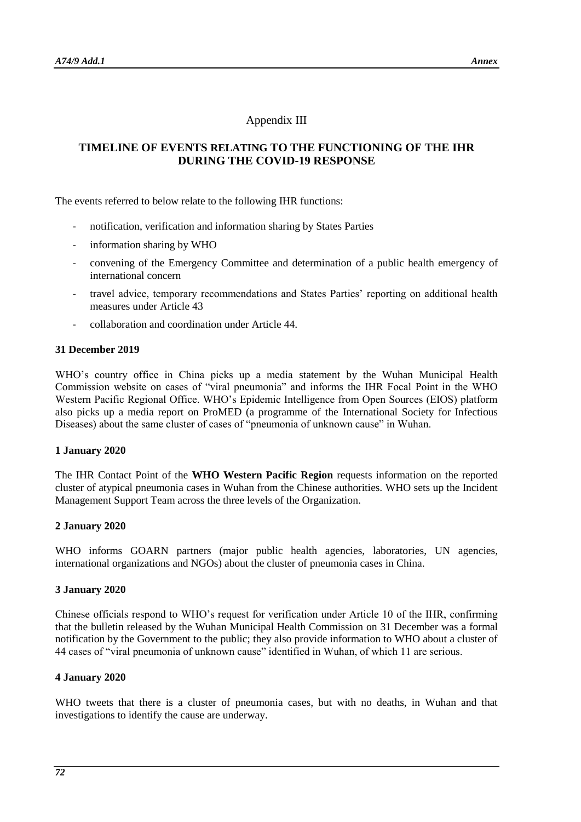# Appendix III

# **TIMELINE OF EVENTS RELATING TO THE FUNCTIONING OF THE IHR DURING THE COVID-19 RESPONSE**

The events referred to below relate to the following IHR functions:

- notification, verification and information sharing by States Parties
- information sharing by WHO
- convening of the Emergency Committee and determination of a public health emergency of international concern
- travel advice, temporary recommendations and States Parties' reporting on additional health measures under Article 43
- collaboration and coordination under Article 44.

#### **31 December 2019**

WHO's country office in China picks up a media statement by the Wuhan Municipal Health Commission website on cases of "viral pneumonia" and informs the IHR Focal Point in the WHO Western Pacific Regional Office. WHO's Epidemic Intelligence from Open Sources (EIOS) platform also picks up a media report on ProMED (a programme of the International Society for Infectious Diseases) about the same cluster of cases of "pneumonia of unknown cause" in Wuhan.

#### **1 January 2020**

The IHR Contact Point of the **WHO Western Pacific Region** requests information on the reported cluster of atypical pneumonia cases in Wuhan from the Chinese authorities. WHO sets up the Incident Management Support Team across the three levels of the Organization.

### **2 January 2020**

WHO informs GOARN partners (major public health agencies, laboratories, UN agencies, international organizations and NGOs) about the cluster of pneumonia cases in China.

### **3 January 2020**

Chinese officials respond to WHO's request for verification under Article 10 of the IHR, confirming that the bulletin released by the Wuhan Municipal Health Commission on 31 December was a formal notification by the Government to the public; they also provide information to WHO about a cluster of 44 cases of "viral pneumonia of unknown cause" identified in Wuhan, of which 11 are serious.

### **4 January 2020**

WHO tweets that there is a cluster of pneumonia cases, but with no deaths, in Wuhan and that investigations to identify the cause are underway.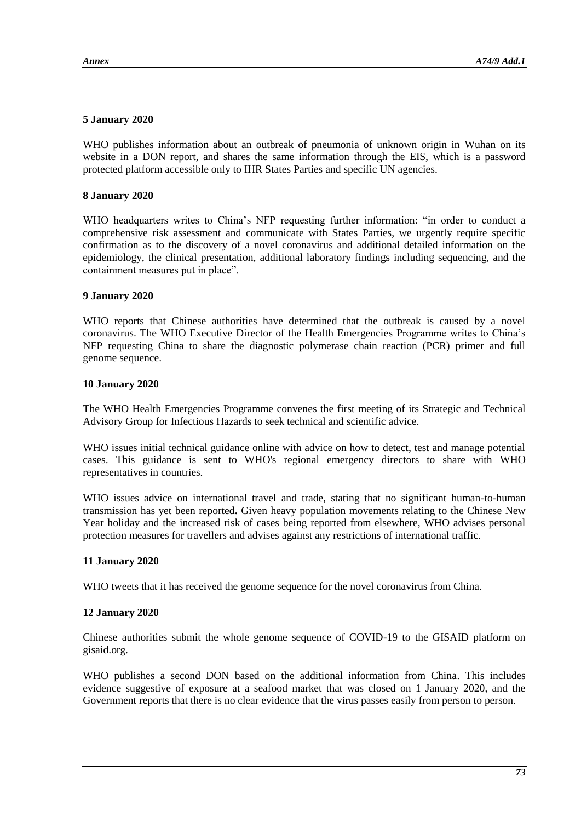## **5 January 2020**

WHO publishes information about an outbreak of pneumonia of unknown origin in Wuhan on its website in a DON report, and shares the same information through the EIS, which is a password protected platform accessible only to IHR States Parties and specific UN agencies.

## **8 January 2020**

WHO headquarters writes to China's NFP requesting further information: "in order to conduct a comprehensive risk assessment and communicate with States Parties, we urgently require specific confirmation as to the discovery of a novel coronavirus and additional detailed information on the epidemiology, the clinical presentation, additional laboratory findings including sequencing, and the containment measures put in place".

#### **9 January 2020**

WHO reports that Chinese authorities have determined that the outbreak is caused by a novel coronavirus. The WHO Executive Director of the Health Emergencies Programme writes to China's NFP requesting China to share the diagnostic polymerase chain reaction (PCR) primer and full genome sequence.

### **10 January 2020**

The WHO Health Emergencies Programme convenes the first meeting of its Strategic and Technical Advisory Group for Infectious Hazards to seek technical and scientific advice.

WHO issues initial technical guidance online with advice on how to detect, test and manage potential cases. This guidance is sent to WHO's regional emergency directors to share with WHO representatives in countries.

WHO issues advice on international travel and trade, stating that no significant human-to-human transmission has yet been reported**.** Given heavy population movements relating to the Chinese New Year holiday and the increased risk of cases being reported from elsewhere, WHO advises personal protection measures for travellers and advises against any restrictions of international traffic.

# **11 January 2020**

WHO tweets that it has received the genome sequence for the novel coronavirus from China.

# **12 January 2020**

Chinese authorities submit the whole genome sequence of COVID-19 to the GISAID platform on gisaid.org.

WHO publishes a second DON based on the additional information from China. This includes evidence suggestive of exposure at a seafood market that was closed on 1 January 2020, and the Government reports that there is no clear evidence that the virus passes easily from person to person.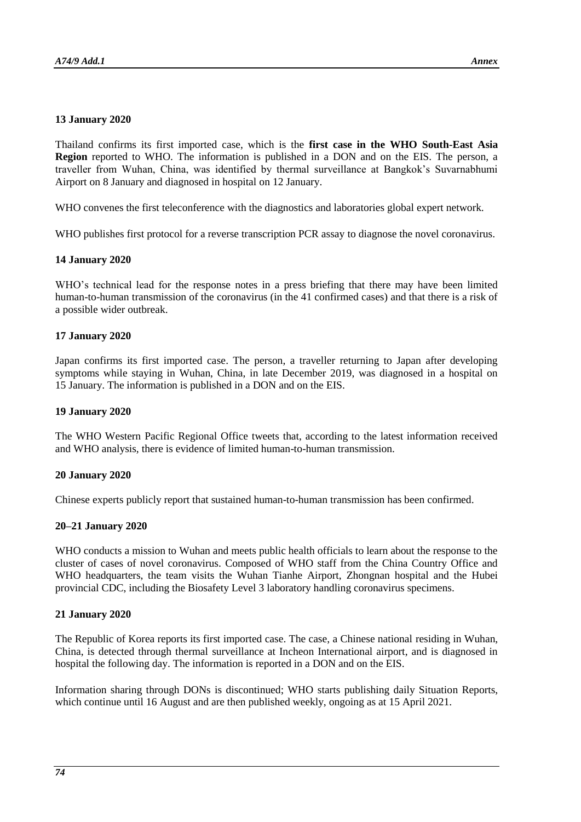# **13 January 2020**

Thailand confirms its first imported case, which is the **first case in the WHO South-East Asia Region** reported to WHO. The information is published in a DON and on the EIS. The person, a traveller from Wuhan, China, was identified by thermal surveillance at Bangkok's Suvarnabhumi Airport on 8 January and diagnosed in hospital on 12 January.

WHO convenes the first teleconference with the diagnostics and laboratories global expert network.

WHO publishes first protocol for a reverse transcription PCR assay to diagnose the novel coronavirus.

### **14 January 2020**

WHO's technical lead for the response notes in a press briefing that there may have been limited human-to-human transmission of the coronavirus (in the 41 confirmed cases) and that there is a risk of a possible wider outbreak.

# **17 January 2020**

Japan confirms its first imported case. The person, a traveller returning to Japan after developing symptoms while staying in Wuhan, China, in late December 2019, was diagnosed in a hospital on 15 January. The information is published in a DON and on the EIS.

### **19 January 2020**

The WHO Western Pacific Regional Office tweets that, according to the latest information received and WHO analysis, there is evidence of limited human-to-human transmission.

#### **20 January 2020**

Chinese experts publicly report that sustained human-to-human transmission has been confirmed.

# **20–21 January 2020**

WHO conducts a mission to Wuhan and meets public health officials to learn about the response to the cluster of cases of novel coronavirus. Composed of WHO staff from the China Country Office and WHO headquarters, the team visits the Wuhan Tianhe Airport, Zhongnan hospital and the Hubei provincial CDC, including the Biosafety Level 3 laboratory handling coronavirus specimens.

# **21 January 2020**

The Republic of Korea reports its first imported case. The case, a Chinese national residing in Wuhan, China, is detected through thermal surveillance at Incheon International airport, and is diagnosed in hospital the following day. The information is reported in a DON and on the EIS.

Information sharing through DONs is discontinued; WHO starts publishing daily Situation Reports, which continue until 16 August and are then published weekly, ongoing as at 15 April 2021.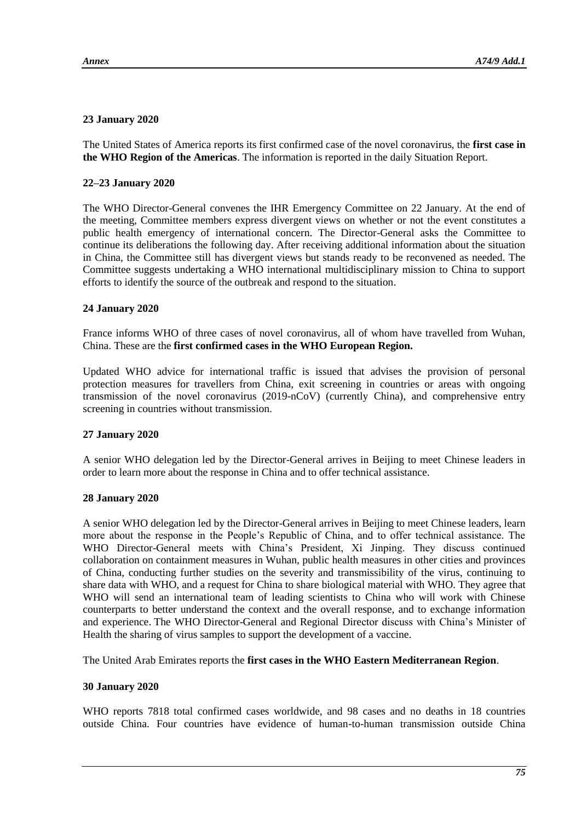# **23 January 2020**

The United States of America reports its first confirmed case of the novel coronavirus, the **first case in the WHO Region of the Americas**. The information is reported in the daily Situation Report.

# **22–23 January 2020**

The WHO Director-General convenes the IHR Emergency Committee on 22 January. At the end of the meeting, Committee members express divergent views on whether or not the event constitutes a public health emergency of international concern. The Director-General asks the Committee to continue its deliberations the following day. After receiving additional information about the situation in China, the Committee still has divergent views but stands ready to be reconvened as needed. The Committee suggests undertaking a WHO international multidisciplinary mission to China to support efforts to identify the source of the outbreak and respond to the situation.

# **24 January 2020**

France informs WHO of three cases of novel coronavirus, all of whom have travelled from Wuhan, China. These are the **first confirmed cases in the WHO European Region.**

Updated WHO advice for international traffic is issued that advises the provision of personal protection measures for travellers from China, exit screening in countries or areas with ongoing transmission of the novel coronavirus (2019-nCoV) (currently China), and comprehensive entry screening in countries without transmission.

# **27 January 2020**

A senior WHO delegation led by the Director-General arrives in Beijing to meet Chinese leaders in order to learn more about the response in China and to offer technical assistance.

# **28 January 2020**

A senior WHO delegation led by the Director-General arrives in Beijing to meet Chinese leaders, learn more about the response in the People's Republic of China, and to offer technical assistance. The WHO Director-General meets with China's President, Xi Jinping. They discuss continued collaboration on containment measures in Wuhan, public health measures in other cities and provinces of China, conducting further studies on the severity and transmissibility of the virus, continuing to share data with WHO, and a request for China to share biological material with WHO. They agree that WHO will send an international team of leading scientists to China who will work with Chinese counterparts to better understand the context and the overall response, and to exchange information and experience. The WHO Director-General and Regional Director discuss with China's Minister of Health the sharing of virus samples to support the development of a vaccine.

The United Arab Emirates reports the **first cases in the WHO Eastern Mediterranean Region**.

# **30 January 2020**

WHO reports 7818 total confirmed cases worldwide, and 98 cases and no deaths in 18 countries outside China. Four countries have evidence of human-to-human transmission outside China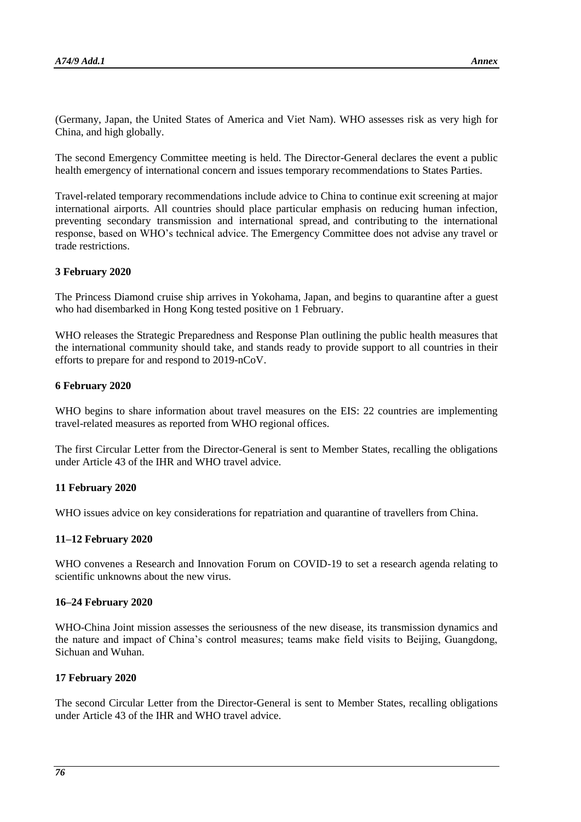(Germany, Japan, the United States of America and Viet Nam). WHO assesses risk as very high for China, and high globally.

The second Emergency Committee meeting is held. The Director-General declares the event a public health emergency of international concern and issues temporary recommendations to States Parties.

Travel-related temporary recommendations include advice to China to continue exit screening at major international airports. All countries should place particular emphasis on reducing human infection, preventing secondary transmission and international spread, and contributing to the international response, based on WHO's technical advice. The Emergency Committee does not advise any travel or trade restrictions.

# **3 February 2020**

The Princess Diamond cruise ship arrives in Yokohama, Japan, and begins to quarantine after a guest who had disembarked in Hong Kong tested positive on 1 February.

WHO releases the Strategic Preparedness and Response Plan outlining the public health measures that the international community should take, and stands ready to provide support to all countries in their efforts to prepare for and respond to 2019-nCoV.

### **6 February 2020**

WHO begins to share information about travel measures on the EIS: 22 countries are implementing travel-related measures as reported from WHO regional offices.

The first Circular Letter from the Director-General is sent to Member States, recalling the obligations under Article 43 of the IHR and WHO travel advice.

#### **11 February 2020**

WHO issues advice on key considerations for repatriation and quarantine of travellers from China.

# **11–12 February 2020**

WHO convenes a Research and Innovation Forum on COVID-19 to set a research agenda relating to scientific unknowns about the new virus.

#### **16–24 February 2020**

WHO-China Joint mission assesses the seriousness of the new disease, its transmission dynamics and the nature and impact of China's control measures; teams make field visits to Beijing, Guangdong, Sichuan and Wuhan.

# **17 February 2020**

The second Circular Letter from the Director-General is sent to Member States, recalling obligations under Article 43 of the IHR and WHO travel advice.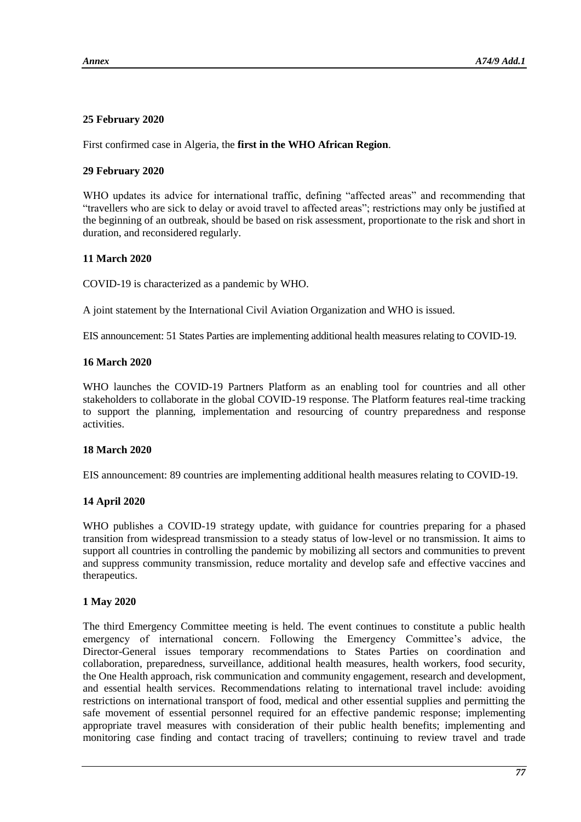# **25 February 2020**

First confirmed case in Algeria, the **first in the WHO African Region**.

# **29 February 2020**

WHO updates its advice for international traffic, defining "affected areas" and recommending that "travellers who are sick to delay or avoid travel to affected areas"; restrictions may only be justified at the beginning of an outbreak, should be based on risk assessment, proportionate to the risk and short in duration, and reconsidered regularly.

# **11 March 2020**

COVID-19 is characterized as a pandemic by WHO.

A joint statement by the International Civil Aviation Organization and WHO is issued.

EIS announcement: 51 States Parties are implementing additional health measures relating to COVID-19.

# **16 March 2020**

WHO launches the COVID-19 Partners Platform as an enabling tool for countries and all other stakeholders to collaborate in the global COVID-19 response. The Platform features real-time tracking to support the planning, implementation and resourcing of country preparedness and response activities.

# **18 March 2020**

EIS announcement: 89 countries are implementing additional health measures relating to COVID-19.

# **14 April 2020**

WHO publishes a COVID-19 strategy update, with guidance for countries preparing for a phased transition from widespread transmission to a steady status of low-level or no transmission. It aims to support all countries in controlling the pandemic by mobilizing all sectors and communities to prevent and suppress community transmission, reduce mortality and develop safe and effective vaccines and therapeutics.

# **1 May 2020**

The third Emergency Committee meeting is held. The event continues to constitute a public health emergency of international concern. Following the Emergency Committee's advice, the Director-General issues temporary recommendations to States Parties on coordination and collaboration, preparedness, surveillance, additional health measures, health workers, food security, the One Health approach, risk communication and community engagement, research and development, and essential health services. Recommendations relating to international travel include: avoiding restrictions on international transport of food, medical and other essential supplies and permitting the safe movement of essential personnel required for an effective pandemic response; implementing appropriate travel measures with consideration of their public health benefits; implementing and monitoring case finding and contact tracing of travellers; continuing to review travel and trade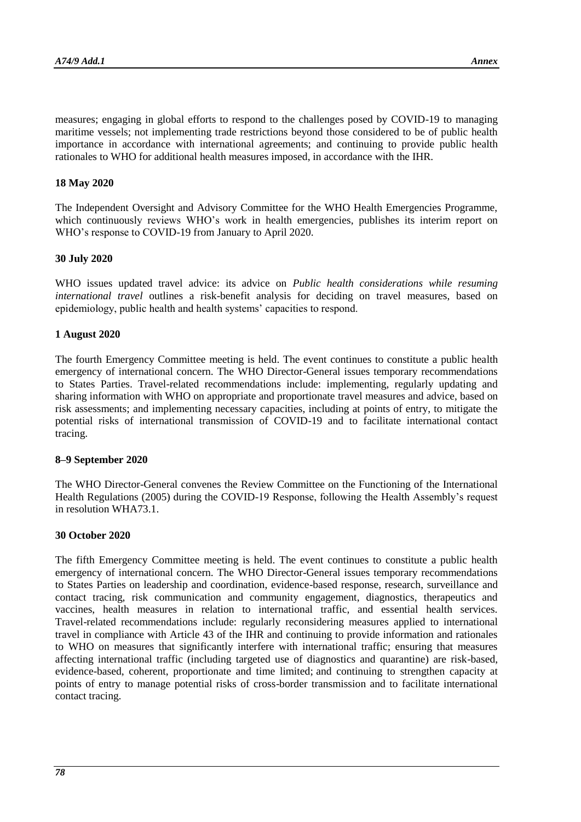measures; engaging in global efforts to respond to the challenges posed by COVID-19 to managing maritime vessels; not implementing trade restrictions beyond those considered to be of public health importance in accordance with international agreements; and continuing to provide public health rationales to WHO for additional health measures imposed, in accordance with the IHR.

### **18 May 2020**

The Independent Oversight and Advisory Committee for the WHO Health Emergencies Programme, which continuously reviews WHO's work in health emergencies, publishes its interim report on WHO's response to COVID-19 from January to April 2020.

### **30 July 2020**

WHO issues updated travel advice: its advice on *Public health considerations while resuming international travel* outlines a risk-benefit analysis for deciding on travel measures, based on epidemiology, public health and health systems' capacities to respond.

### **1 August 2020**

The fourth Emergency Committee meeting is held. The event continues to constitute a public health emergency of international concern. The WHO Director-General issues temporary recommendations to States Parties. Travel-related recommendations include: implementing, regularly updating and sharing information with WHO on appropriate and proportionate travel measures and advice, based on risk assessments; and implementing necessary capacities, including at points of entry, to mitigate the potential risks of international transmission of COVID-19 and to facilitate international contact tracing.

#### **8–9 September 2020**

The WHO Director-General convenes the Review Committee on the Functioning of the International Health Regulations (2005) during the COVID-19 Response, following the Health Assembly's request in resolution WHA73.1.

#### **30 October 2020**

The fifth Emergency Committee meeting is held. The event continues to constitute a public health emergency of international concern. The WHO Director-General issues temporary recommendations to States Parties on leadership and coordination, evidence-based response, research, surveillance and contact tracing, risk communication and community engagement, diagnostics, therapeutics and vaccines, health measures in relation to international traffic, and essential health services. Travel-related recommendations include: regularly reconsidering measures applied to international travel in compliance with Article 43 of the IHR and continuing to provide information and rationales to WHO on measures that significantly interfere with international traffic; ensuring that measures affecting international traffic (including targeted use of diagnostics and quarantine) are risk-based, evidence-based, coherent, proportionate and time limited; and continuing to strengthen capacity at points of entry to manage potential risks of cross-border transmission and to facilitate international contact tracing.